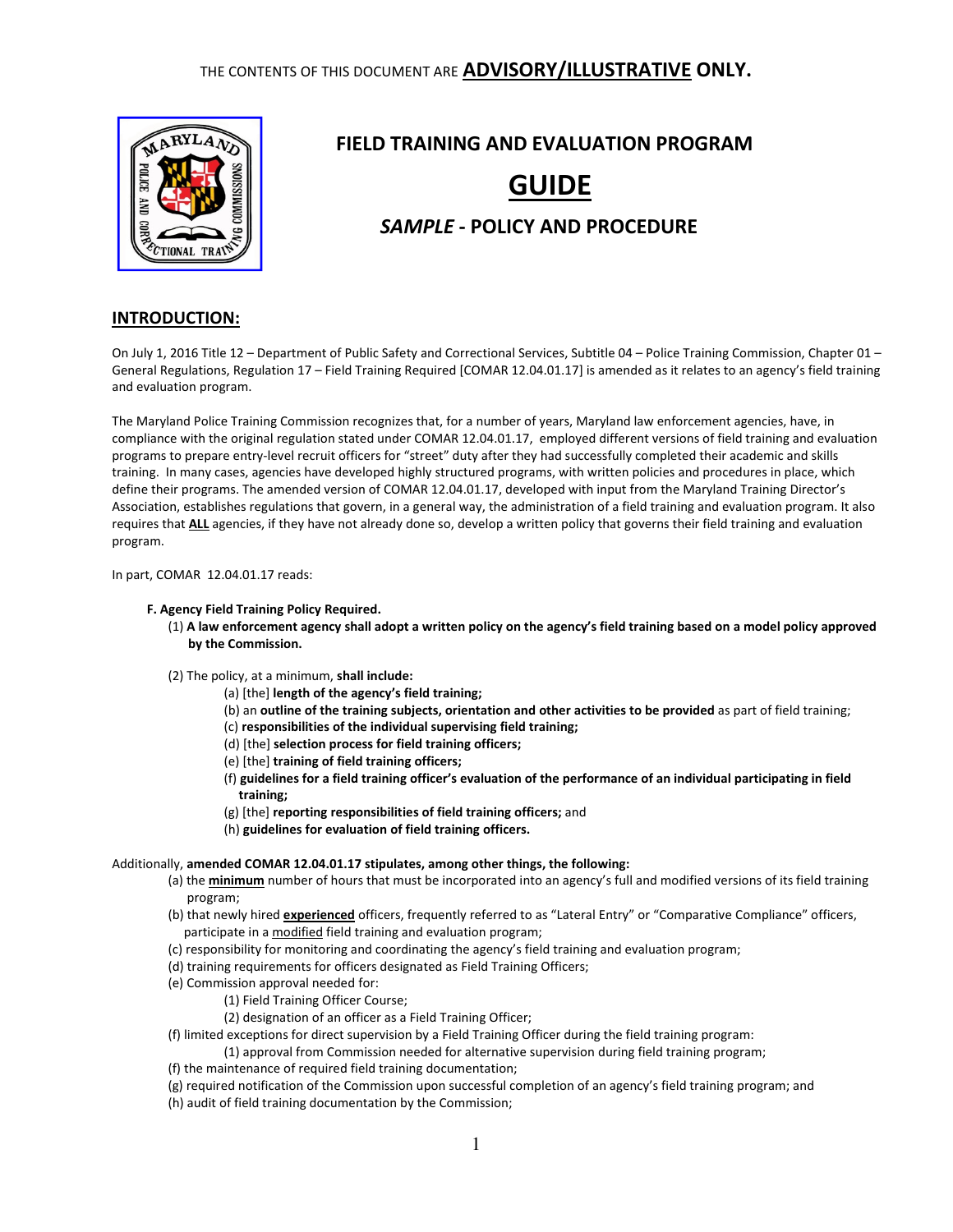

# FIELD TRAINING AND EVALUATION PROGRAM GUIDE

# SAMPLE - POLICY AND PROCEDURE

## INTRODUCTION:

On July 1, 2016 Title 12 – Department of Public Safety and Correctional Services, Subtitle 04 – Police Training Commission, Chapter 01 – General Regulations, Regulation 17 – Field Training Required [COMAR 12.04.01.17] is amended as it relates to an agency's field training and evaluation program.

The Maryland Police Training Commission recognizes that, for a number of years, Maryland law enforcement agencies, have, in compliance with the original regulation stated under COMAR 12.04.01.17, employed different versions of field training and evaluation programs to prepare entry-level recruit officers for "street" duty after they had successfully completed their academic and skills training. In many cases, agencies have developed highly structured programs, with written policies and procedures in place, which define their programs. The amended version of COMAR 12.04.01.17, developed with input from the Maryland Training Director's Association, establishes regulations that govern, in a general way, the administration of a field training and evaluation program. It also requires that ALL agencies, if they have not already done so, develop a written policy that governs their field training and evaluation program.

In part, COMAR 12.04.01.17 reads:

#### F. Agency Field Training Policy Required.

- (1) A law enforcement agency shall adopt a written policy on the agency's field training based on a model policy approved by the Commission.
- (2) The policy, at a minimum, shall include:
	- (a) [the] length of the agency's field training;
	- (b) an outline of the training subjects, orientation and other activities to be provided as part of field training;
	- (c) responsibilities of the individual supervising field training;
	- (d) [the] selection process for field training officers;
	- (e) [the] training of field training officers;
	- (f) guidelines for a field training officer's evaluation of the performance of an individual participating in field training;
	- (g) [the] reporting responsibilities of field training officers; and
	- (h) guidelines for evaluation of field training officers.

#### Additionally, amended COMAR 12.04.01.17 stipulates, among other things, the following:

- (a) the **minimum** number of hours that must be incorporated into an agency's full and modified versions of its field training program;
- (b) that newly hired **experienced** officers, frequently referred to as "Lateral Entry" or "Comparative Compliance" officers, participate in a modified field training and evaluation program;
- (c) responsibility for monitoring and coordinating the agency's field training and evaluation program;
- (d) training requirements for officers designated as Field Training Officers;
- (e) Commission approval needed for:
	- (1) Field Training Officer Course;
	- (2) designation of an officer as a Field Training Officer;
- (f) limited exceptions for direct supervision by a Field Training Officer during the field training program:
- (1) approval from Commission needed for alternative supervision during field training program;
- (f) the maintenance of required field training documentation;
- (g) required notification of the Commission upon successful completion of an agency's field training program; and
- (h) audit of field training documentation by the Commission;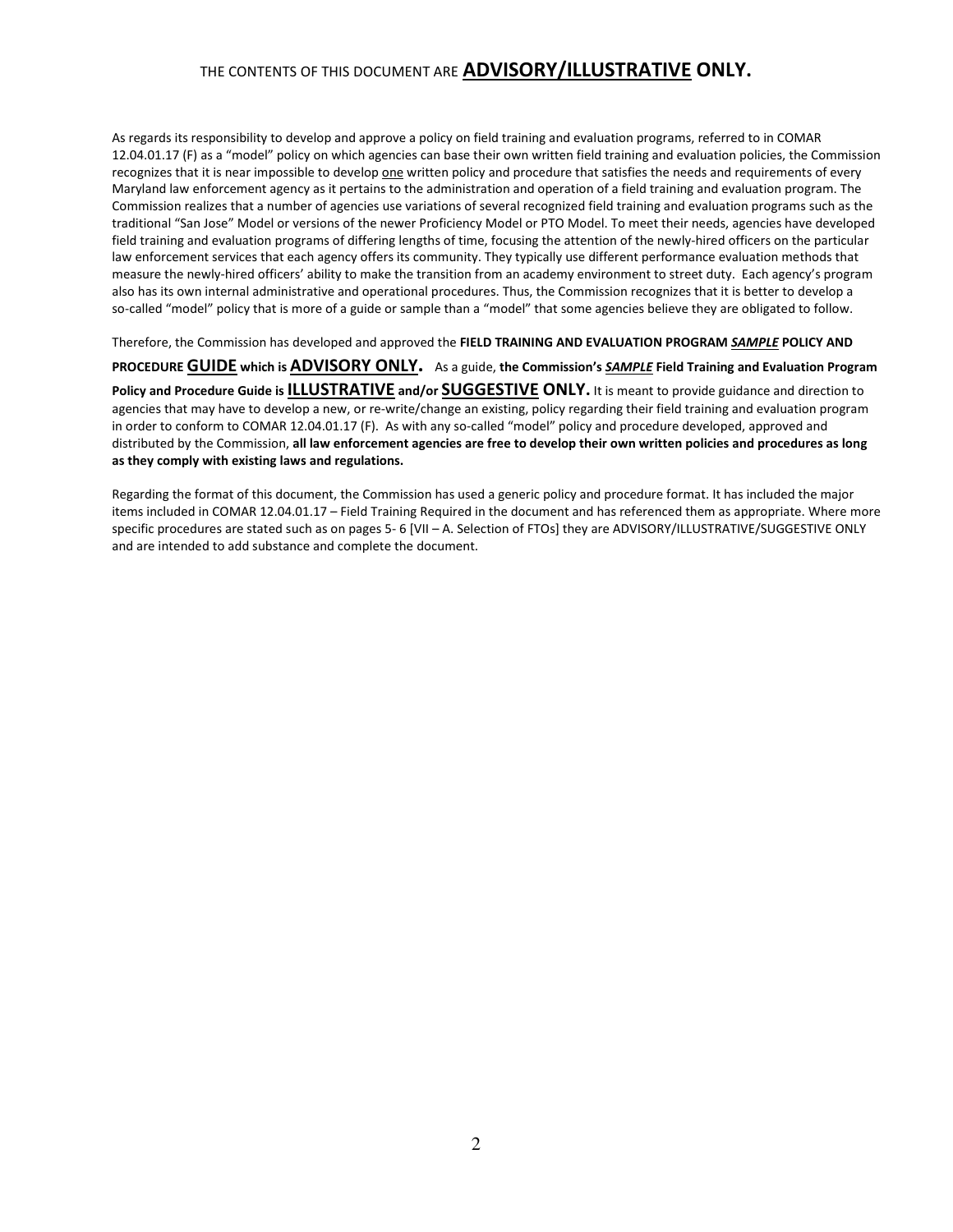As regards its responsibility to develop and approve a policy on field training and evaluation programs, referred to in COMAR 12.04.01.17 (F) as a "model" policy on which agencies can base their own written field training and evaluation policies, the Commission recognizes that it is near impossible to develop one written policy and procedure that satisfies the needs and requirements of every Maryland law enforcement agency as it pertains to the administration and operation of a field training and evaluation program. The Commission realizes that a number of agencies use variations of several recognized field training and evaluation programs such as the traditional "San Jose" Model or versions of the newer Proficiency Model or PTO Model. To meet their needs, agencies have developed field training and evaluation programs of differing lengths of time, focusing the attention of the newly-hired officers on the particular law enforcement services that each agency offers its community. They typically use different performance evaluation methods that measure the newly-hired officers' ability to make the transition from an academy environment to street duty. Each agency's program also has its own internal administrative and operational procedures. Thus, the Commission recognizes that it is better to develop a so-called "model" policy that is more of a guide or sample than a "model" that some agencies believe they are obligated to follow.

Therefore, the Commission has developed and approved the FIELD TRAINING AND EVALUATION PROGRAM SAMPLE POLICY AND

PROCEDURE GUIDE which is ADVISORY ONLY. As a guide, the Commission's SAMPLE Field Training and Evaluation Program Policy and Procedure Guide is ILLUSTRATIVE and/or SUGGESTIVE ONLY. It is meant to provide guidance and direction to agencies that may have to develop a new, or re-write/change an existing, policy regarding their field training and evaluation program in order to conform to COMAR 12.04.01.17 (F). As with any so-called "model" policy and procedure developed, approved and distributed by the Commission, all law enforcement agencies are free to develop their own written policies and procedures as long as they comply with existing laws and regulations.

Regarding the format of this document, the Commission has used a generic policy and procedure format. It has included the major items included in COMAR 12.04.01.17 – Field Training Required in the document and has referenced them as appropriate. Where more specific procedures are stated such as on pages 5- 6 [VII – A. Selection of FTOs] they are ADVISORY/ILLUSTRATIVE/SUGGESTIVE ONLY and are intended to add substance and complete the document.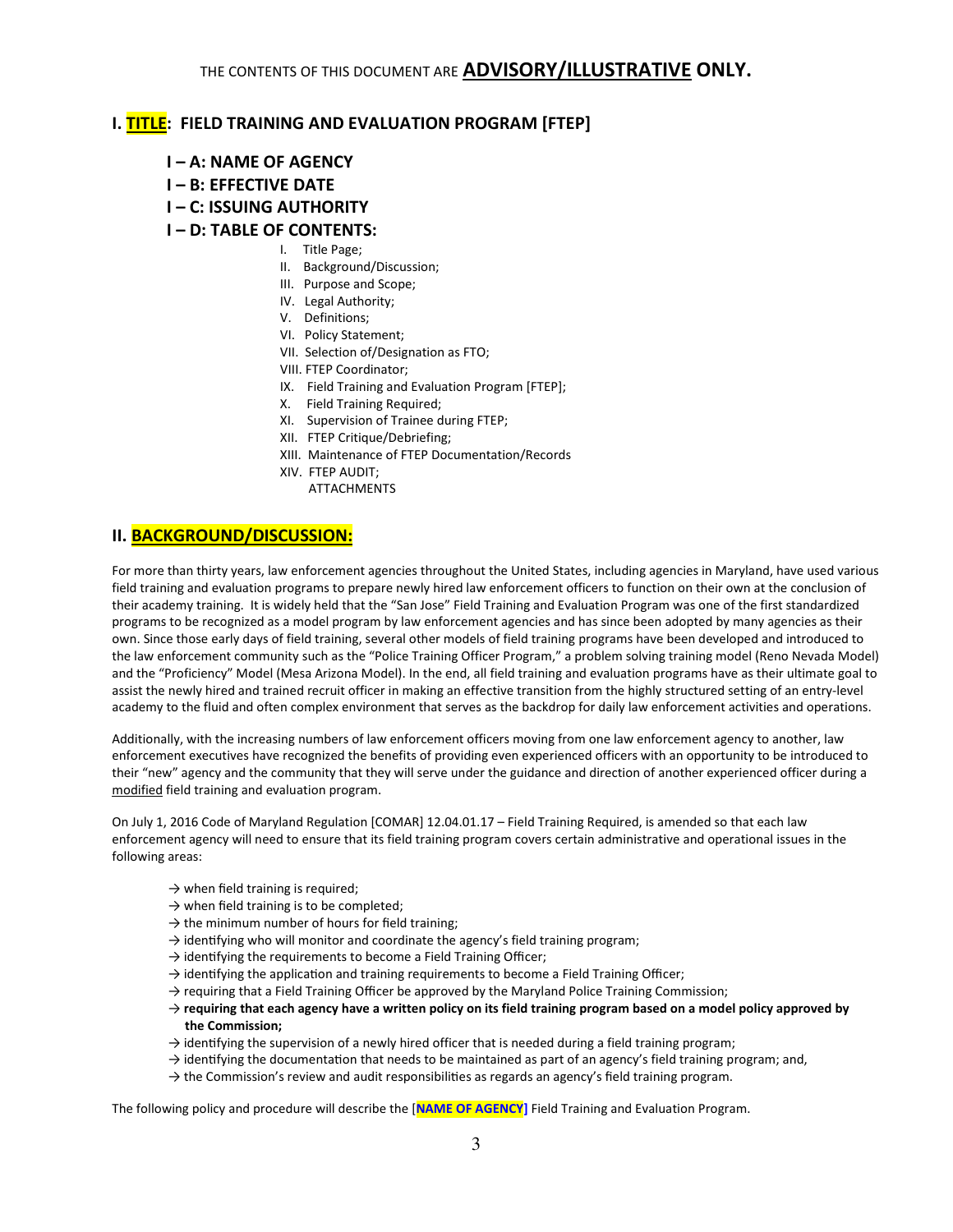## I. TITLE: FIELD TRAINING AND EVALUATION PROGRAM [FTEP]

- I A: NAME OF AGENCY
- I B: EFFECTIVE DATE
- I C: ISSUING AUTHORITY

### I – D: TABLE OF CONTENTS:

- I. Title Page;
- II. Background/Discussion;
- III. Purpose and Scope;
- IV. Legal Authority;
- V. Definitions;
- VI. Policy Statement;
- VII. Selection of/Designation as FTO;
- VIII. FTEP Coordinator;
- IX. Field Training and Evaluation Program [FTEP];
- X. Field Training Required;
- XI. Supervision of Trainee during FTEP;
- XII. FTEP Critique/Debriefing;
- XIII. Maintenance of FTEP Documentation/Records
- XIV. FTEP AUDIT;
	- ATTACHMENTS

## II. BACKGROUND/DISCUSSION:

For more than thirty years, law enforcement agencies throughout the United States, including agencies in Maryland, have used various field training and evaluation programs to prepare newly hired law enforcement officers to function on their own at the conclusion of their academy training. It is widely held that the "San Jose" Field Training and Evaluation Program was one of the first standardized programs to be recognized as a model program by law enforcement agencies and has since been adopted by many agencies as their own. Since those early days of field training, several other models of field training programs have been developed and introduced to the law enforcement community such as the "Police Training Officer Program," a problem solving training model (Reno Nevada Model) and the "Proficiency" Model (Mesa Arizona Model). In the end, all field training and evaluation programs have as their ultimate goal to assist the newly hired and trained recruit officer in making an effective transition from the highly structured setting of an entry-level academy to the fluid and often complex environment that serves as the backdrop for daily law enforcement activities and operations.

Additionally, with the increasing numbers of law enforcement officers moving from one law enforcement agency to another, law enforcement executives have recognized the benefits of providing even experienced officers with an opportunity to be introduced to their "new" agency and the community that they will serve under the guidance and direction of another experienced officer during a modified field training and evaluation program.

On July 1, 2016 Code of Maryland Regulation [COMAR] 12.04.01.17 – Field Training Required, is amended so that each law enforcement agency will need to ensure that its field training program covers certain administrative and operational issues in the following areas:

- $\rightarrow$  when field training is required;
- $\rightarrow$  when field training is to be completed;
- $\rightarrow$  the minimum number of hours for field training;
- $\rightarrow$  identifying who will monitor and coordinate the agency's field training program;
- $\rightarrow$  identifying the requirements to become a Field Training Officer;
- $\rightarrow$  identifying the application and training requirements to become a Field Training Officer;
- $\rightarrow$  requiring that a Field Training Officer be approved by the Maryland Police Training Commission;
- $\rightarrow$  requiring that each agency have a written policy on its field training program based on a model policy approved by the Commission;
- $\rightarrow$  identifying the supervision of a newly hired officer that is needed during a field training program;
- $\rightarrow$  identifying the documentation that needs to be maintained as part of an agency's field training program; and,
- $\rightarrow$  the Commission's review and audit responsibilities as regards an agency's field training program.

The following policy and procedure will describe the [NAME OF AGENCY] Field Training and Evaluation Program.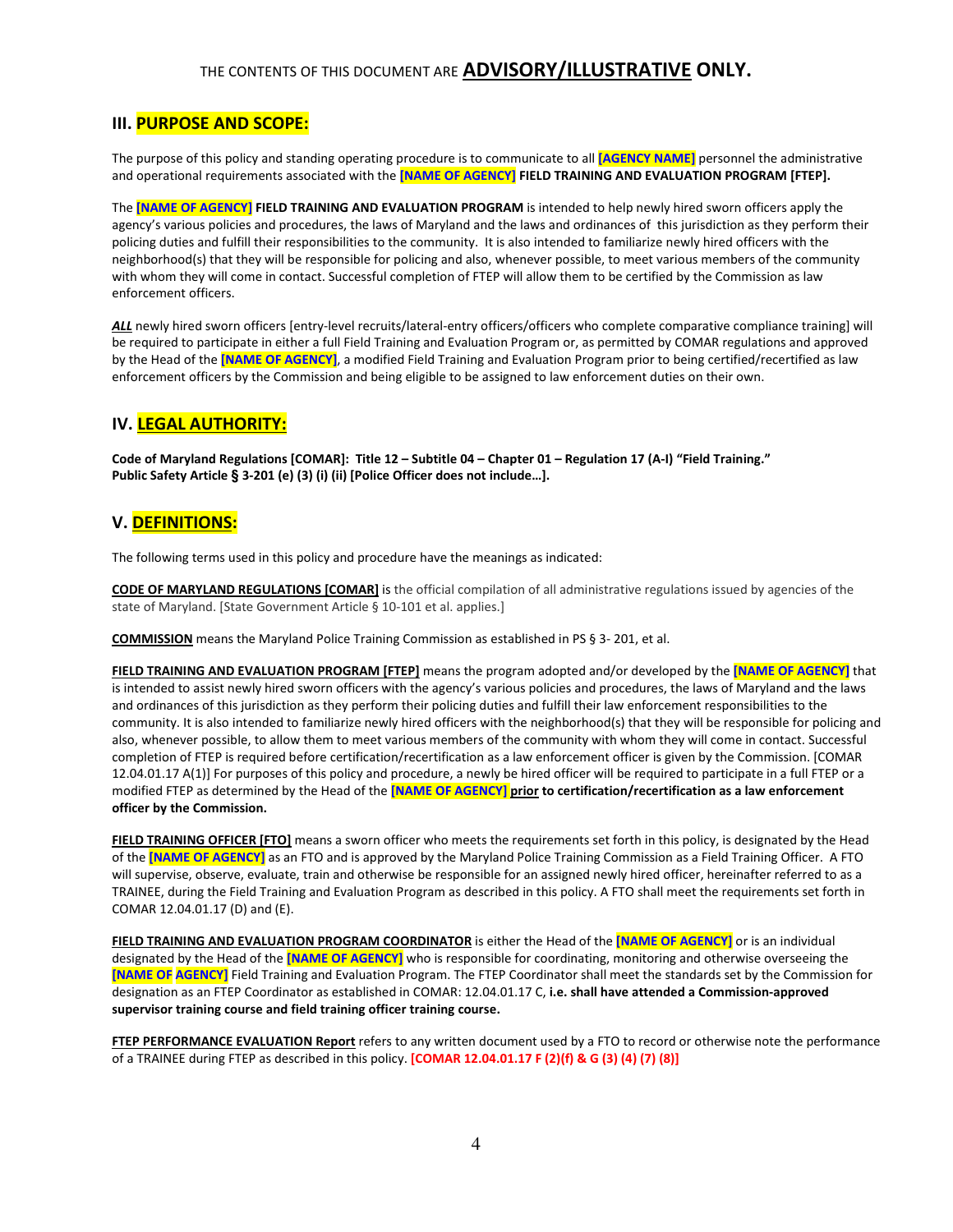## III. PURPOSE AND SCOPE:

The purpose of this policy and standing operating procedure is to communicate to all [AGENCY NAME] personnel the administrative and operational requirements associated with the [NAME OF AGENCY] FIELD TRAINING AND EVALUATION PROGRAM [FTEP].

The **[NAME OF AGENCY] FIELD TRAINING AND EVALUATION PROGRAM** is intended to help newly hired sworn officers apply the agency's various policies and procedures, the laws of Maryland and the laws and ordinances of this jurisdiction as they perform their policing duties and fulfill their responsibilities to the community. It is also intended to familiarize newly hired officers with the neighborhood(s) that they will be responsible for policing and also, whenever possible, to meet various members of the community with whom they will come in contact. Successful completion of FTEP will allow them to be certified by the Commission as law enforcement officers.

ALL newly hired sworn officers [entry-level recruits/lateral-entry officers/officers who complete comparative compliance training] will be required to participate in either a full Field Training and Evaluation Program or, as permitted by COMAR regulations and approved by the Head of the [NAME OF AGENCY], a modified Field Training and Evaluation Program prior to being certified/recertified as law enforcement officers by the Commission and being eligible to be assigned to law enforcement duties on their own.

### IV. LEGAL AUTHORITY:

Code of Maryland Regulations [COMAR]: Title 12 – Subtitle 04 – Chapter 01 – Regulation 17 (A-I) "Field Training." Public Safety Article **§** 3-201 (e) (3) (i) (ii) [Police Officer does not include…].

## V. DEFINITIONS:

The following terms used in this policy and procedure have the meanings as indicated:

CODE OF MARYLAND REGULATIONS [COMAR] is the official compilation of all administrative regulations issued by agencies of the state of Maryland. [State Government Article § 10-101 et al. applies.]

COMMISSION means the Maryland Police Training Commission as established in PS § 3- 201, et al.

FIELD TRAINING AND EVALUATION PROGRAM [FTEP] means the program adopted and/or developed by the [NAME OF AGENCY] that is intended to assist newly hired sworn officers with the agency's various policies and procedures, the laws of Maryland and the laws and ordinances of this jurisdiction as they perform their policing duties and fulfill their law enforcement responsibilities to the community. It is also intended to familiarize newly hired officers with the neighborhood(s) that they will be responsible for policing and also, whenever possible, to allow them to meet various members of the community with whom they will come in contact. Successful completion of FTEP is required before certification/recertification as a law enforcement officer is given by the Commission. [COMAR 12.04.01.17 A(1)] For purposes of this policy and procedure, a newly be hired officer will be required to participate in a full FTEP or a modified FTEP as determined by the Head of the [NAME OF AGENCY] prior to certification/recertification as a law enforcement officer by the Commission.

FIELD TRAINING OFFICER [FTO] means a sworn officer who meets the requirements set forth in this policy, is designated by the Head of the **[NAME OF AGENCY]** as an FTO and is approved by the Maryland Police Training Commission as a Field Training Officer. A FTO will supervise, observe, evaluate, train and otherwise be responsible for an assigned newly hired officer, hereinafter referred to as a TRAINEE, during the Field Training and Evaluation Program as described in this policy. A FTO shall meet the requirements set forth in COMAR 12.04.01.17 (D) and (E).

FIELD TRAINING AND EVALUATION PROGRAM COORDINATOR is either the Head of the [NAME OF AGENCY] or is an individual designated by the Head of the *[NAME OF AGENCY]* who is responsible for coordinating, monitoring and otherwise overseeing the [NAME OF AGENCY] Field Training and Evaluation Program. The FTEP Coordinator shall meet the standards set by the Commission for designation as an FTEP Coordinator as established in COMAR: 12.04.01.17 C, i.e. shall have attended a Commission-approved supervisor training course and field training officer training course.

FTEP PERFORMANCE EVALUATION Report refers to any written document used by a FTO to record or otherwise note the performance of a TRAINEE during FTEP as described in this policy. [COMAR 12.04.01.17 F (2)(f) & G (3) (4) (7) (8)]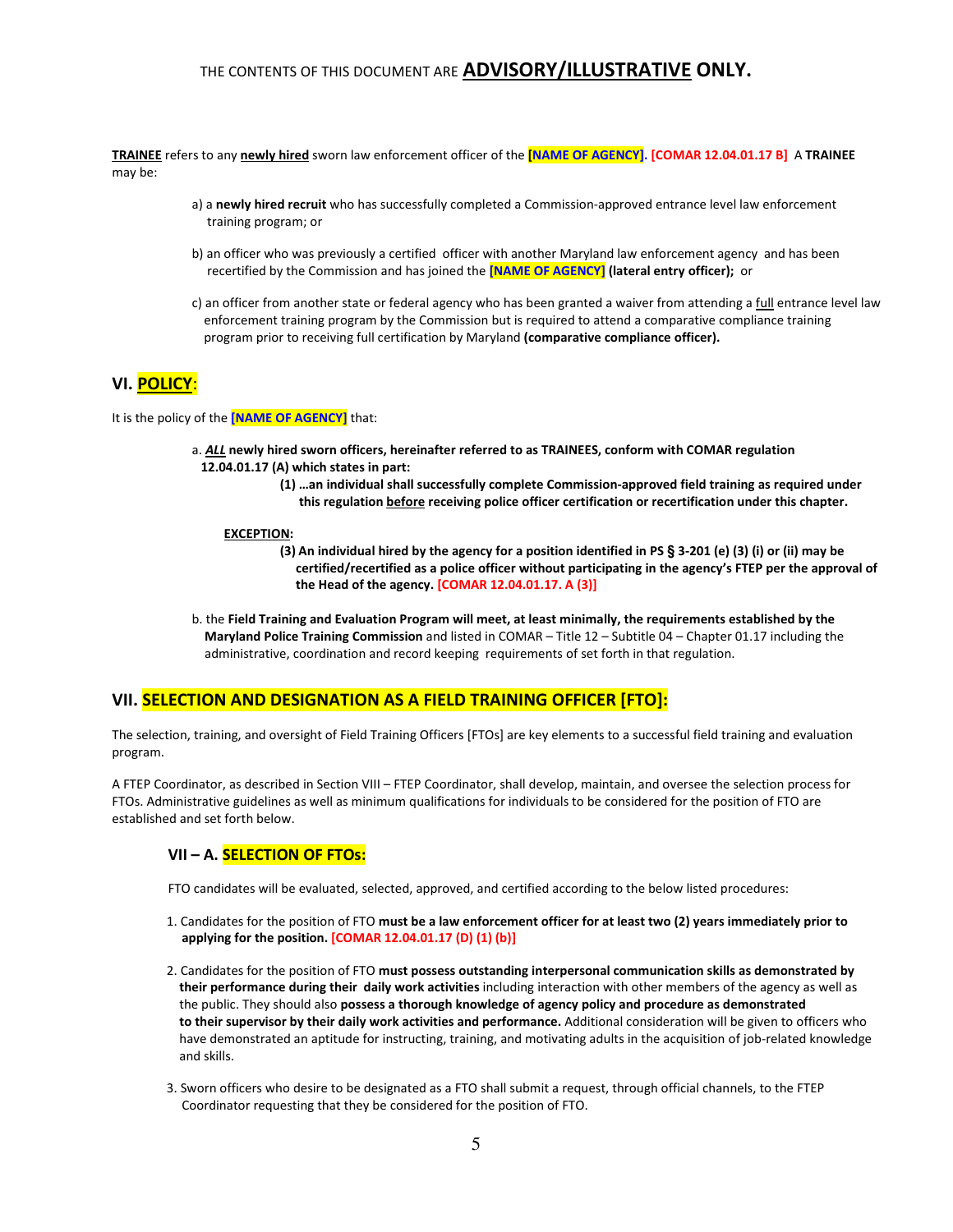TRAINEE refers to any newly hired sworn law enforcement officer of the [NAME OF AGENCY]. [COMAR 12.04.01.17 B] A TRAINEE may be:

- a) a newly hired recruit who has successfully completed a Commission-approved entrance level law enforcement training program; or
- b) an officer who was previously a certified officer with another Maryland law enforcement agency and has been recertified by the Commission and has joined the **[NAME OF AGENCY]** (lateral entry officer); or
- c) an officer from another state or federal agency who has been granted a waiver from attending a full entrance level law enforcement training program by the Commission but is required to attend a comparative compliance training program prior to receiving full certification by Maryland (comparative compliance officer).

## VI. POLICY:

It is the policy of the [NAME OF AGENCY] that:

- a. ALL newly hired sworn officers, hereinafter referred to as TRAINEES, conform with COMAR regulation 12.04.01.17 (A) which states in part:
	- (1) …an individual shall successfully complete Commission-approved field training as required under this regulation before receiving police officer certification or recertification under this chapter.

#### EXCEPTION:

- (3) An individual hired by the agency for a position identified in PS **§** 3-201 (e) (3) (i) or (ii) may be certified/recertified as a police officer without participating in the agency's FTEP per the approval of the Head of the agency. [COMAR 12.04.01.17. A (3)]
- b. the Field Training and Evaluation Program will meet, at least minimally, the requirements established by the Maryland Police Training Commission and listed in COMAR – Title 12 – Subtitle 04 – Chapter 01.17 including the administrative, coordination and record keeping requirements of set forth in that regulation.

## VII. SELECTION AND DESIGNATION AS A FIELD TRAINING OFFICER [FTO]:

The selection, training, and oversight of Field Training Officers [FTOs] are key elements to a successful field training and evaluation program.

A FTEP Coordinator, as described in Section VIII – FTEP Coordinator, shall develop, maintain, and oversee the selection process for FTOs. Administrative guidelines as well as minimum qualifications for individuals to be considered for the position of FTO are established and set forth below.

#### VII - A. **SELECTION OF FTOs:**

FTO candidates will be evaluated, selected, approved, and certified according to the below listed procedures:

- 1. Candidates for the position of FTO must be a law enforcement officer for at least two (2) years immediately prior to applying for the position. [COMAR 12.04.01.17 (D) (1) (b)]
- 2. Candidates for the position of FTO must possess outstanding interpersonal communication skills as demonstrated by their performance during their daily work activities including interaction with other members of the agency as well as the public. They should also possess a thorough knowledge of agency policy and procedure as demonstrated to their supervisor by their daily work activities and performance. Additional consideration will be given to officers who have demonstrated an aptitude for instructing, training, and motivating adults in the acquisition of job-related knowledge and skills.
- 3. Sworn officers who desire to be designated as a FTO shall submit a request, through official channels, to the FTEP Coordinator requesting that they be considered for the position of FTO.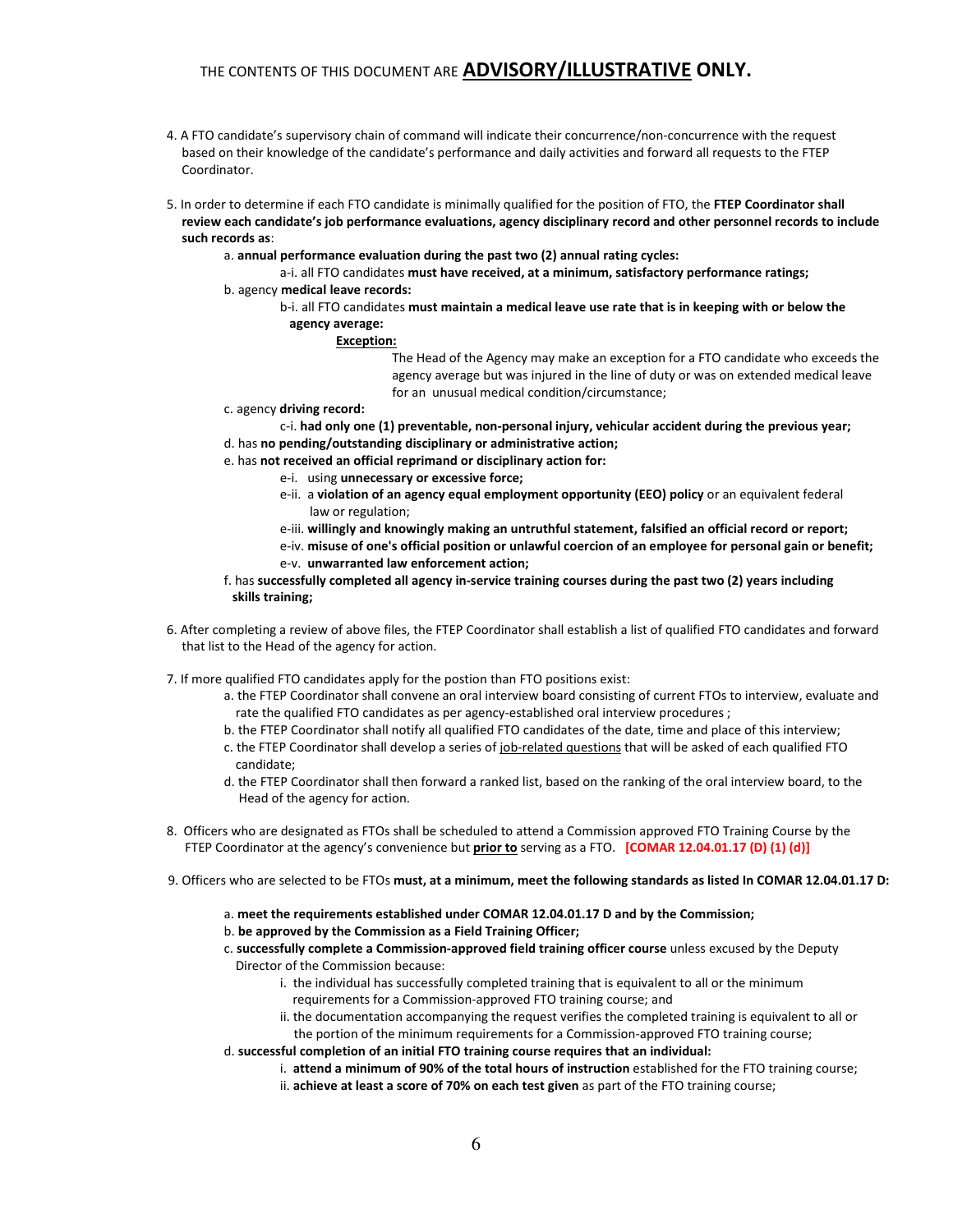- 4. A FTO candidate's supervisory chain of command will indicate their concurrence/non-concurrence with the request based on their knowledge of the candidate's performance and daily activities and forward all requests to the FTEP Coordinator.
- 5. In order to determine if each FTO candidate is minimally qualified for the position of FTO, the FTEP Coordinator shall review each candidate's job performance evaluations, agency disciplinary record and other personnel records to include such records as:
	- a. annual performance evaluation during the past two (2) annual rating cycles:
	- a-i. all FTO candidates must have received, at a minimum, satisfactory performance ratings; b. agency medical leave records:
		- b-i. all FTO candidates must maintain a medical leave use rate that is in keeping with or below the agency average:

#### Exception:

 The Head of the Agency may make an exception for a FTO candidate who exceeds the agency average but was injured in the line of duty or was on extended medical leave for an unusual medical condition/circumstance;

- c. agency driving record:
	- c-i. had only one (1) preventable, non-personal injury, vehicular accident during the previous year;
- d. has no pending/outstanding disciplinary or administrative action;
- e. has not received an official reprimand or disciplinary action for:
	- e-i. using unnecessary or excessive force;
	- e-ii. a violation of an agency equal employment opportunity (EEO) policy or an equivalent federal law or regulation;
	- e-iii. willingly and knowingly making an untruthful statement, falsified an official record or report;
	- e-iv. misuse of one's official position or unlawful coercion of an employee for personal gain or benefit; e-v. unwarranted law enforcement action;
- f. has successfully completed all agency in-service training courses during the past two (2) years including skills training;
- 6. After completing a review of above files, the FTEP Coordinator shall establish a list of qualified FTO candidates and forward that list to the Head of the agency for action.
- 7. If more qualified FTO candidates apply for the postion than FTO positions exist:
	- a. the FTEP Coordinator shall convene an oral interview board consisting of current FTOs to interview, evaluate and rate the qualified FTO candidates as per agency-established oral interview procedures ;
	- b. the FTEP Coordinator shall notify all qualified FTO candidates of the date, time and place of this interview;
	- c. the FTEP Coordinator shall develop a series of job-related questions that will be asked of each qualified FTO candidate;
	- d. the FTEP Coordinator shall then forward a ranked list, based on the ranking of the oral interview board, to the Head of the agency for action.
- 8. Officers who are designated as FTOs shall be scheduled to attend a Commission approved FTO Training Course by the FTEP Coordinator at the agency's convenience but **prior to** serving as a FTO. [COMAR 12.04.01.17 (D) (1) (d)]
- 9. Officers who are selected to be FTOs must, at a minimum, meet the following standards as listed In COMAR 12.04.01.17 D:
	- a. meet the requirements established under COMAR 12.04.01.17 D and by the Commission;
	- b. be approved by the Commission as a Field Training Officer;
	- c. successfully complete a Commission-approved field training officer course unless excused by the Deputy Director of the Commission because:
		- i. the individual has successfully completed training that is equivalent to all or the minimum requirements for a Commission-approved FTO training course; and
		- ii. the documentation accompanying the request verifies the completed training is equivalent to all or the portion of the minimum requirements for a Commission-approved FTO training course;
	- d. successful completion of an initial FTO training course requires that an individual:
		- i. attend a minimum of 90% of the total hours of instruction established for the FTO training course;
			- ii. achieve at least a score of 70% on each test given as part of the FTO training course;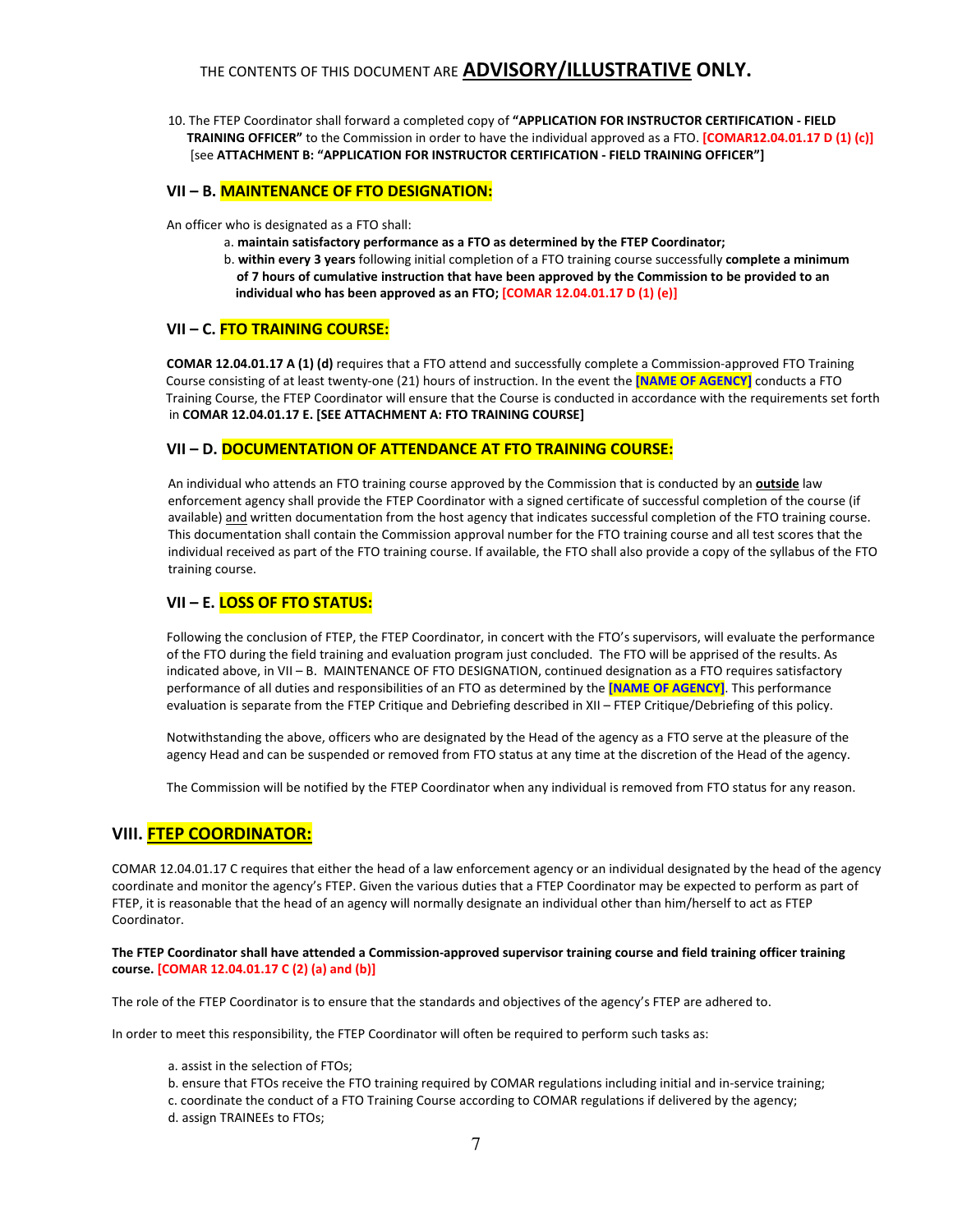10. The FTEP Coordinator shall forward a completed copy of "APPLICATION FOR INSTRUCTOR CERTIFICATION - FIELD TRAINING OFFICER" to the Commission in order to have the individual approved as a FTO. [COMAR12.04.01.17 D (1) (c)] [see ATTACHMENT B: "APPLICATION FOR INSTRUCTOR CERTIFICATION - FIELD TRAINING OFFICER"]

#### VII – B. MAINTENANCE OF FTO DESIGNATION:

An officer who is designated as a FTO shall:

- a. maintain satisfactory performance as a FTO as determined by the FTEP Coordinator;
- b. within every 3 years following initial completion of a FTO training course successfully complete a minimum of 7 hours of cumulative instruction that have been approved by the Commission to be provided to an individual who has been approved as an FTO; [COMAR 12.04.01.17 D (1) (e)]

#### VII - C. FTO TRAINING COURSE:

COMAR 12.04.01.17 A (1) (d) requires that a FTO attend and successfully complete a Commission-approved FTO Training Course consisting of at least twenty-one (21) hours of instruction. In the event the [NAME OF AGENCY] conducts a FTO Training Course, the FTEP Coordinator will ensure that the Course is conducted in accordance with the requirements set forth in COMAR 12.04.01.17 E. [SEE ATTACHMENT A: FTO TRAINING COURSE]

#### VII – D. DOCUMENTATION OF ATTENDANCE AT FTO TRAINING COURSE:

An individual who attends an FTO training course approved by the Commission that is conducted by an **outside** law enforcement agency shall provide the FTEP Coordinator with a signed certificate of successful completion of the course (if available) and written documentation from the host agency that indicates successful completion of the FTO training course. This documentation shall contain the Commission approval number for the FTO training course and all test scores that the individual received as part of the FTO training course. If available, the FTO shall also provide a copy of the syllabus of the FTO training course.

#### VII – E. <mark>LOSS OF FTO STATUS:</mark>

Following the conclusion of FTEP, the FTEP Coordinator, in concert with the FTO's supervisors, will evaluate the performance of the FTO during the field training and evaluation program just concluded. The FTO will be apprised of the results. As indicated above, in VII – B. MAINTENANCE OF FTO DESIGNATION, continued designation as a FTO requires satisfactory performance of all duties and responsibilities of an FTO as determined by the **[NAME OF AGENCY]**. This performance evaluation is separate from the FTEP Critique and Debriefing described in XII – FTEP Critique/Debriefing of this policy.

Notwithstanding the above, officers who are designated by the Head of the agency as a FTO serve at the pleasure of the agency Head and can be suspended or removed from FTO status at any time at the discretion of the Head of the agency.

The Commission will be notified by the FTEP Coordinator when any individual is removed from FTO status for any reason.

#### VIII. FTEP COORDINATOR:

COMAR 12.04.01.17 C requires that either the head of a law enforcement agency or an individual designated by the head of the agency coordinate and monitor the agency's FTEP. Given the various duties that a FTEP Coordinator may be expected to perform as part of FTEP, it is reasonable that the head of an agency will normally designate an individual other than him/herself to act as FTEP Coordinator.

#### The FTEP Coordinator shall have attended a Commission-approved supervisor training course and field training officer training course. [COMAR 12.04.01.17 C (2) (a) and (b)]

The role of the FTEP Coordinator is to ensure that the standards and objectives of the agency's FTEP are adhered to.

In order to meet this responsibility, the FTEP Coordinator will often be required to perform such tasks as:

#### a. assist in the selection of FTOs;

b. ensure that FTOs receive the FTO training required by COMAR regulations including initial and in-service training;

c. coordinate the conduct of a FTO Training Course according to COMAR regulations if delivered by the agency; d. assign TRAINEEs to FTOs;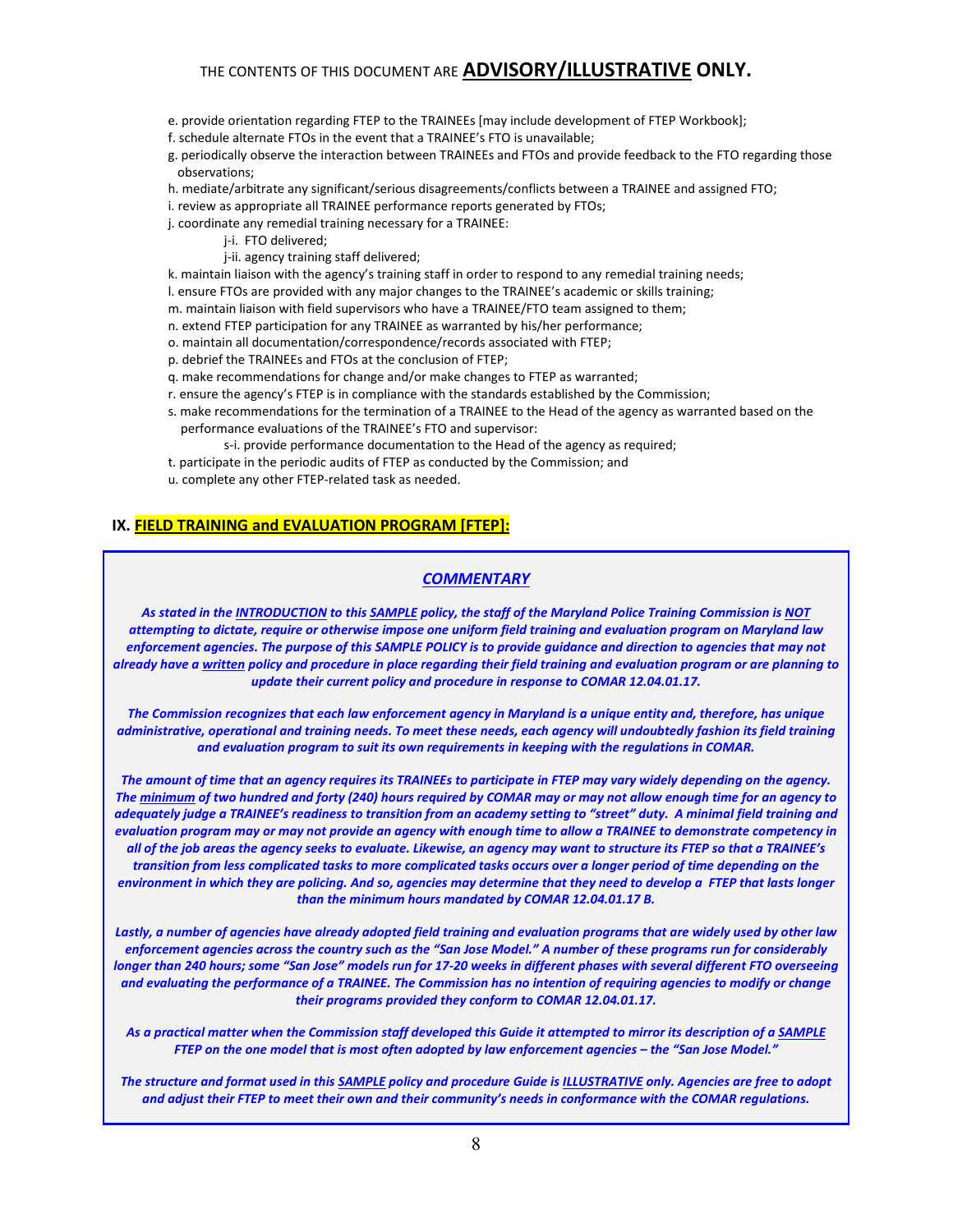- e. provide orientation regarding FTEP to the TRAINEEs [may include development of FTEP Workbook];
- f. schedule alternate FTOs in the event that a TRAINEE's FTO is unavailable;
- g. periodically observe the interaction between TRAINEEs and FTOs and provide feedback to the FTO regarding those observations;
- h. mediate/arbitrate any significant/serious disagreements/conflicts between a TRAINEE and assigned FTO;
- i. review as appropriate all TRAINEE performance reports generated by FTOs;
- j. coordinate any remedial training necessary for a TRAINEE:
	- j-i. FTO delivered;
	- j-ii. agency training staff delivered;

k. maintain liaison with the agency's training staff in order to respond to any remedial training needs;

l. ensure FTOs are provided with any major changes to the TRAINEE's academic or skills training;

m. maintain liaison with field supervisors who have a TRAINEE/FTO team assigned to them;

- n. extend FTEP participation for any TRAINEE as warranted by his/her performance;
- o. maintain all documentation/correspondence/records associated with FTEP;

p. debrief the TRAINEEs and FTOs at the conclusion of FTEP;

- q. make recommendations for change and/or make changes to FTEP as warranted;
- r. ensure the agency's FTEP is in compliance with the standards established by the Commission;
- s. make recommendations for the termination of a TRAINEE to the Head of the agency as warranted based on the performance evaluations of the TRAINEE's FTO and supervisor:
	- s-i. provide performance documentation to the Head of the agency as required;
- t. participate in the periodic audits of FTEP as conducted by the Commission; and
- u. complete any other FTEP-related task as needed.

#### IX. FIELD TRAINING and EVALUATION PROGRAM [FTEP]:

#### **COMMENTARY**

As stated in the INTRODUCTION to this SAMPLE policy, the staff of the Maryland Police Training Commission is NOT attempting to dictate, require or otherwise impose one uniform field training and evaluation program on Maryland law enforcement agencies. The purpose of this SAMPLE POLICY is to provide guidance and direction to agencies that may not already have a written policy and procedure in place regarding their field training and evaluation program or are planning to update their current policy and procedure in response to COMAR 12.04.01.17.

The Commission recognizes that each law enforcement agency in Maryland is a unique entity and, therefore, has unique administrative, operational and training needs. To meet these needs, each agency will undoubtedly fashion its field training and evaluation program to suit its own requirements in keeping with the regulations in COMAR.

The amount of time that an agency requires its TRAINEEs to participate in FTEP may vary widely depending on the agency. The minimum of two hundred and forty (240) hours required by COMAR may or may not allow enough time for an agency to adequately judge a TRAINEE's readiness to transition from an academy setting to "street" duty. A minimal field training and evaluation program may or may not provide an agency with enough time to allow a TRAINEE to demonstrate competency in all of the job areas the agency seeks to evaluate. Likewise, an agency may want to structure its FTEP so that a TRAINEE's transition from less complicated tasks to more complicated tasks occurs over a longer period of time depending on the environment in which they are policing. And so, agencies may determine that they need to develop a FTEP that lasts longer than the minimum hours mandated by COMAR 12.04.01.17 B.

Lastly, a number of agencies have already adopted field training and evaluation programs that are widely used by other law enforcement agencies across the country such as the "San Jose Model." A number of these programs run for considerably longer than 240 hours; some "San Jose" models run for 17-20 weeks in different phases with several different FTO overseeing and evaluating the performance of a TRAINEE. The Commission has no intention of requiring agencies to modify or change their programs provided they conform to COMAR 12.04.01.17.

As a practical matter when the Commission staff developed this Guide it attempted to mirror its description of a SAMPLE FTEP on the one model that is most often adopted by law enforcement agencies – the "San Jose Model."

The structure and format used in this SAMPLE policy and procedure Guide is ILLUSTRATIVE only. Agencies are free to adopt and adjust their FTEP to meet their own and their community's needs in conformance with the COMAR regulations.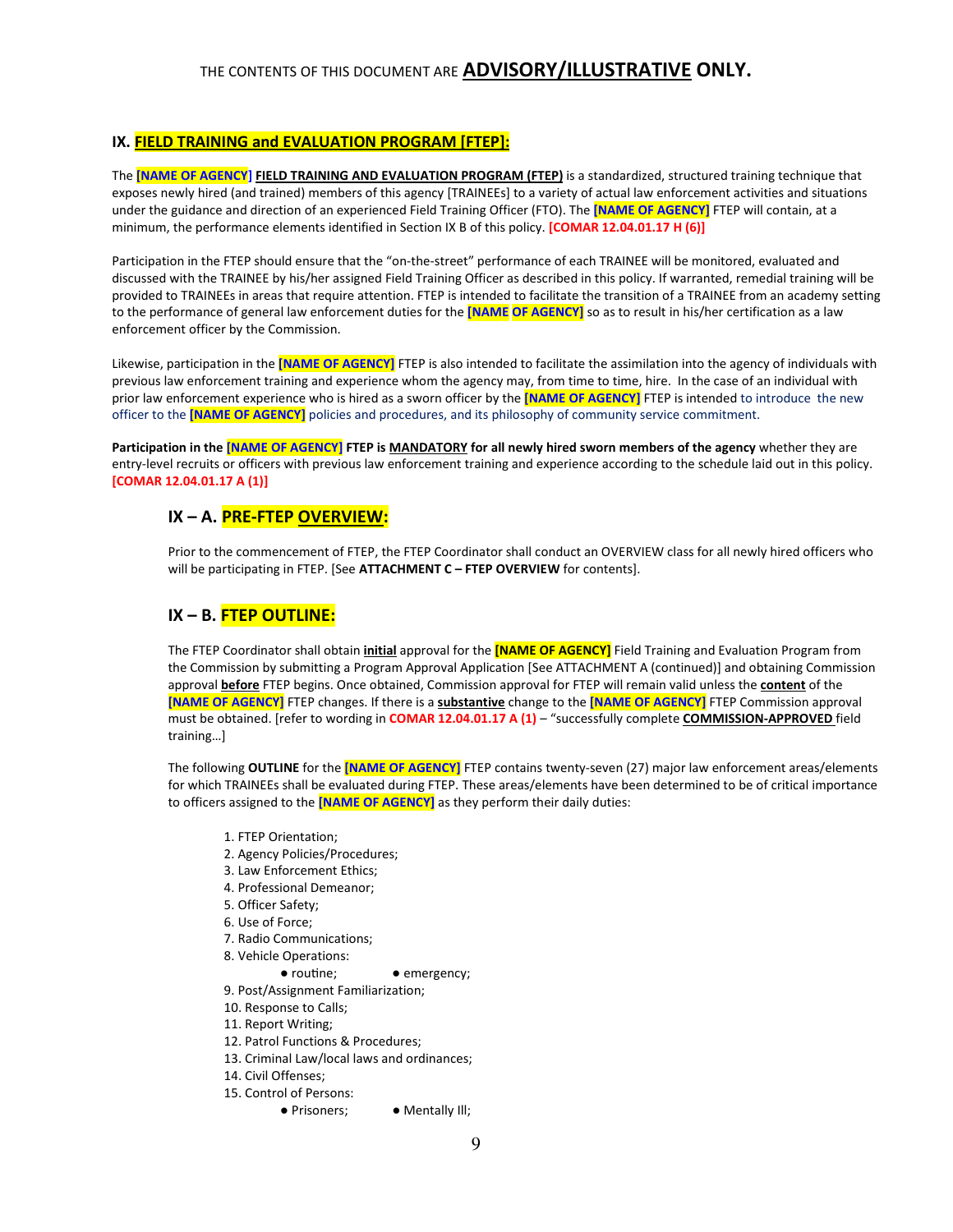#### IX. FIELD TRAINING and EVALUATION PROGRAM [FTEP]:

The [NAME OF AGENCY] FIELD TRAINING AND EVALUATION PROGRAM (FTEP) is a standardized, structured training technique that exposes newly hired (and trained) members of this agency [TRAINEEs] to a variety of actual law enforcement activities and situations under the guidance and direction of an experienced Field Training Officer (FTO). The **[NAME OF AGENCY]** FTEP will contain, at a minimum, the performance elements identified in Section IX B of this policy. [COMAR 12.04.01.17 H (6)]

Participation in the FTEP should ensure that the "on-the-street" performance of each TRAINEE will be monitored, evaluated and discussed with the TRAINEE by his/her assigned Field Training Officer as described in this policy. If warranted, remedial training will be provided to TRAINEEs in areas that require attention. FTEP is intended to facilitate the transition of a TRAINEE from an academy setting to the performance of general law enforcement duties for the **[NAME OF AGENCY]** so as to result in his/her certification as a law enforcement officer by the Commission.

Likewise, participation in the [NAME OF AGENCY] FTEP is also intended to facilitate the assimilation into the agency of individuals with previous law enforcement training and experience whom the agency may, from time to time, hire. In the case of an individual with prior law enforcement experience who is hired as a sworn officer by the **[NAME OF AGENCY]** FTEP is intended to introduce the new officer to the **[NAME OF AGENCY]** policies and procedures, and its philosophy of community service commitment.

Participation in the **[NAME OF AGENCY]** FTEP is MANDATORY for all newly hired sworn members of the agency whether they are entry-level recruits or officers with previous law enforcement training and experience according to the schedule laid out in this policy. [COMAR 12.04.01.17 A (1)]

## IX – A. PRE-FTEP OVERVIEW:

Prior to the commencement of FTEP, the FTEP Coordinator shall conduct an OVERVIEW class for all newly hired officers who will be participating in FTEP. [See ATTACHMENT C - FTEP OVERVIEW for contents].

## IX – B. FTEP OUTLINE:

The FTEP Coordinator shall obtain *initial* approval for the [NAME OF AGENCY] Field Training and Evaluation Program from the Commission by submitting a Program Approval Application [See ATTACHMENT A (continued)] and obtaining Commission approval **before** FTEP begins. Once obtained, Commission approval for FTEP will remain valid unless the **content** of the [NAME OF AGENCY] FTEP changes. If there is a substantive change to the [NAME OF AGENCY] FTEP Commission approval must be obtained. [refer to wording in COMAR 12.04.01.17 A (1) - "successfully complete COMMISSION-APPROVED field training…]

The following OUTLINE for the **[NAME OF AGENCY]** FTEP contains twenty-seven (27) major law enforcement areas/elements for which TRAINEEs shall be evaluated during FTEP. These areas/elements have been determined to be of critical importance to officers assigned to the **[NAME OF AGENCY]** as they perform their daily duties:

- 1. FTEP Orientation;
- 2. Agency Policies/Procedures;
- 3. Law Enforcement Ethics;
- 4. Professional Demeanor;
- 5. Officer Safety;
- 6. Use of Force;
- 7. Radio Communications;
- 8. Vehicle Operations:
	- routine; emergency;
- 9. Post/Assignment Familiarization;
- 10. Response to Calls;
- 11. Report Writing;
- 12. Patrol Functions & Procedures;
- 13. Criminal Law/local laws and ordinances;
- 14. Civil Offenses;
- 15. Control of Persons:
	- Prisoners; Mentally Ill;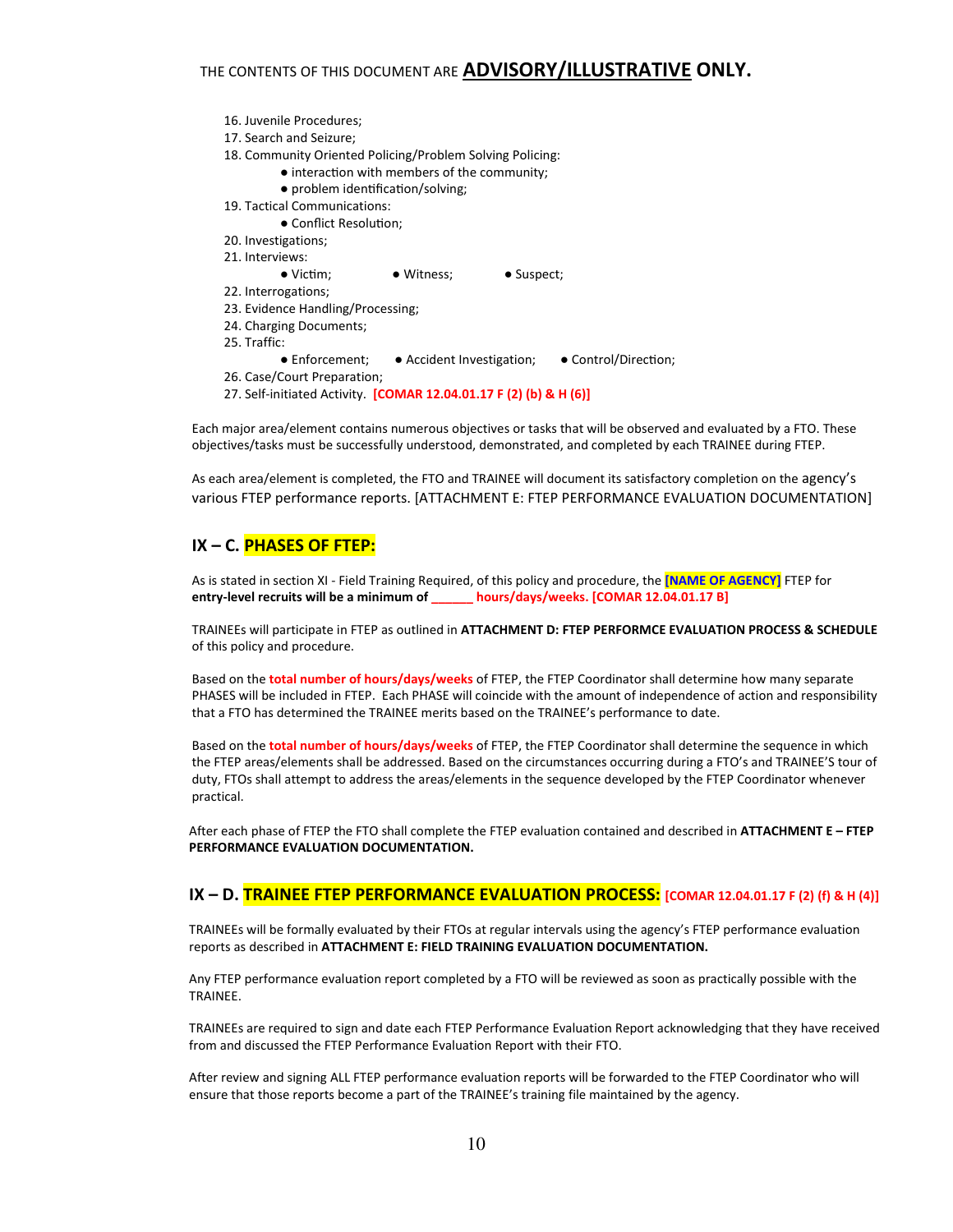- 16. Juvenile Procedures; 17. Search and Seizure; 18. Community Oriented Policing/Problem Solving Policing: • interaction with members of the community; • problem identification/solving; 19. Tactical Communications: • Conflict Resolution; 20. Investigations; 21. Interviews: • Victim; • Witness; • Suspect; 22. Interrogations; 23. Evidence Handling/Processing; 24. Charging Documents; 25. Traffic: ● Enforcement; ● Accident Investigation; ● Control/Direction; 26. Case/Court Preparation;
- 27. Self-initiated Activity. [COMAR 12.04.01.17 F (2) (b) & H (6)]

Each major area/element contains numerous objectives or tasks that will be observed and evaluated by a FTO. These objectives/tasks must be successfully understood, demonstrated, and completed by each TRAINEE during FTEP.

As each area/element is completed, the FTO and TRAINEE will document its satisfactory completion on the agency's various FTEP performance reports. [ATTACHMENT E: FTEP PERFORMANCE EVALUATION DOCUMENTATION]

#### IX – C. PHASES OF FTEP:

As is stated in section XI - Field Training Required, of this policy and procedure, the [NAME OF AGENCY] FTEP for entry-level recruits will be a minimum of \_\_\_\_\_\_ hours/days/weeks. [COMAR 12.04.01.17 B]

TRAINEEs will participate in FTEP as outlined in ATTACHMENT D: FTEP PERFORMCE EVALUATION PROCESS & SCHEDULE of this policy and procedure.

Based on the total number of hours/days/weeks of FTEP, the FTEP Coordinator shall determine how many separate PHASES will be included in FTEP. Each PHASE will coincide with the amount of independence of action and responsibility that a FTO has determined the TRAINEE merits based on the TRAINEE's performance to date.

Based on the total number of hours/days/weeks of FTEP, the FTEP Coordinator shall determine the sequence in which the FTEP areas/elements shall be addressed. Based on the circumstances occurring during a FTO's and TRAINEE'S tour of duty, FTOs shall attempt to address the areas/elements in the sequence developed by the FTEP Coordinator whenever practical.

After each phase of FTEP the FTO shall complete the FTEP evaluation contained and described in ATTACHMENT E - FTEP PERFORMANCE EVALUATION DOCUMENTATION.

#### IX - D. TRAINEE FTEP PERFORMANCE EVALUATION PROCESS: [COMAR 12.04.01.17 F (2) (f) & H (4)]

TRAINEEs will be formally evaluated by their FTOs at regular intervals using the agency's FTEP performance evaluation reports as described in ATTACHMENT E: FIELD TRAINING EVALUATION DOCUMENTATION.

Any FTEP performance evaluation report completed by a FTO will be reviewed as soon as practically possible with the TRAINEE.

TRAINEEs are required to sign and date each FTEP Performance Evaluation Report acknowledging that they have received from and discussed the FTEP Performance Evaluation Report with their FTO.

After review and signing ALL FTEP performance evaluation reports will be forwarded to the FTEP Coordinator who will ensure that those reports become a part of the TRAINEE's training file maintained by the agency.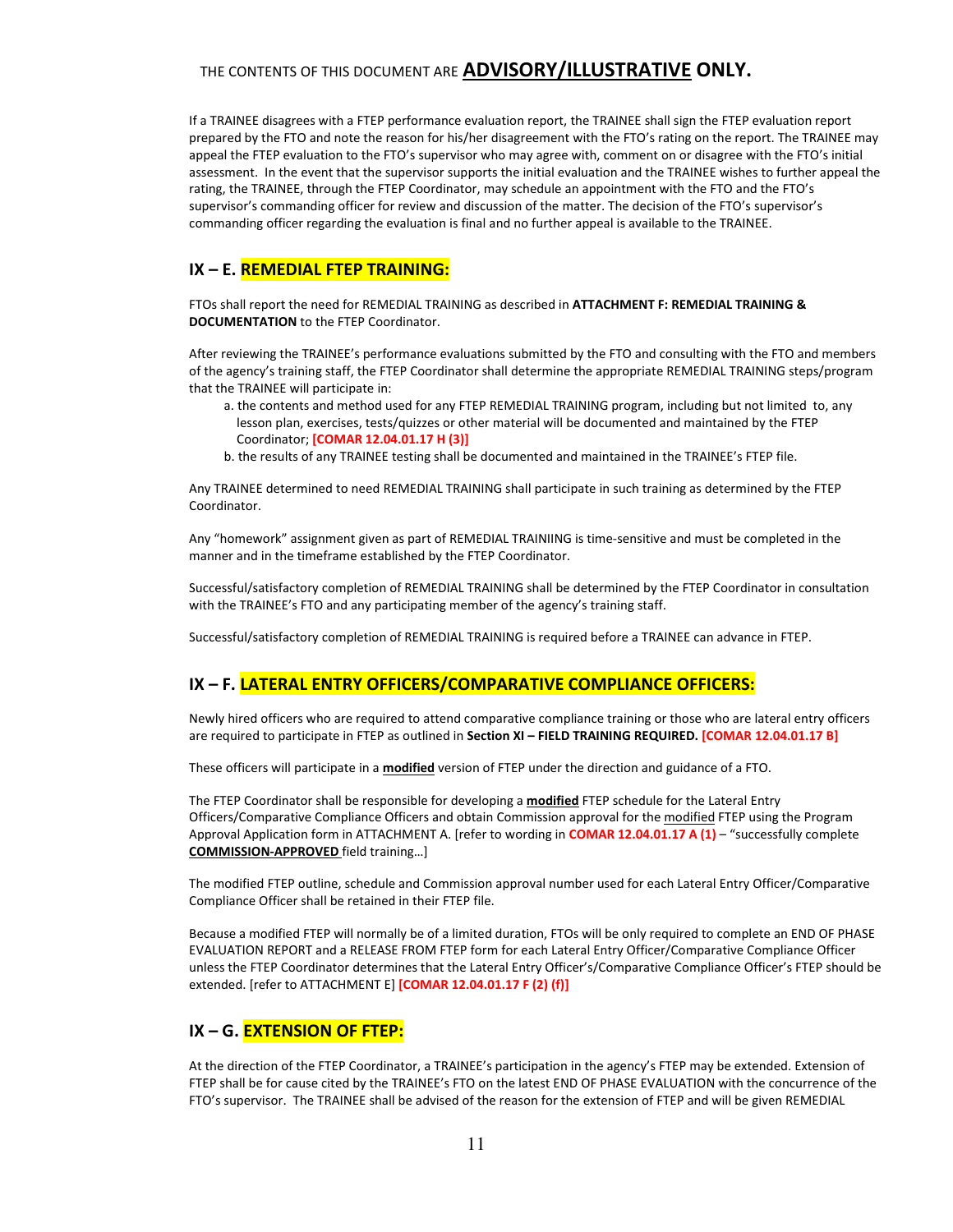If a TRAINEE disagrees with a FTEP performance evaluation report, the TRAINEE shall sign the FTEP evaluation report prepared by the FTO and note the reason for his/her disagreement with the FTO's rating on the report. The TRAINEE may appeal the FTEP evaluation to the FTO's supervisor who may agree with, comment on or disagree with the FTO's initial assessment. In the event that the supervisor supports the initial evaluation and the TRAINEE wishes to further appeal the rating, the TRAINEE, through the FTEP Coordinator, may schedule an appointment with the FTO and the FTO's supervisor's commanding officer for review and discussion of the matter. The decision of the FTO's supervisor's commanding officer regarding the evaluation is final and no further appeal is available to the TRAINEE.

## IX – E. REMEDIAL FTEP TRAINING:

FTOs shall report the need for REMEDIAL TRAINING as described in ATTACHMENT F: REMEDIAL TRAINING & DOCUMENTATION to the FTEP Coordinator.

After reviewing the TRAINEE's performance evaluations submitted by the FTO and consulting with the FTO and members of the agency's training staff, the FTEP Coordinator shall determine the appropriate REMEDIAL TRAINING steps/program that the TRAINEE will participate in:

- a. the contents and method used for any FTEP REMEDIAL TRAINING program, including but not limited to, any lesson plan, exercises, tests/quizzes or other material will be documented and maintained by the FTEP Coordinator; [COMAR 12.04.01.17 H (3)]
- b. the results of any TRAINEE testing shall be documented and maintained in the TRAINEE's FTEP file.

Any TRAINEE determined to need REMEDIAL TRAINING shall participate in such training as determined by the FTEP Coordinator.

Any "homework" assignment given as part of REMEDIAL TRAINIING is time-sensitive and must be completed in the manner and in the timeframe established by the FTEP Coordinator.

Successful/satisfactory completion of REMEDIAL TRAINING shall be determined by the FTEP Coordinator in consultation with the TRAINEE's FTO and any participating member of the agency's training staff.

Successful/satisfactory completion of REMEDIAL TRAINING is required before a TRAINEE can advance in FTEP.

## IX – F. LATERAL ENTRY OFFICERS/COMPARATIVE COMPLIANCE OFFICERS:

Newly hired officers who are required to attend comparative compliance training or those who are lateral entry officers are required to participate in FTEP as outlined in Section XI - FIELD TRAINING REQUIRED. [COMAR 12.04.01.17 B]

These officers will participate in a modified version of FTEP under the direction and guidance of a FTO.

The FTEP Coordinator shall be responsible for developing a modified FTEP schedule for the Lateral Entry Officers/Comparative Compliance Officers and obtain Commission approval for the modified FTEP using the Program Approval Application form in ATTACHMENT A. [refer to wording in **COMAR 12.04.01.17 A (1)** – "successfully complete COMMISSION-APPROVED field training…]

The modified FTEP outline, schedule and Commission approval number used for each Lateral Entry Officer/Comparative Compliance Officer shall be retained in their FTEP file.

Because a modified FTEP will normally be of a limited duration, FTOs will be only required to complete an END OF PHASE EVALUATION REPORT and a RELEASE FROM FTEP form for each Lateral Entry Officer/Comparative Compliance Officer unless the FTEP Coordinator determines that the Lateral Entry Officer's/Comparative Compliance Officer's FTEP should be extended. [refer to ATTACHMENT E] [COMAR 12.04.01.17 F (2) (f)]

## IX – G. EXTENSION OF FTEP:

At the direction of the FTEP Coordinator, a TRAINEE's participation in the agency's FTEP may be extended. Extension of FTEP shall be for cause cited by the TRAINEE's FTO on the latest END OF PHASE EVALUATION with the concurrence of the FTO's supervisor. The TRAINEE shall be advised of the reason for the extension of FTEP and will be given REMEDIAL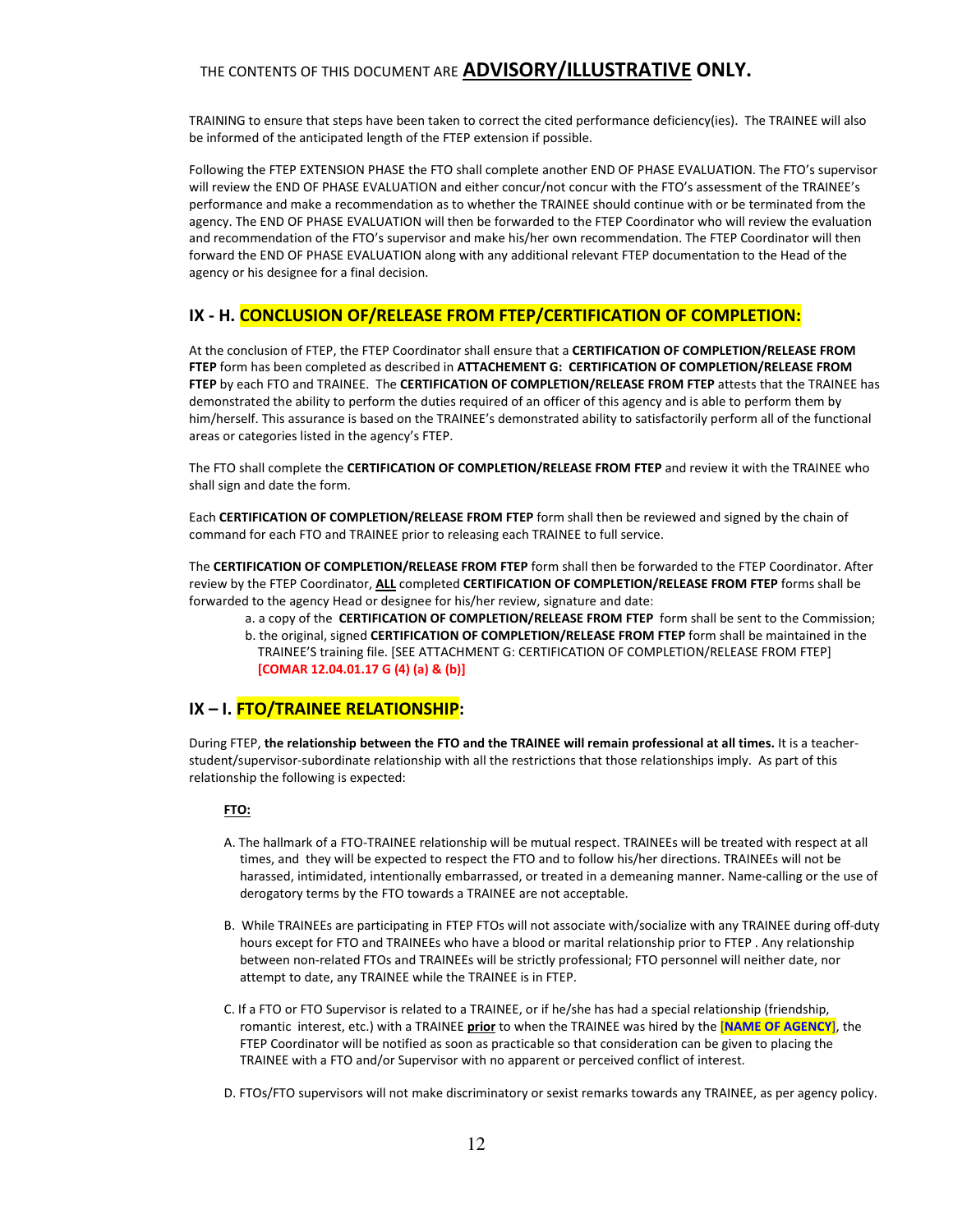TRAINING to ensure that steps have been taken to correct the cited performance deficiency(ies). The TRAINEE will also be informed of the anticipated length of the FTEP extension if possible.

Following the FTEP EXTENSION PHASE the FTO shall complete another END OF PHASE EVALUATION. The FTO's supervisor will review the END OF PHASE EVALUATION and either concur/not concur with the FTO's assessment of the TRAINEE's performance and make a recommendation as to whether the TRAINEE should continue with or be terminated from the agency. The END OF PHASE EVALUATION will then be forwarded to the FTEP Coordinator who will review the evaluation and recommendation of the FTO's supervisor and make his/her own recommendation. The FTEP Coordinator will then forward the END OF PHASE EVALUATION along with any additional relevant FTEP documentation to the Head of the agency or his designee for a final decision.

## IX - H. CONCLUSION OF/RELEASE FROM FTEP/CERTIFICATION OF COMPLETION:

At the conclusion of FTEP, the FTEP Coordinator shall ensure that a CERTIFICATION OF COMPLETION/RELEASE FROM FTEP form has been completed as described in ATTACHEMENT G: CERTIFICATION OF COMPLETION/RELEASE FROM FTEP by each FTO and TRAINEE. The CERTIFICATION OF COMPLETION/RELEASE FROM FTEP attests that the TRAINEE has demonstrated the ability to perform the duties required of an officer of this agency and is able to perform them by him/herself. This assurance is based on the TRAINEE's demonstrated ability to satisfactorily perform all of the functional areas or categories listed in the agency's FTEP.

The FTO shall complete the CERTIFICATION OF COMPLETION/RELEASE FROM FTEP and review it with the TRAINEE who shall sign and date the form.

Each CERTIFICATION OF COMPLETION/RELEASE FROM FTEP form shall then be reviewed and signed by the chain of command for each FTO and TRAINEE prior to releasing each TRAINEE to full service.

The CERTIFICATION OF COMPLETION/RELEASE FROM FTEP form shall then be forwarded to the FTEP Coordinator. After review by the FTEP Coordinator, ALL completed CERTIFICATION OF COMPLETION/RELEASE FROM FTEP forms shall be forwarded to the agency Head or designee for his/her review, signature and date:

a. a copy of the CERTIFICATION OF COMPLETION/RELEASE FROM FTEP form shall be sent to the Commission; b. the original, signed CERTIFICATION OF COMPLETION/RELEASE FROM FTEP form shall be maintained in the TRAINEE'S training file. [SEE ATTACHMENT G: CERTIFICATION OF COMPLETION/RELEASE FROM FTEP] [COMAR 12.04.01.17 G (4) (a) & (b)]

#### IX – I. FTO/TRAINEE RELATIONSHIP:

During FTEP, the relationship between the FTO and the TRAINEE will remain professional at all times. It is a teacherstudent/supervisor-subordinate relationship with all the restrictions that those relationships imply. As part of this relationship the following is expected:

#### FTO:

- A. The hallmark of a FTO-TRAINEE relationship will be mutual respect. TRAINEEs will be treated with respect at all times, and they will be expected to respect the FTO and to follow his/her directions. TRAINEEs will not be harassed, intimidated, intentionally embarrassed, or treated in a demeaning manner. Name-calling or the use of derogatory terms by the FTO towards a TRAINEE are not acceptable.
- B. While TRAINEEs are participating in FTEP FTOs will not associate with/socialize with any TRAINEE during off-duty hours except for FTO and TRAINEEs who have a blood or marital relationship prior to FTEP . Any relationship between non-related FTOs and TRAINEEs will be strictly professional; FTO personnel will neither date, nor attempt to date, any TRAINEE while the TRAINEE is in FTEP.
- C. If a FTO or FTO Supervisor is related to a TRAINEE, or if he/she has had a special relationship (friendship, romantic interest, etc.) with a TRAINEE prior to when the TRAINEE was hired by the [NAME OF AGENCY], the FTEP Coordinator will be notified as soon as practicable so that consideration can be given to placing the TRAINEE with a FTO and/or Supervisor with no apparent or perceived conflict of interest.
- D. FTOs/FTO supervisors will not make discriminatory or sexist remarks towards any TRAINEE, as per agency policy.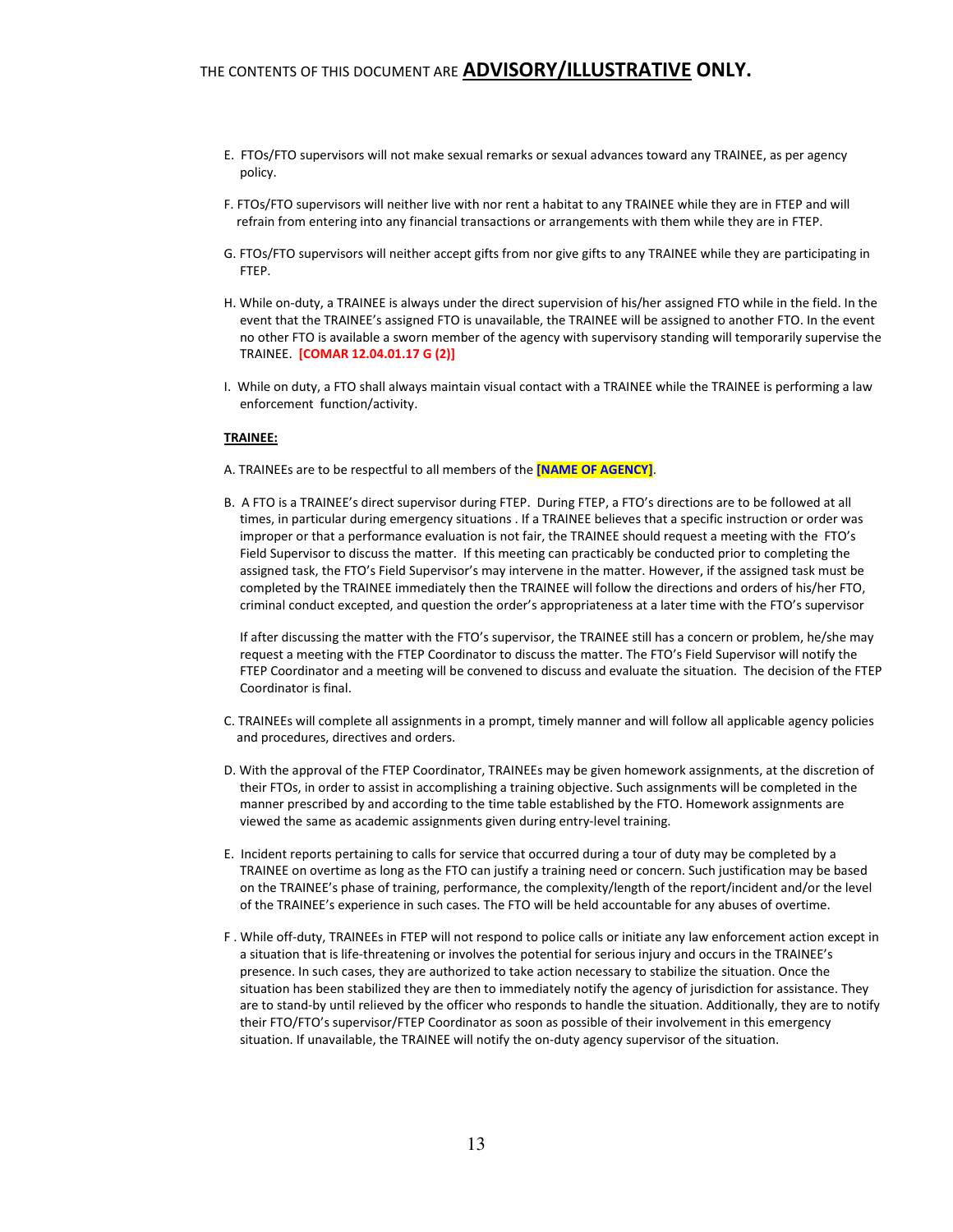- E. FTOs/FTO supervisors will not make sexual remarks or sexual advances toward any TRAINEE, as per agency policy.
- F. FTOs/FTO supervisors will neither live with nor rent a habitat to any TRAINEE while they are in FTEP and will refrain from entering into any financial transactions or arrangements with them while they are in FTEP.
- G. FTOs/FTO supervisors will neither accept gifts from nor give gifts to any TRAINEE while they are participating in FTEP.
- H. While on-duty, a TRAINEE is always under the direct supervision of his/her assigned FTO while in the field. In the event that the TRAINEE's assigned FTO is unavailable, the TRAINEE will be assigned to another FTO. In the event no other FTO is available a sworn member of the agency with supervisory standing will temporarily supervise the TRAINEE. [COMAR 12.04.01.17 G (2)]
- I. While on duty, a FTO shall always maintain visual contact with a TRAINEE while the TRAINEE is performing a law enforcement function/activity.

#### TRAINEE:

- A. TRAINEEs are to be respectful to all members of the **[NAME OF AGENCY]**.
- B. A FTO is a TRAINEE's direct supervisor during FTEP. During FTEP, a FTO's directions are to be followed at all times, in particular during emergency situations . If a TRAINEE believes that a specific instruction or order was improper or that a performance evaluation is not fair, the TRAINEE should request a meeting with the FTO's Field Supervisor to discuss the matter. If this meeting can practicably be conducted prior to completing the assigned task, the FTO's Field Supervisor's may intervene in the matter. However, if the assigned task must be completed by the TRAINEE immediately then the TRAINEE will follow the directions and orders of his/her FTO, criminal conduct excepted, and question the order's appropriateness at a later time with the FTO's supervisor

 If after discussing the matter with the FTO's supervisor, the TRAINEE still has a concern or problem, he/she may request a meeting with the FTEP Coordinator to discuss the matter. The FTO's Field Supervisor will notify the FTEP Coordinator and a meeting will be convened to discuss and evaluate the situation. The decision of the FTEP Coordinator is final.

- C. TRAINEEs will complete all assignments in a prompt, timely manner and will follow all applicable agency policies and procedures, directives and orders.
- D. With the approval of the FTEP Coordinator, TRAINEEs may be given homework assignments, at the discretion of their FTOs, in order to assist in accomplishing a training objective. Such assignments will be completed in the manner prescribed by and according to the time table established by the FTO. Homework assignments are viewed the same as academic assignments given during entry-level training.
- E. Incident reports pertaining to calls for service that occurred during a tour of duty may be completed by a TRAINEE on overtime as long as the FTO can justify a training need or concern. Such justification may be based on the TRAINEE's phase of training, performance, the complexity/length of the report/incident and/or the level of the TRAINEE's experience in such cases. The FTO will be held accountable for any abuses of overtime.
- F . While off-duty, TRAINEEs in FTEP will not respond to police calls or initiate any law enforcement action except in a situation that is life-threatening or involves the potential for serious injury and occurs in the TRAINEE's presence. In such cases, they are authorized to take action necessary to stabilize the situation. Once the situation has been stabilized they are then to immediately notify the agency of jurisdiction for assistance. They are to stand-by until relieved by the officer who responds to handle the situation. Additionally, they are to notify their FTO/FTO's supervisor/FTEP Coordinator as soon as possible of their involvement in this emergency situation. If unavailable, the TRAINEE will notify the on-duty agency supervisor of the situation.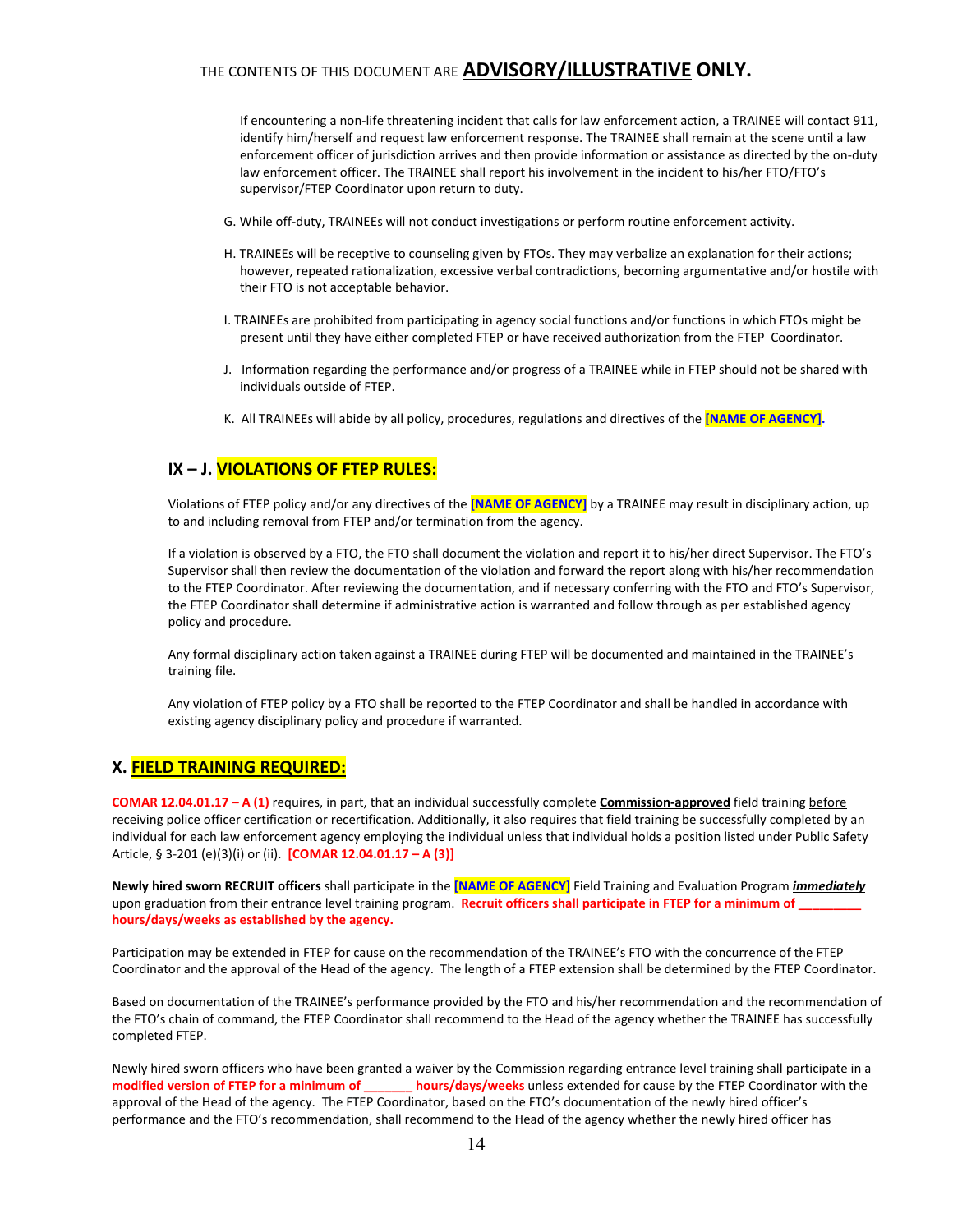If encountering a non-life threatening incident that calls for law enforcement action, a TRAINEE will contact 911, identify him/herself and request law enforcement response. The TRAINEE shall remain at the scene until a law enforcement officer of jurisdiction arrives and then provide information or assistance as directed by the on-duty law enforcement officer. The TRAINEE shall report his involvement in the incident to his/her FTO/FTO's supervisor/FTEP Coordinator upon return to duty.

- G. While off-duty, TRAINEEs will not conduct investigations or perform routine enforcement activity.
- H. TRAINEEs will be receptive to counseling given by FTOs. They may verbalize an explanation for their actions; however, repeated rationalization, excessive verbal contradictions, becoming argumentative and/or hostile with their FTO is not acceptable behavior.
- I. TRAINEEs are prohibited from participating in agency social functions and/or functions in which FTOs might be present until they have either completed FTEP or have received authorization from the FTEP Coordinator.
- J. Information regarding the performance and/or progress of a TRAINEE while in FTEP should not be shared with individuals outside of FTEP.
- K. All TRAINEEs will abide by all policy, procedures, regulations and directives of the [NAME OF AGENCY].

### IX – J. VIOLATIONS OF FTEP RULES:

Violations of FTEP policy and/or any directives of the [NAME OF AGENCY] by a TRAINEE may result in disciplinary action, up to and including removal from FTEP and/or termination from the agency.

If a violation is observed by a FTO, the FTO shall document the violation and report it to his/her direct Supervisor. The FTO's Supervisor shall then review the documentation of the violation and forward the report along with his/her recommendation to the FTEP Coordinator. After reviewing the documentation, and if necessary conferring with the FTO and FTO's Supervisor, the FTEP Coordinator shall determine if administrative action is warranted and follow through as per established agency policy and procedure.

Any formal disciplinary action taken against a TRAINEE during FTEP will be documented and maintained in the TRAINEE's training file.

Any violation of FTEP policy by a FTO shall be reported to the FTEP Coordinator and shall be handled in accordance with existing agency disciplinary policy and procedure if warranted.

#### X. FIELD TRAINING REQUIRED:

COMAR 12.04.01.17 - A (1) requires, in part, that an individual successfully complete Commission-approved field training before receiving police officer certification or recertification. Additionally, it also requires that field training be successfully completed by an individual for each law enforcement agency employing the individual unless that individual holds a position listed under Public Safety Article, § 3-201 (e)(3)(i) or (ii). [COMAR 12.04.01.17 - A (3)]

Newly hired sworn RECRUIT officers shall participate in the [NAME OF AGENCY] Field Training and Evaluation Program *immediately* upon graduation from their entrance level training program. Recruit officers shall participate in FTEP for a minimum of hours/days/weeks as established by the agency.

Participation may be extended in FTEP for cause on the recommendation of the TRAINEE's FTO with the concurrence of the FTEP Coordinator and the approval of the Head of the agency. The length of a FTEP extension shall be determined by the FTEP Coordinator.

Based on documentation of the TRAINEE's performance provided by the FTO and his/her recommendation and the recommendation of the FTO's chain of command, the FTEP Coordinator shall recommend to the Head of the agency whether the TRAINEE has successfully completed FTEP.

Newly hired sworn officers who have been granted a waiver by the Commission regarding entrance level training shall participate in a modified version of FTEP for a minimum of \_\_\_\_\_\_\_ hours/days/weeks unless extended for cause by the FTEP Coordinator with the approval of the Head of the agency. The FTEP Coordinator, based on the FTO's documentation of the newly hired officer's performance and the FTO's recommendation, shall recommend to the Head of the agency whether the newly hired officer has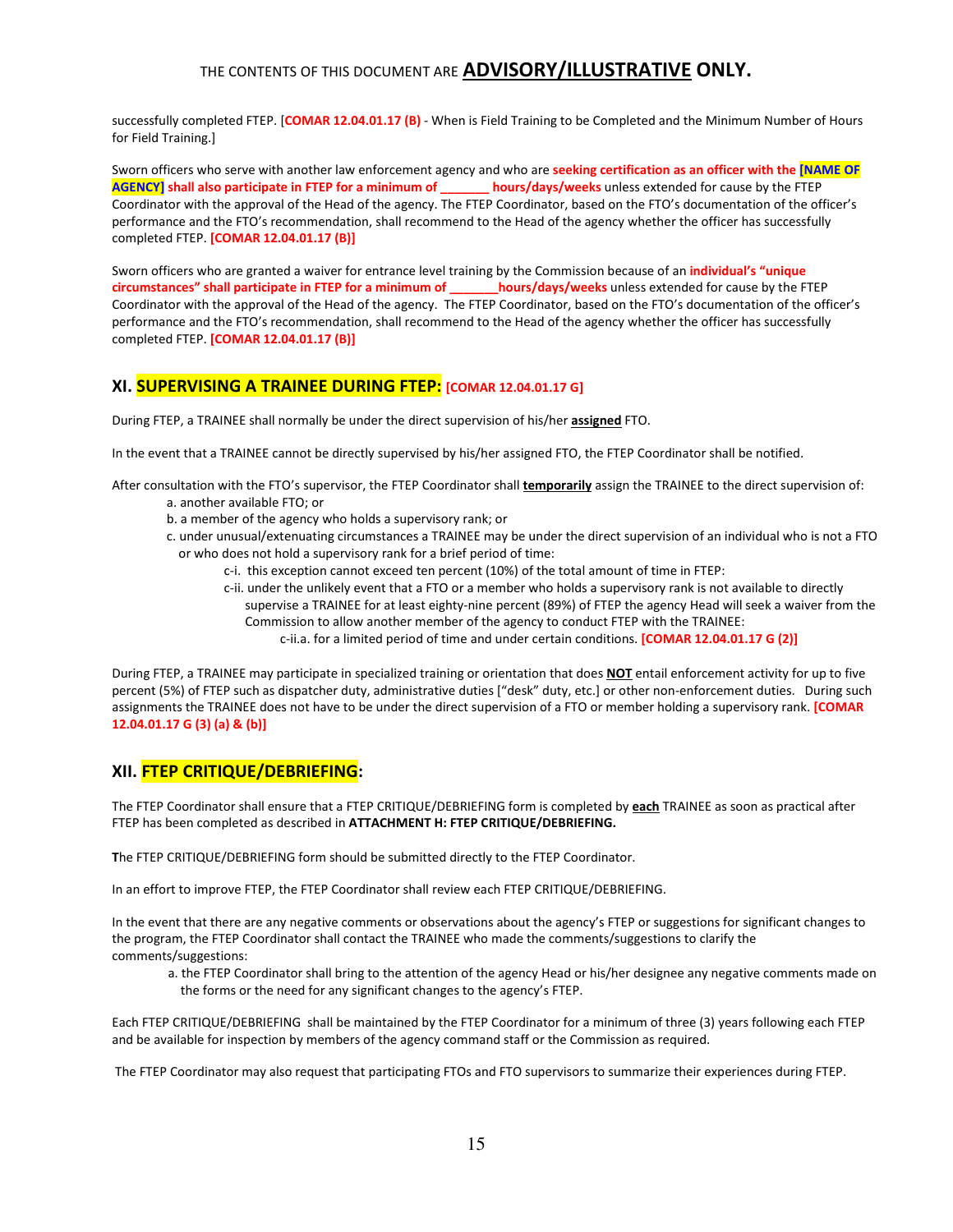successfully completed FTEP. [COMAR 12.04.01.17 (B) - When is Field Training to be Completed and the Minimum Number of Hours for Field Training.]

Sworn officers who serve with another law enforcement agency and who are seeking certification as an officer with the [NAME OF AGENCY] shall also participate in FTEP for a minimum of \_\_\_\_\_\_\_ hours/days/weeks unless extended for cause by the FTEP Coordinator with the approval of the Head of the agency. The FTEP Coordinator, based on the FTO's documentation of the officer's performance and the FTO's recommendation, shall recommend to the Head of the agency whether the officer has successfully completed FTEP. [COMAR 12.04.01.17 (B)]

Sworn officers who are granted a waiver for entrance level training by the Commission because of an *individual's* "unique circumstances" shall participate in FTEP for a minimum of \_\_\_\_\_\_\_hours/days/weeks unless extended for cause by the FTEP Coordinator with the approval of the Head of the agency. The FTEP Coordinator, based on the FTO's documentation of the officer's performance and the FTO's recommendation, shall recommend to the Head of the agency whether the officer has successfully completed FTEP. [COMAR 12.04.01.17 (B)]

## XI. SUPERVISING A TRAINEE DURING FTEP: [COMAR 12.04.01.17 G]

During FTEP, a TRAINEE shall normally be under the direct supervision of his/her **assigned** FTO.

In the event that a TRAINEE cannot be directly supervised by his/her assigned FTO, the FTEP Coordinator shall be notified.

After consultation with the FTO's supervisor, the FTEP Coordinator shall *temporarily* assign the TRAINEE to the direct supervision of: a. another available FTO; or

- b. a member of the agency who holds a supervisory rank; or
- c. under unusual/extenuating circumstances a TRAINEE may be under the direct supervision of an individual who is not a FTO or who does not hold a supervisory rank for a brief period of time:
	- c-i. this exception cannot exceed ten percent (10%) of the total amount of time in FTEP:
	- c-ii. under the unlikely event that a FTO or a member who holds a supervisory rank is not available to directly supervise a TRAINEE for at least eighty-nine percent (89%) of FTEP the agency Head will seek a waiver from the Commission to allow another member of the agency to conduct FTEP with the TRAINEE:
		- c-ii.a. for a limited period of time and under certain conditions. [COMAR 12.04.01.17 G (2)]

During FTEP, a TRAINEE may participate in specialized training or orientation that does NOT entail enforcement activity for up to five percent (5%) of FTEP such as dispatcher duty, administrative duties ["desk" duty, etc.] or other non-enforcement duties. During such assignments the TRAINEE does not have to be under the direct supervision of a FTO or member holding a supervisory rank. [COMAR 12.04.01.17 G (3) (a) & (b)]

## XII. FTEP CRITIQUE/DEBRIEFING:

The FTEP Coordinator shall ensure that a FTEP CRITIQUE/DEBRIEFING form is completed by each TRAINEE as soon as practical after FTEP has been completed as described in ATTACHMENT H: FTEP CRITIQUE/DEBRIEFING.

The FTEP CRITIQUE/DEBRIEFING form should be submitted directly to the FTEP Coordinator.

In an effort to improve FTEP, the FTEP Coordinator shall review each FTEP CRITIQUE/DEBRIEFING.

In the event that there are any negative comments or observations about the agency's FTEP or suggestions for significant changes to the program, the FTEP Coordinator shall contact the TRAINEE who made the comments/suggestions to clarify the comments/suggestions:

a. the FTEP Coordinator shall bring to the attention of the agency Head or his/her designee any negative comments made on the forms or the need for any significant changes to the agency's FTEP.

Each FTEP CRITIQUE/DEBRIEFING shall be maintained by the FTEP Coordinator for a minimum of three (3) years following each FTEP and be available for inspection by members of the agency command staff or the Commission as required.

The FTEP Coordinator may also request that participating FTOs and FTO supervisors to summarize their experiences during FTEP.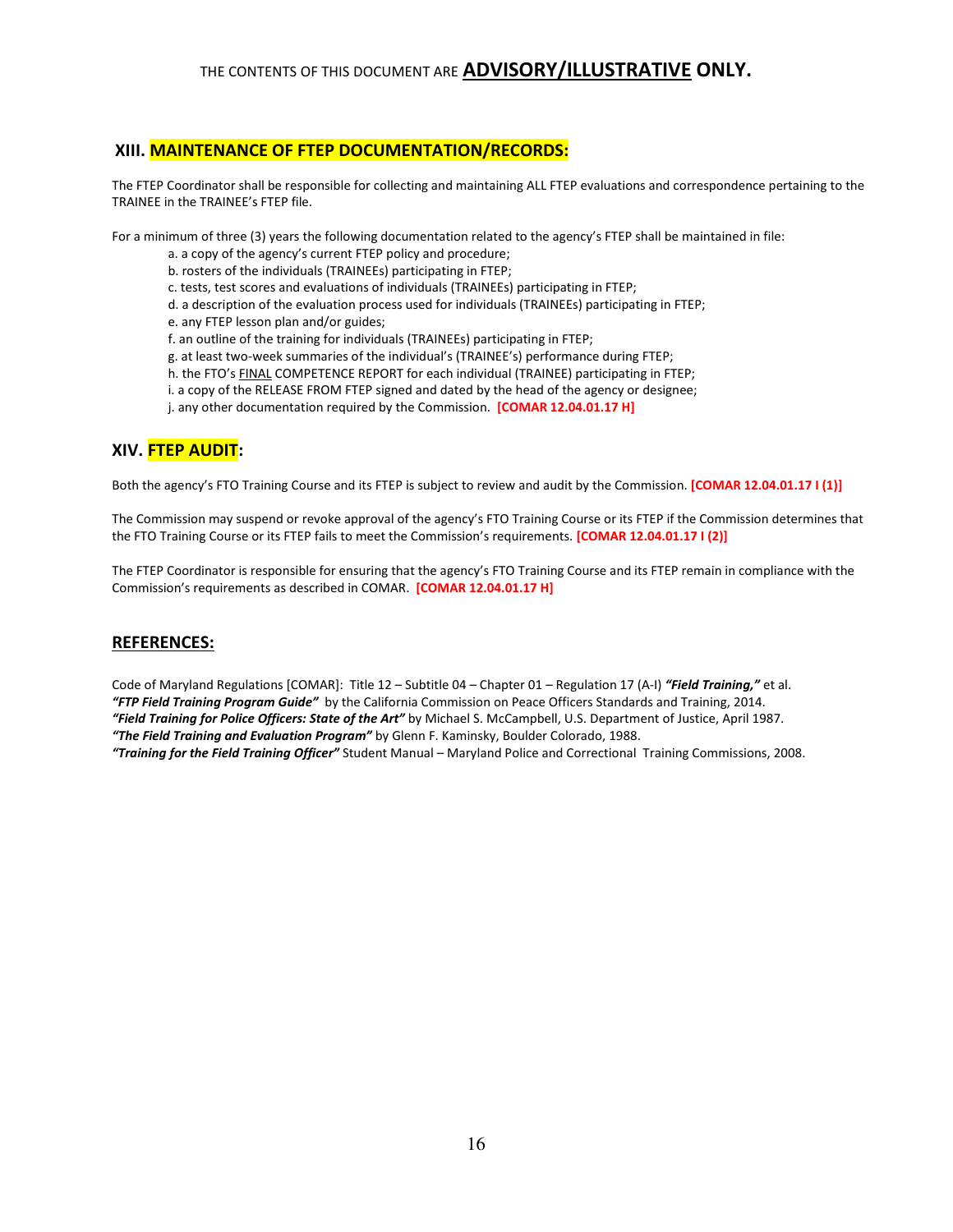### XIII. MAINTENANCE OF FTEP DOCUMENTATION/RECORDS:

The FTEP Coordinator shall be responsible for collecting and maintaining ALL FTEP evaluations and correspondence pertaining to the TRAINEE in the TRAINEE's FTEP file.

For a minimum of three (3) years the following documentation related to the agency's FTEP shall be maintained in file:

- a. a copy of the agency's current FTEP policy and procedure;
- b. rosters of the individuals (TRAINEEs) participating in FTEP;
- c. tests, test scores and evaluations of individuals (TRAINEEs) participating in FTEP;
- d. a description of the evaluation process used for individuals (TRAINEEs) participating in FTEP;
- e. any FTEP lesson plan and/or guides;
- f. an outline of the training for individuals (TRAINEEs) participating in FTEP;
- g. at least two-week summaries of the individual's (TRAINEE's) performance during FTEP;
- h. the FTO's FINAL COMPETENCE REPORT for each individual (TRAINEE) participating in FTEP;
- i. a copy of the RELEASE FROM FTEP signed and dated by the head of the agency or designee;
- j. any other documentation required by the Commission. **[COMAR 12.04.01.17 H]**

### XIV. FTEP AUDIT:

Both the agency's FTO Training Course and its FTEP is subject to review and audit by the Commission. **[COMAR 12.04.01.17 I (1)]** 

The Commission may suspend or revoke approval of the agency's FTO Training Course or its FTEP if the Commission determines that the FTO Training Course or its FTEP fails to meet the Commission's requirements. [COMAR 12.04.01.17 I (2)]

The FTEP Coordinator is responsible for ensuring that the agency's FTO Training Course and its FTEP remain in compliance with the Commission's requirements as described in COMAR. [COMAR 12.04.01.17 H]

#### REFERENCES:

Code of Maryland Regulations [COMAR]: Title 12 - Subtitle 04 - Chapter 01 - Regulation 17 (A-I) "Field Training," et al. "FTP Field Training Program Guide" by the California Commission on Peace Officers Standards and Training, 2014. "Field Training for Police Officers: State of the Art" by Michael S. McCampbell, U.S. Department of Justice, April 1987.

"The Field Training and Evaluation Program" by Glenn F. Kaminsky, Boulder Colorado, 1988.

"Training for the Field Training Officer" Student Manual – Maryland Police and Correctional Training Commissions, 2008.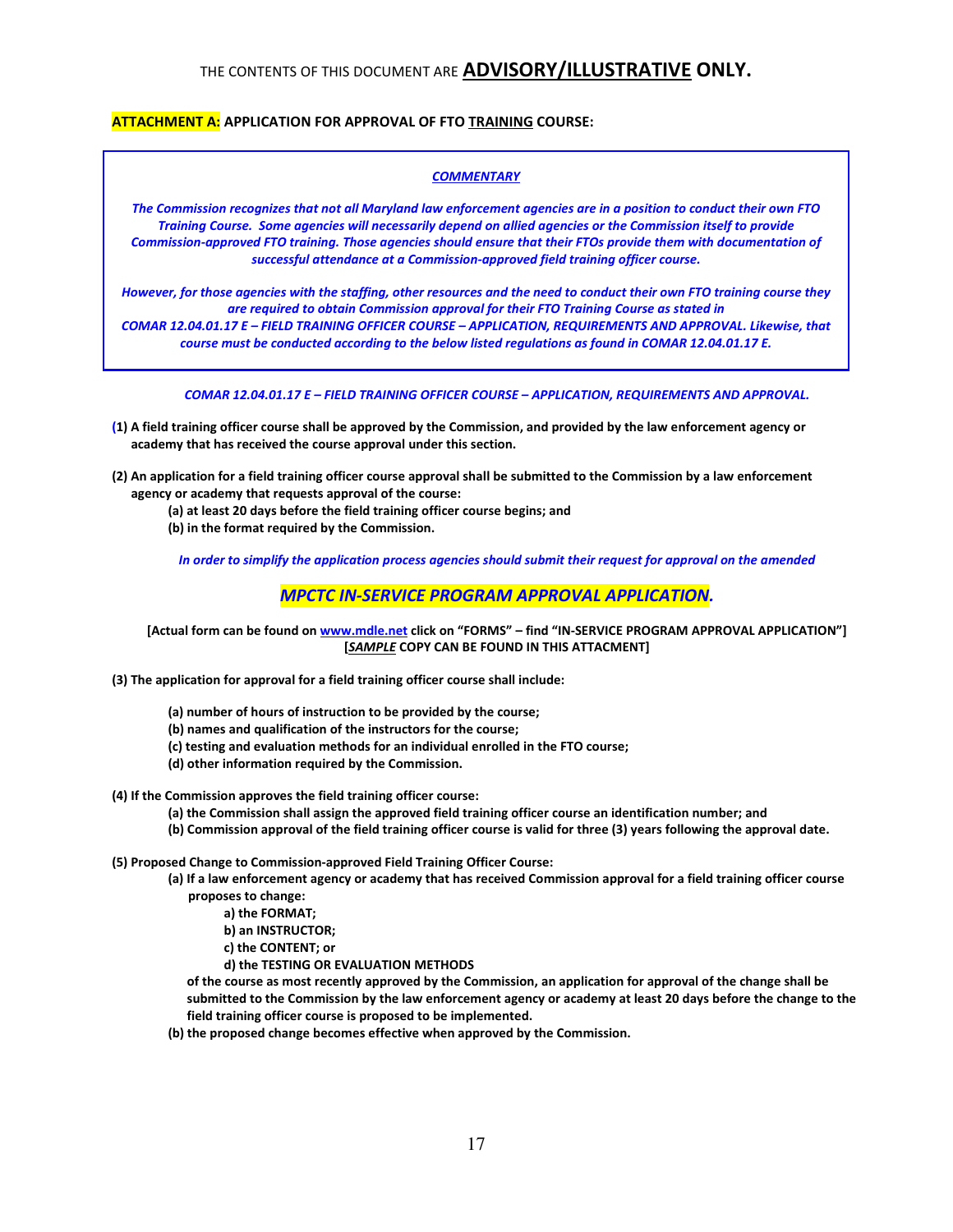### ATTACHMENT A: APPLICATION FOR APPROVAL OF FTO TRAINING COURSE:

#### **COMMENTARY**

The Commission recognizes that not all Maryland law enforcement agencies are in a position to conduct their own FTO Training Course. Some agencies will necessarily depend on allied agencies or the Commission itself to provide Commission-approved FTO training. Those agencies should ensure that their FTOs provide them with documentation of successful attendance at a Commission-approved field training officer course.

However, for those agencies with the staffing, other resources and the need to conduct their own FTO training course they are required to obtain Commission approval for their FTO Training Course as stated in

COMAR 12.04.01.17 E – FIELD TRAINING OFFICER COURSE – APPLICATION, REQUIREMENTS AND APPROVAL. Likewise, that course must be conducted according to the below listed regulations as found in COMAR 12.04.01.17 E.

COMAR 12.04.01.17 E – FIELD TRAINING OFFICER COURSE – APPLICATION, REQUIREMENTS AND APPROVAL.

- (1) A field training officer course shall be approved by the Commission, and provided by the law enforcement agency or academy that has received the course approval under this section.
- (2) An application for a field training officer course approval shall be submitted to the Commission by a law enforcement agency or academy that requests approval of the course:
	- (a) at least 20 days before the field training officer course begins; and
	- (b) in the format required by the Commission.

In order to simplify the application process agencies should submit their request for approval on the amended

#### MPCTC IN-SERVICE PROGRAM APPROVAL APPLICATION.

[Actual form can be found on www.mdle.net click on "FORMS" - find "IN-SERVICE PROGRAM APPROVAL APPLICATION"] [SAMPLE COPY CAN BE FOUND IN THIS ATTACMENT]

(3) The application for approval for a field training officer course shall include:

- (a) number of hours of instruction to be provided by the course;
- (b) names and qualification of the instructors for the course;
- (c) testing and evaluation methods for an individual enrolled in the FTO course;
- (d) other information required by the Commission.
- (4) If the Commission approves the field training officer course:
	- (a) the Commission shall assign the approved field training officer course an identification number; and
	- (b) Commission approval of the field training officer course is valid for three (3) years following the approval date.
- (5) Proposed Change to Commission-approved Field Training Officer Course:
	- (a) If a law enforcement agency or academy that has received Commission approval for a field training officer course proposes to change:
		- a) the FORMAT;
		- b) an INSTRUCTOR;
		- c) the CONTENT; or
		- d) the TESTING OR EVALUATION METHODS

 of the course as most recently approved by the Commission, an application for approval of the change shall be submitted to the Commission by the law enforcement agency or academy at least 20 days before the change to the field training officer course is proposed to be implemented.

(b) the proposed change becomes effective when approved by the Commission.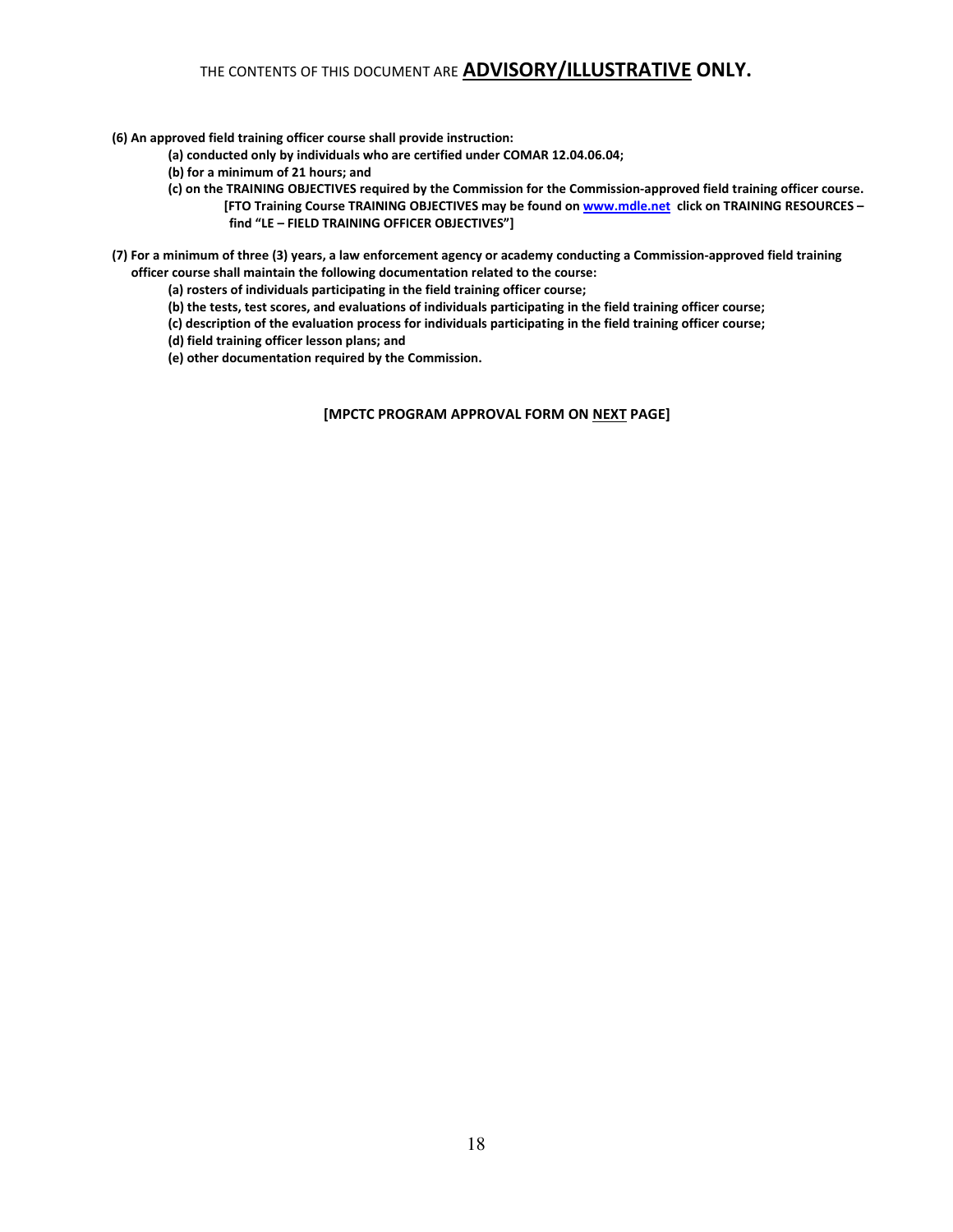#### (6) An approved field training officer course shall provide instruction:

- (a) conducted only by individuals who are certified under COMAR 12.04.06.04;
- (b) for a minimum of 21 hours; and
- (c) on the TRAINING OBJECTIVES required by the Commission for the Commission-approved field training officer course. [FTO Training Course TRAINING OBJECTIVES may be found on www.mdle.net click on TRAINING RESOURCES find "LE – FIELD TRAINING OFFICER OBJECTIVES"]
- (7) For a minimum of three (3) years, a law enforcement agency or academy conducting a Commission-approved field training officer course shall maintain the following documentation related to the course:
	- (a) rosters of individuals participating in the field training officer course;
	- (b) the tests, test scores, and evaluations of individuals participating in the field training officer course;
	- (c) description of the evaluation process for individuals participating in the field training officer course;
	- (d) field training officer lesson plans; and
	- (e) other documentation required by the Commission.

[MPCTC PROGRAM APPROVAL FORM ON NEXT PAGE]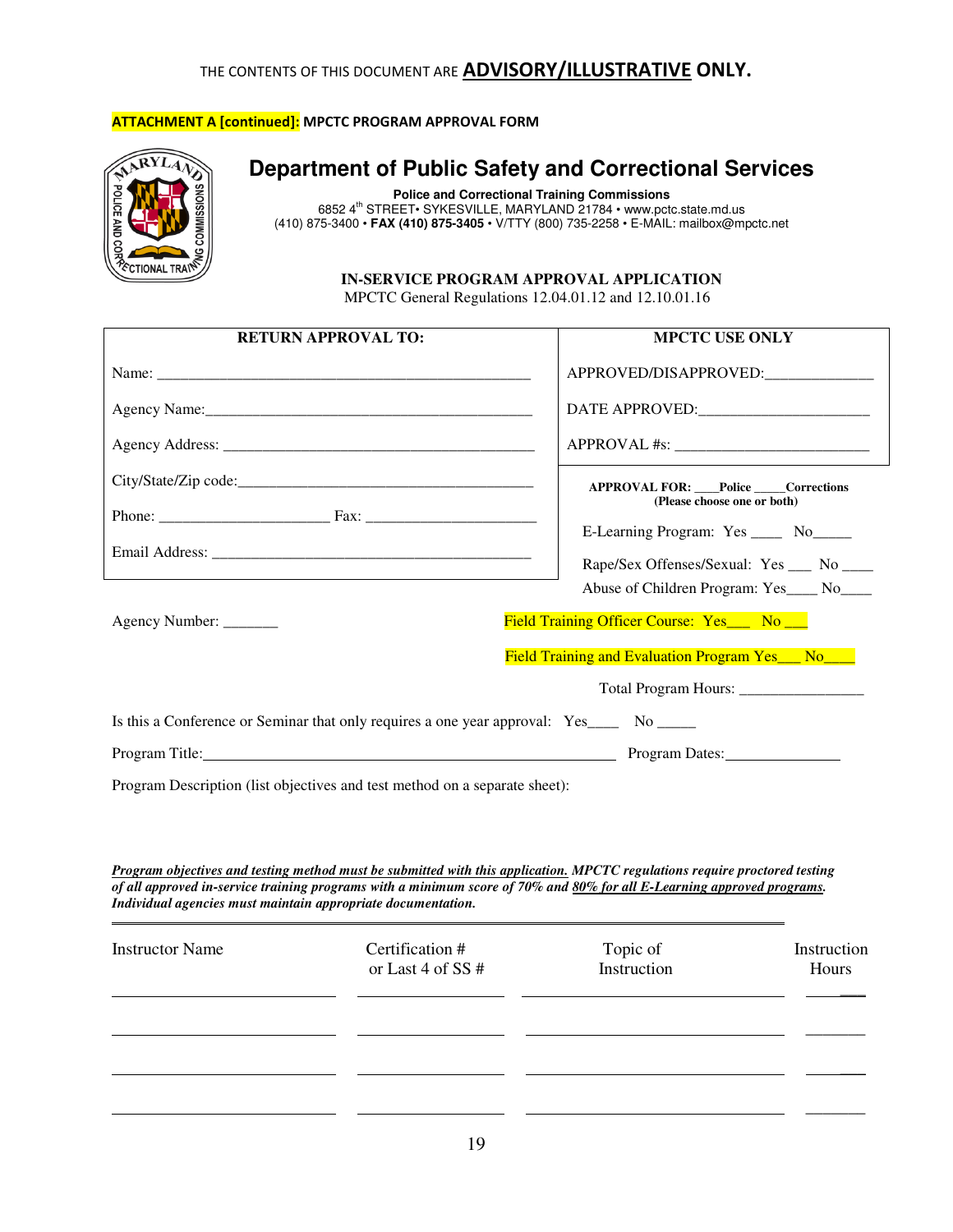## **ATTACHMENT A [continued]:** MPCTC PROGRAM APPROVAL FORM



# **Department of Public Safety and Correctional Services**

**Police and Correctional Training Commissions**  6852 4th STREET• SYKESVILLE, MARYLAND 21784 • www.pctc.state.md.us (410) 875-3400 • **FAX (410) 875-3405** • V/TTY (800) 735-2258 • E-MAIL: mailbox@mpctc.net

### **IN-SERVICE PROGRAM APPROVAL APPLICATION**

MPCTC General Regulations 12.04.01.12 and 12.10.01.16

| <b>RETURN APPROVAL TO:</b>                                                                                                                                                                                                                           | <b>MPCTC USE ONLY</b>                                                  |  |
|------------------------------------------------------------------------------------------------------------------------------------------------------------------------------------------------------------------------------------------------------|------------------------------------------------------------------------|--|
|                                                                                                                                                                                                                                                      | APPROVED/DISAPPROVED:                                                  |  |
|                                                                                                                                                                                                                                                      | DATE APPROVED:                                                         |  |
|                                                                                                                                                                                                                                                      |                                                                        |  |
|                                                                                                                                                                                                                                                      | <b>APPROVAL FOR: Police Corrections</b><br>(Please choose one or both) |  |
|                                                                                                                                                                                                                                                      |                                                                        |  |
|                                                                                                                                                                                                                                                      | E-Learning Program: Yes _____ No_____                                  |  |
|                                                                                                                                                                                                                                                      | Rape/Sex Offenses/Sexual: Yes __ No ___                                |  |
|                                                                                                                                                                                                                                                      | Abuse of Children Program: Yes____ No____                              |  |
| Agency Number:                                                                                                                                                                                                                                       | Field Training Officer Course: Yes___ No __                            |  |
|                                                                                                                                                                                                                                                      | Field Training and Evaluation Program Yes__ No__                       |  |
|                                                                                                                                                                                                                                                      | Total Program Hours: _________________                                 |  |
| Is this a Conference or Seminar that only requires a one year approval: Yes No No                                                                                                                                                                    |                                                                        |  |
| Program Title: Program Dates: Program Dates:                                                                                                                                                                                                         |                                                                        |  |
| Program Description (list objectives and test method on a separate sheet):                                                                                                                                                                           |                                                                        |  |
|                                                                                                                                                                                                                                                      |                                                                        |  |
|                                                                                                                                                                                                                                                      |                                                                        |  |
|                                                                                                                                                                                                                                                      |                                                                        |  |
| Program objectives and testing method must be submitted with this application. MPCTC regulations require proctored testing<br>of all approved in-service training programs with a minimum score of 70% and 80% for all E-Learning approved programs. |                                                                        |  |

*Individual agencies must maintain appropriate documentation.* 

| <b>Instructor Name</b> | Certification #<br>or Last 4 of SS # | Topic of<br>Instruction | Instruction<br>Hours |
|------------------------|--------------------------------------|-------------------------|----------------------|
|                        |                                      |                         |                      |
|                        |                                      |                         |                      |
|                        |                                      |                         |                      |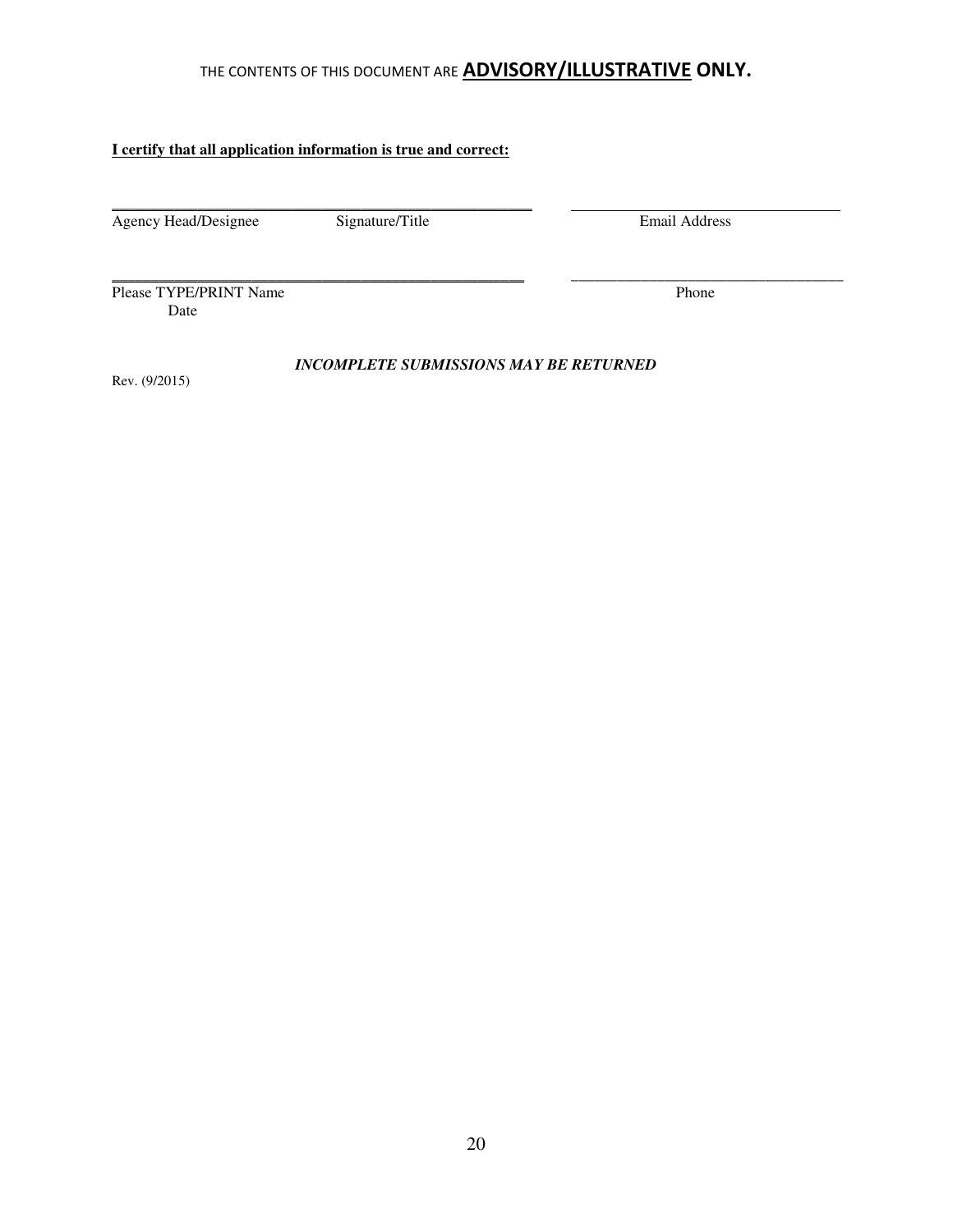### **I certify that all application information is true and correct:**

\_\_\_\_\_\_\_\_\_\_\_\_\_\_\_\_\_\_\_\_\_\_\_\_\_\_\_\_\_\_\_\_\_\_\_\_\_\_\_\_\_\_\_\_\_\_\_\_\_\_\_\_\_\_

Agency Head/Designee Signature/Title Email Address

Please TYPE/PRINT Name Phone Date

Rev. (9/2015)

*INCOMPLETE SUBMISSIONS MAY BE RETURNED* 

\_\_\_\_\_\_\_\_\_\_\_\_\_\_\_\_\_\_\_\_\_\_\_\_\_\_\_\_\_\_\_\_\_\_\_\_\_\_\_\_\_\_\_\_\_\_\_\_\_\_\_\_\_ \_\_\_\_\_\_\_\_\_\_\_\_\_\_\_\_\_\_\_\_\_\_\_\_\_\_\_\_\_\_\_\_\_\_\_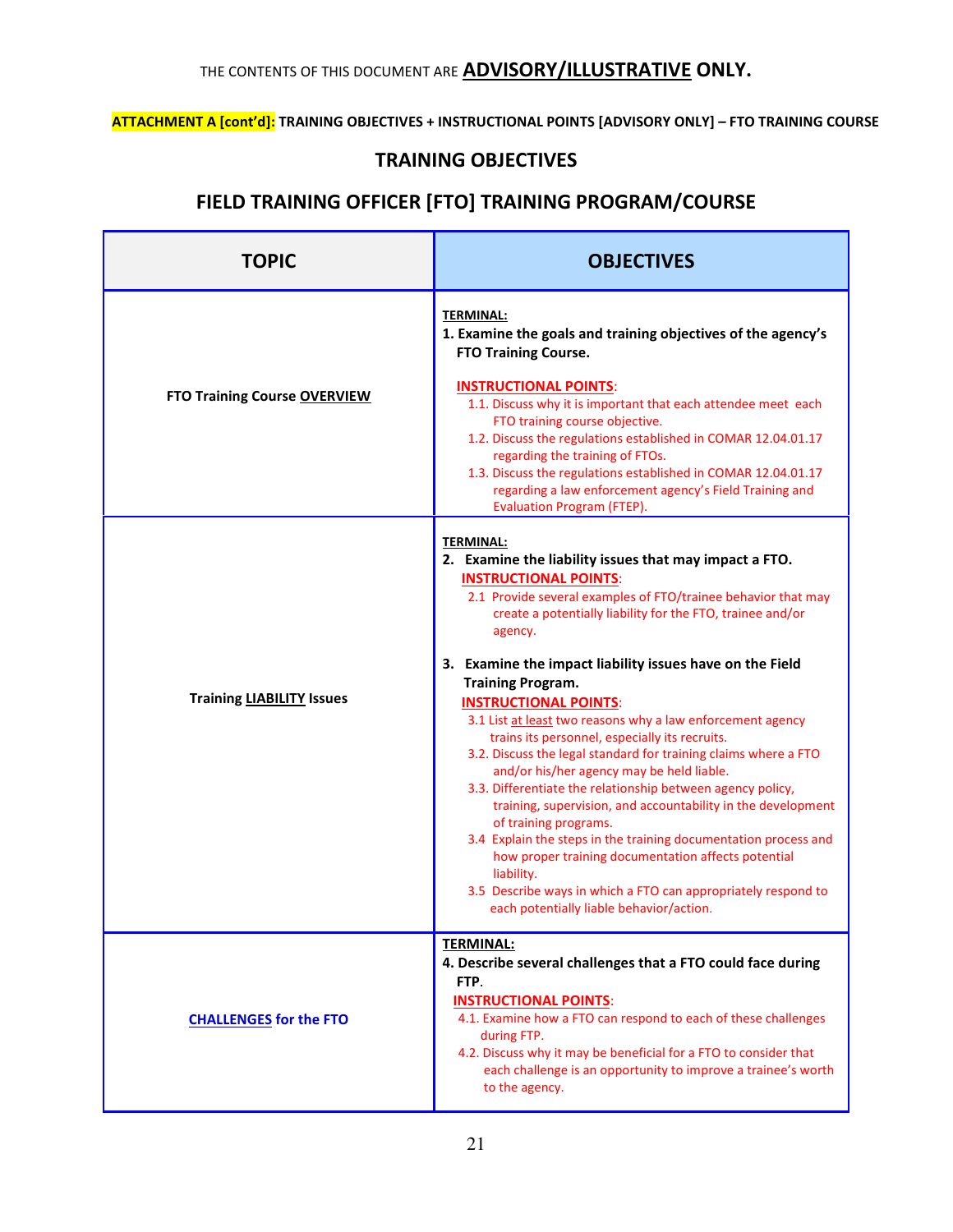## ATTACHMENT A [cont'd]: TRAINING OBJECTIVES + INSTRUCTIONAL POINTS [ADVISORY ONLY] - FTO TRAINING COURSE

# TRAINING OBJECTIVES

## FIELD TRAINING OFFICER [FTO] TRAINING PROGRAM/COURSE

| <b>TOPIC</b>                        | <b>OBJECTIVES</b>                                                                                                                                                                                                                                                                                                                                                                                                                                                                                                                                                                                                                                                                                                                                                                                                                                                                                                                                                                                                        |  |
|-------------------------------------|--------------------------------------------------------------------------------------------------------------------------------------------------------------------------------------------------------------------------------------------------------------------------------------------------------------------------------------------------------------------------------------------------------------------------------------------------------------------------------------------------------------------------------------------------------------------------------------------------------------------------------------------------------------------------------------------------------------------------------------------------------------------------------------------------------------------------------------------------------------------------------------------------------------------------------------------------------------------------------------------------------------------------|--|
| <b>FTO Training Course OVERVIEW</b> | <b>TERMINAL:</b><br>1. Examine the goals and training objectives of the agency's<br><b>FTO Training Course.</b><br><b>INSTRUCTIONAL POINTS:</b><br>1.1. Discuss why it is important that each attendee meet each<br>FTO training course objective.<br>1.2. Discuss the regulations established in COMAR 12.04.01.17<br>regarding the training of FTOs.<br>1.3. Discuss the regulations established in COMAR 12.04.01.17<br>regarding a law enforcement agency's Field Training and<br>Evaluation Program (FTEP).                                                                                                                                                                                                                                                                                                                                                                                                                                                                                                         |  |
| <b>Training LIABILITY Issues</b>    | <b>TERMINAL:</b><br>2. Examine the liability issues that may impact a FTO.<br><b>INSTRUCTIONAL POINTS:</b><br>2.1 Provide several examples of FTO/trainee behavior that may<br>create a potentially liability for the FTO, trainee and/or<br>agency.<br>3. Examine the impact liability issues have on the Field<br><b>Training Program.</b><br><b>INSTRUCTIONAL POINTS:</b><br>3.1 List at least two reasons why a law enforcement agency<br>trains its personnel, especially its recruits.<br>3.2. Discuss the legal standard for training claims where a FTO<br>and/or his/her agency may be held liable.<br>3.3. Differentiate the relationship between agency policy,<br>training, supervision, and accountability in the development<br>of training programs.<br>3.4 Explain the steps in the training documentation process and<br>how proper training documentation affects potential<br>liability.<br>3.5 Describe ways in which a FTO can appropriately respond to<br>each potentially liable behavior/action. |  |
| <b>CHALLENGES for the FTO</b>       | <b>TERMINAL:</b><br>4. Describe several challenges that a FTO could face during<br>FTP.<br><b>INSTRUCTIONAL POINTS:</b><br>4.1. Examine how a FTO can respond to each of these challenges<br>during FTP.<br>4.2. Discuss why it may be beneficial for a FTO to consider that<br>each challenge is an opportunity to improve a trainee's worth<br>to the agency.                                                                                                                                                                                                                                                                                                                                                                                                                                                                                                                                                                                                                                                          |  |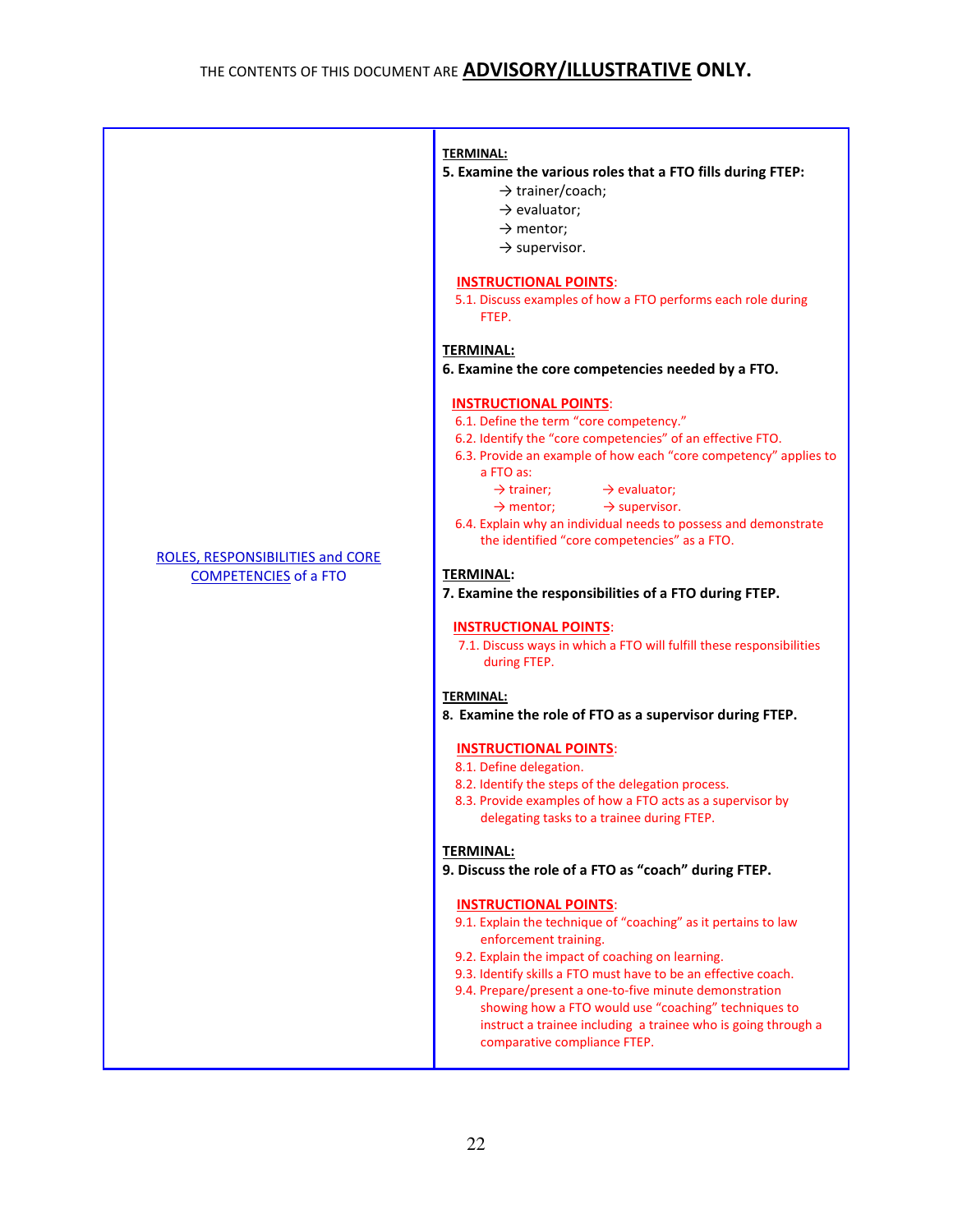|                                                                         | <b>TERMINAL:</b><br>5. Examine the various roles that a FTO fills during FTEP:<br>$\rightarrow$ trainer/coach;<br>$\rightarrow$ evaluator;<br>$\rightarrow$ mentor;<br>$\rightarrow$ supervisor.<br><b>INSTRUCTIONAL POINTS:</b><br>5.1. Discuss examples of how a FTO performs each role during<br>FTEP.<br><b>TERMINAL:</b><br>6. Examine the core competencies needed by a FTO.<br><b>INSTRUCTIONAL POINTS:</b><br>6.1. Define the term "core competency."<br>6.2. Identify the "core competencies" of an effective FTO.                                                                                                                                                                                                                                                |
|-------------------------------------------------------------------------|----------------------------------------------------------------------------------------------------------------------------------------------------------------------------------------------------------------------------------------------------------------------------------------------------------------------------------------------------------------------------------------------------------------------------------------------------------------------------------------------------------------------------------------------------------------------------------------------------------------------------------------------------------------------------------------------------------------------------------------------------------------------------|
| <b>ROLES, RESPONSIBILITIES and CORE</b><br><b>COMPETENCIES of a FTO</b> | 6.3. Provide an example of how each "core competency" applies to<br>a FTO as:<br>$\rightarrow$ trainer;<br>$\rightarrow$ evaluator;<br>$\rightarrow$ supervisor.<br>$\rightarrow$ mentor;<br>6.4. Explain why an individual needs to possess and demonstrate<br>the identified "core competencies" as a FTO.<br><b>TERMINAL:</b><br>7. Examine the responsibilities of a FTO during FTEP.<br><b>INSTRUCTIONAL POINTS:</b><br>7.1. Discuss ways in which a FTO will fulfill these responsibilities<br>during FTEP.<br><b>TERMINAL:</b><br>8. Examine the role of FTO as a supervisor during FTEP.                                                                                                                                                                           |
|                                                                         | <b>INSTRUCTIONAL POINTS:</b><br>8.1. Define delegation.<br>8.2. Identify the steps of the delegation process.<br>8.3. Provide examples of how a FTO acts as a supervisor by<br>delegating tasks to a trainee during FTEP.<br><b>TERMINAL:</b><br>9. Discuss the role of a FTO as "coach" during FTEP.<br><b>INSTRUCTIONAL POINTS:</b><br>9.1. Explain the technique of "coaching" as it pertains to law<br>enforcement training.<br>9.2. Explain the impact of coaching on learning.<br>9.3. Identify skills a FTO must have to be an effective coach.<br>9.4. Prepare/present a one-to-five minute demonstration<br>showing how a FTO would use "coaching" techniques to<br>instruct a trainee including a trainee who is going through a<br>comparative compliance FTEP. |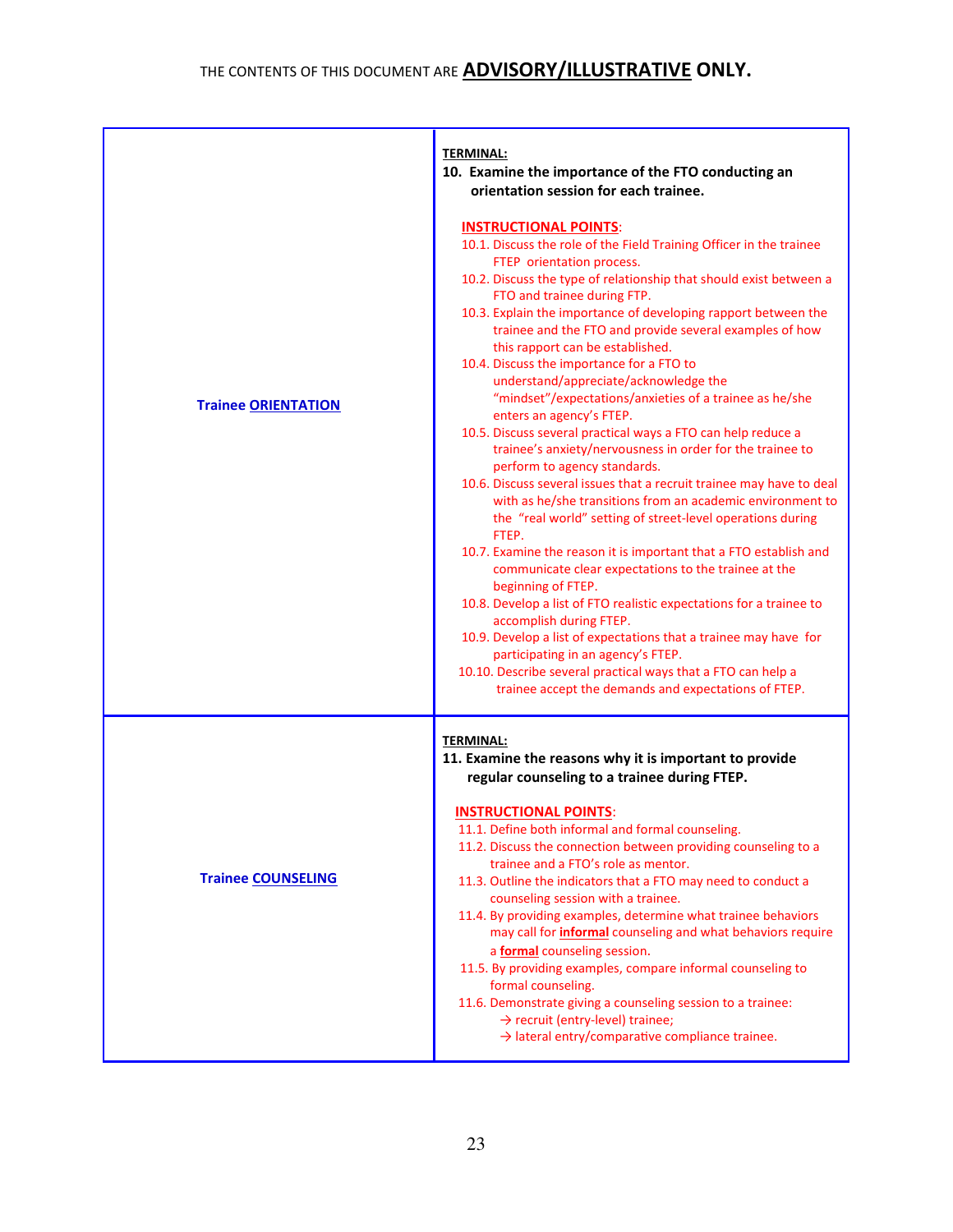|                            | <b>TERMINAL:</b><br>10. Examine the importance of the FTO conducting an<br>orientation session for each trainee.                                                                                                                                                                                                                                                                                                                                                                                                                                                                                                                                                                                                                                                                                                                                                                                                                                                                                                                                                                                                                                                                                                                                                                                                                                                                                                                                     |
|----------------------------|------------------------------------------------------------------------------------------------------------------------------------------------------------------------------------------------------------------------------------------------------------------------------------------------------------------------------------------------------------------------------------------------------------------------------------------------------------------------------------------------------------------------------------------------------------------------------------------------------------------------------------------------------------------------------------------------------------------------------------------------------------------------------------------------------------------------------------------------------------------------------------------------------------------------------------------------------------------------------------------------------------------------------------------------------------------------------------------------------------------------------------------------------------------------------------------------------------------------------------------------------------------------------------------------------------------------------------------------------------------------------------------------------------------------------------------------------|
| <b>Trainee ORIENTATION</b> | <b>INSTRUCTIONAL POINTS:</b><br>10.1. Discuss the role of the Field Training Officer in the trainee<br>FTEP orientation process.<br>10.2. Discuss the type of relationship that should exist between a<br>FTO and trainee during FTP.<br>10.3. Explain the importance of developing rapport between the<br>trainee and the FTO and provide several examples of how<br>this rapport can be established.<br>10.4. Discuss the importance for a FTO to<br>understand/appreciate/acknowledge the<br>"mindset"/expectations/anxieties of a trainee as he/she<br>enters an agency's FTEP.<br>10.5. Discuss several practical ways a FTO can help reduce a<br>trainee's anxiety/nervousness in order for the trainee to<br>perform to agency standards.<br>10.6. Discuss several issues that a recruit trainee may have to deal<br>with as he/she transitions from an academic environment to<br>the "real world" setting of street-level operations during<br>FTEP.<br>10.7. Examine the reason it is important that a FTO establish and<br>communicate clear expectations to the trainee at the<br>beginning of FTEP.<br>10.8. Develop a list of FTO realistic expectations for a trainee to<br>accomplish during FTEP.<br>10.9. Develop a list of expectations that a trainee may have for<br>participating in an agency's FTEP.<br>10.10. Describe several practical ways that a FTO can help a<br>trainee accept the demands and expectations of FTEP. |
| <b>Trainee COUNSELING</b>  | <b>TERMINAL:</b><br>11. Examine the reasons why it is important to provide<br>regular counseling to a trainee during FTEP.<br><b>INSTRUCTIONAL POINTS:</b><br>11.1. Define both informal and formal counseling.<br>11.2. Discuss the connection between providing counseling to a<br>trainee and a FTO's role as mentor.<br>11.3. Outline the indicators that a FTO may need to conduct a<br>counseling session with a trainee.<br>11.4. By providing examples, determine what trainee behaviors<br>may call for <i>informal</i> counseling and what behaviors require<br>a formal counseling session.<br>11.5. By providing examples, compare informal counseling to<br>formal counseling.<br>11.6. Demonstrate giving a counseling session to a trainee:<br>$\rightarrow$ recruit (entry-level) trainee;<br>$\rightarrow$ lateral entry/comparative compliance trainee.                                                                                                                                                                                                                                                                                                                                                                                                                                                                                                                                                                            |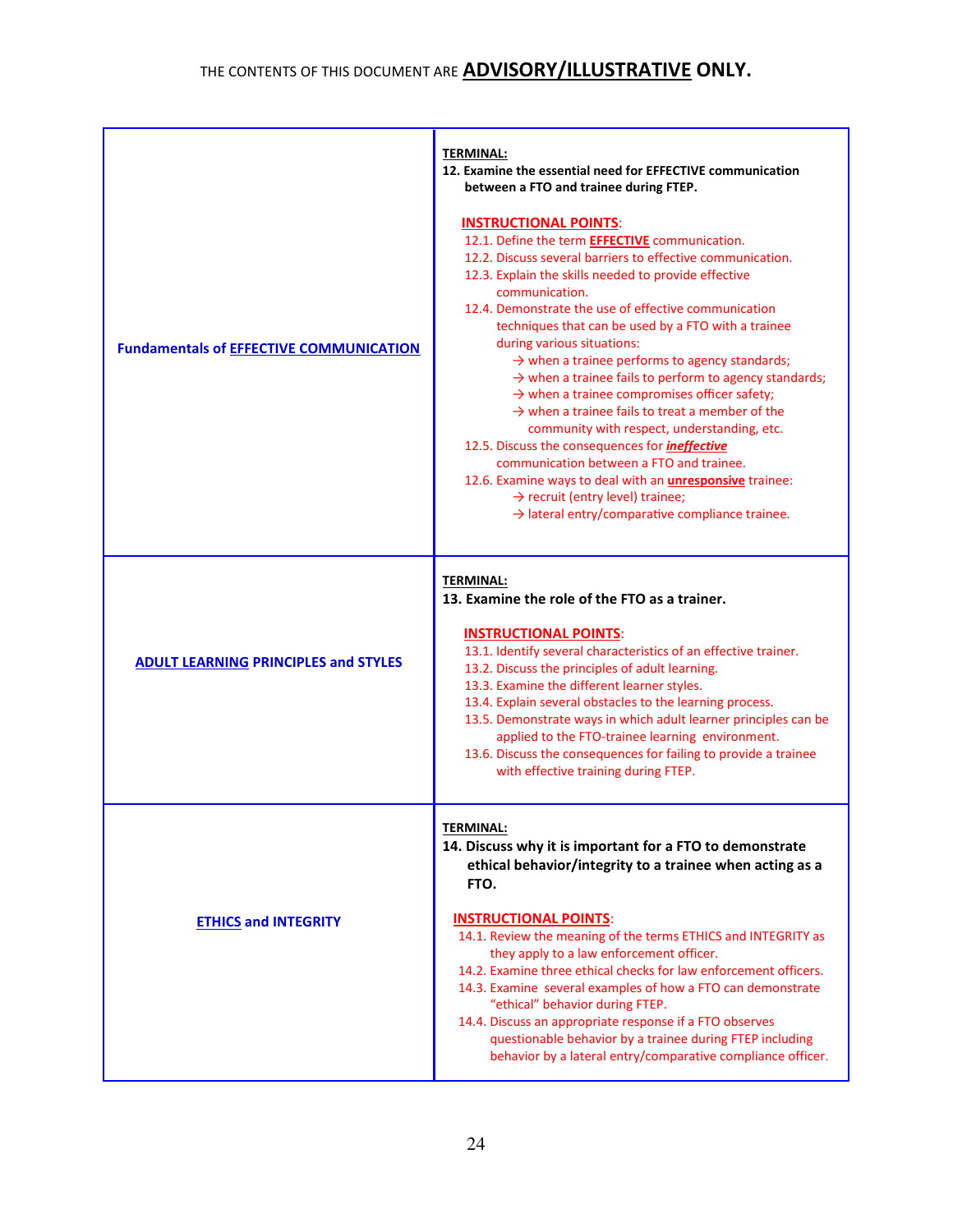| <b>Fundamentals of EFFECTIVE COMMUNICATION</b> | <b>TERMINAL:</b><br>12. Examine the essential need for EFFECTIVE communication<br>between a FTO and trainee during FTEP.<br><b>INSTRUCTIONAL POINTS:</b><br>12.1. Define the term <b>EFFECTIVE</b> communication.<br>12.2. Discuss several barriers to effective communication.<br>12.3. Explain the skills needed to provide effective<br>communication.<br>12.4. Demonstrate the use of effective communication<br>techniques that can be used by a FTO with a trainee<br>during various situations:<br>$\rightarrow$ when a trainee performs to agency standards;<br>$\rightarrow$ when a trainee fails to perform to agency standards;<br>$\rightarrow$ when a trainee compromises officer safety;<br>$\rightarrow$ when a trainee fails to treat a member of the<br>community with respect, understanding, etc.<br>12.5. Discuss the consequences for <i>ineffective</i><br>communication between a FTO and trainee.<br>12.6. Examine ways to deal with an <i>unresponsive</i> trainee:<br>$\rightarrow$ recruit (entry level) trainee;<br>$\rightarrow$ lateral entry/comparative compliance trainee. |
|------------------------------------------------|-------------------------------------------------------------------------------------------------------------------------------------------------------------------------------------------------------------------------------------------------------------------------------------------------------------------------------------------------------------------------------------------------------------------------------------------------------------------------------------------------------------------------------------------------------------------------------------------------------------------------------------------------------------------------------------------------------------------------------------------------------------------------------------------------------------------------------------------------------------------------------------------------------------------------------------------------------------------------------------------------------------------------------------------------------------------------------------------------------------|
| <b>ADULT LEARNING PRINCIPLES and STYLES</b>    | <b>TERMINAL:</b><br>13. Examine the role of the FTO as a trainer.<br><b>INSTRUCTIONAL POINTS:</b><br>13.1. Identify several characteristics of an effective trainer.<br>13.2. Discuss the principles of adult learning.<br>13.3. Examine the different learner styles.<br>13.4. Explain several obstacles to the learning process.<br>13.5. Demonstrate ways in which adult learner principles can be<br>applied to the FTO-trainee learning environment.<br>13.6. Discuss the consequences for failing to provide a trainee<br>with effective training during FTEP.                                                                                                                                                                                                                                                                                                                                                                                                                                                                                                                                        |
| <b>ETHICS and INTEGRITY</b>                    | <b>TERMINAL:</b><br>14. Discuss why it is important for a FTO to demonstrate<br>ethical behavior/integrity to a trainee when acting as a<br>FTO.<br><b>INSTRUCTIONAL POINTS:</b><br>14.1. Review the meaning of the terms ETHICS and INTEGRITY as<br>they apply to a law enforcement officer.<br>14.2. Examine three ethical checks for law enforcement officers.<br>14.3. Examine several examples of how a FTO can demonstrate<br>"ethical" behavior during FTEP.<br>14.4. Discuss an appropriate response if a FTO observes<br>questionable behavior by a trainee during FTEP including<br>behavior by a lateral entry/comparative compliance officer.                                                                                                                                                                                                                                                                                                                                                                                                                                                   |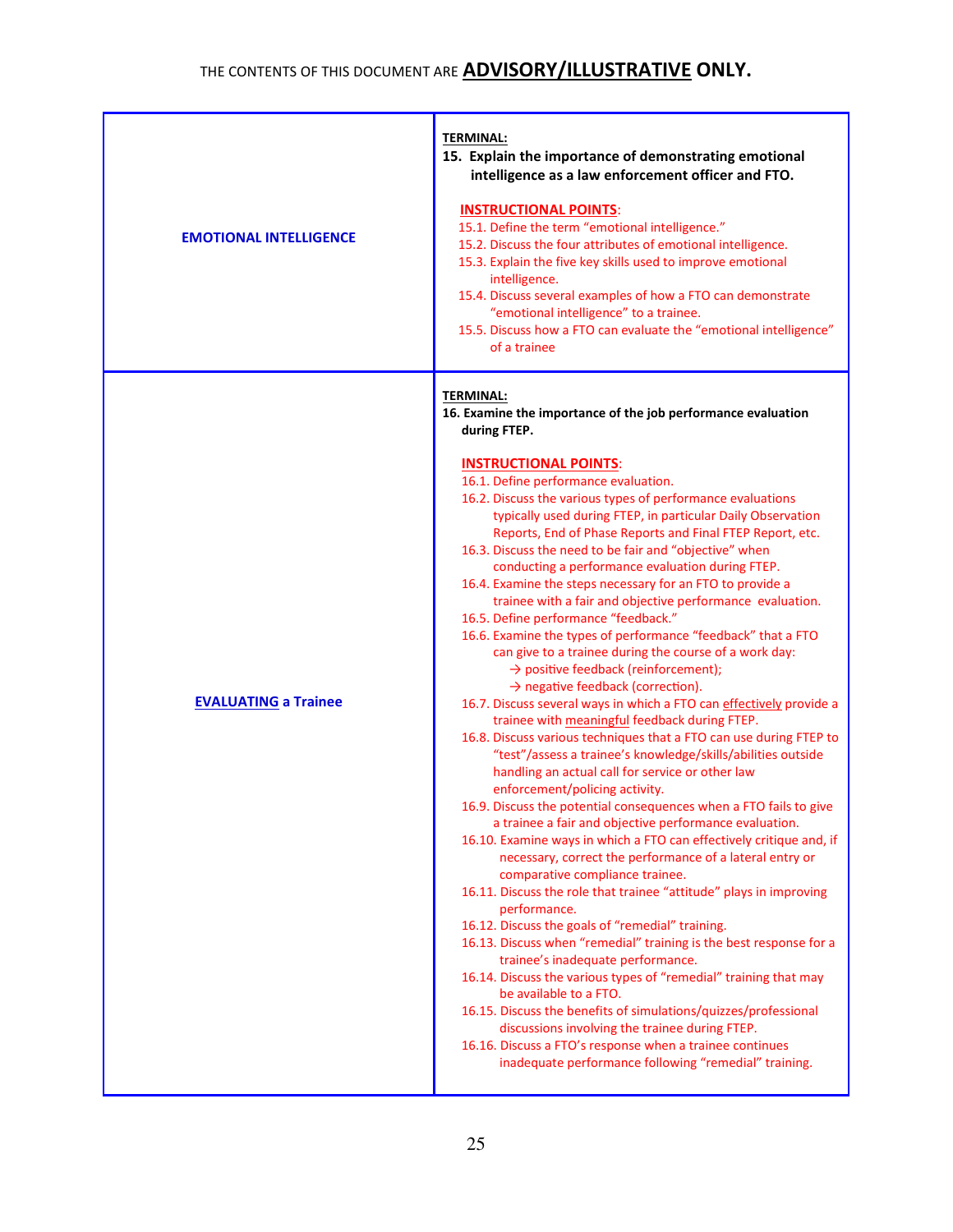| <b>EMOTIONAL INTELLIGENCE</b> | <b>TERMINAL:</b><br>15. Explain the importance of demonstrating emotional<br>intelligence as a law enforcement officer and FTO.<br><b>INSTRUCTIONAL POINTS:</b><br>15.1. Define the term "emotional intelligence."<br>15.2. Discuss the four attributes of emotional intelligence.<br>15.3. Explain the five key skills used to improve emotional<br>intelligence.<br>15.4. Discuss several examples of how a FTO can demonstrate<br>"emotional intelligence" to a trainee.<br>15.5. Discuss how a FTO can evaluate the "emotional intelligence"<br>of a trainee                                                                                                                                                                                                                                                                                                                                                                                                                                                                                                                                                                                                                                                                                                                                                                                                                                                                                                                                                                                                                                                                                                                                                                                                                                                                                                                                                                                                                                                                                                                                                                        |
|-------------------------------|-----------------------------------------------------------------------------------------------------------------------------------------------------------------------------------------------------------------------------------------------------------------------------------------------------------------------------------------------------------------------------------------------------------------------------------------------------------------------------------------------------------------------------------------------------------------------------------------------------------------------------------------------------------------------------------------------------------------------------------------------------------------------------------------------------------------------------------------------------------------------------------------------------------------------------------------------------------------------------------------------------------------------------------------------------------------------------------------------------------------------------------------------------------------------------------------------------------------------------------------------------------------------------------------------------------------------------------------------------------------------------------------------------------------------------------------------------------------------------------------------------------------------------------------------------------------------------------------------------------------------------------------------------------------------------------------------------------------------------------------------------------------------------------------------------------------------------------------------------------------------------------------------------------------------------------------------------------------------------------------------------------------------------------------------------------------------------------------------------------------------------------------|
| <b>EVALUATING a Trainee</b>   | <b>TERMINAL:</b><br>16. Examine the importance of the job performance evaluation<br>during FTEP.<br><b>INSTRUCTIONAL POINTS:</b><br>16.1. Define performance evaluation.<br>16.2. Discuss the various types of performance evaluations<br>typically used during FTEP, in particular Daily Observation<br>Reports, End of Phase Reports and Final FTEP Report, etc.<br>16.3. Discuss the need to be fair and "objective" when<br>conducting a performance evaluation during FTEP.<br>16.4. Examine the steps necessary for an FTO to provide a<br>trainee with a fair and objective performance evaluation.<br>16.5. Define performance "feedback."<br>16.6. Examine the types of performance "feedback" that a FTO<br>can give to a trainee during the course of a work day:<br>$\rightarrow$ positive feedback (reinforcement);<br>$\rightarrow$ negative feedback (correction).<br>16.7. Discuss several ways in which a FTO can effectively provide a<br>trainee with meaningful feedback during FTEP.<br>16.8. Discuss various techniques that a FTO can use during FTEP to<br>"test"/assess a trainee's knowledge/skills/abilities outside<br>handling an actual call for service or other law<br>enforcement/policing activity.<br>16.9. Discuss the potential consequences when a FTO fails to give<br>a trainee a fair and objective performance evaluation.<br>16.10. Examine ways in which a FTO can effectively critique and, if<br>necessary, correct the performance of a lateral entry or<br>comparative compliance trainee.<br>16.11. Discuss the role that trainee "attitude" plays in improving<br>performance.<br>16.12. Discuss the goals of "remedial" training.<br>16.13. Discuss when "remedial" training is the best response for a<br>trainee's inadequate performance.<br>16.14. Discuss the various types of "remedial" training that may<br>be available to a FTO.<br>16.15. Discuss the benefits of simulations/quizzes/professional<br>discussions involving the trainee during FTEP.<br>16.16. Discuss a FTO's response when a trainee continues<br>inadequate performance following "remedial" training. |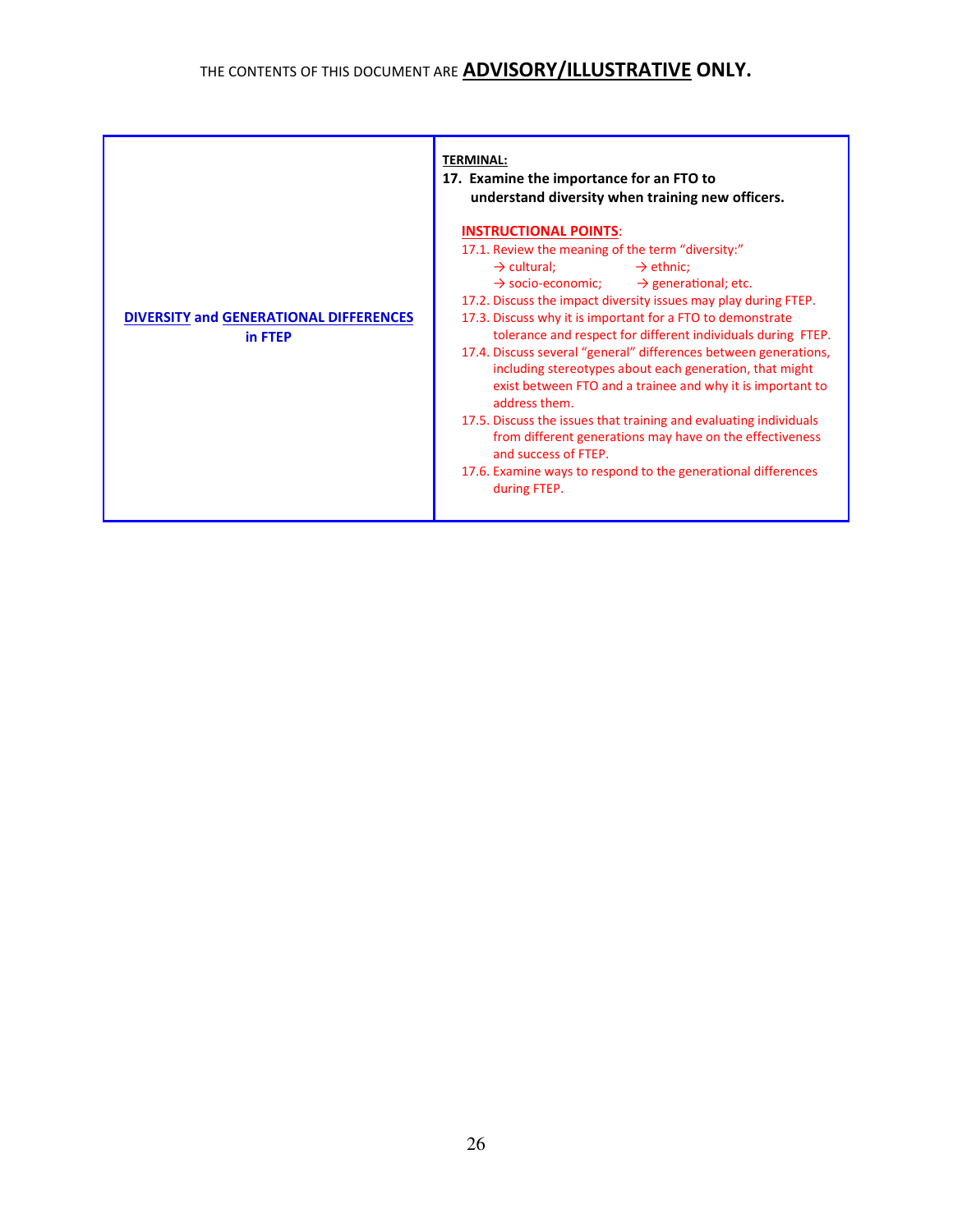|                                                          | <b>TERMINAL:</b><br>17. Examine the importance for an FTO to<br>understand diversity when training new officers.                                                                                                                                                                                                                                                                                                                                                                                                                                                                                                                                                                                                                                                                                                                                                    |  |  |
|----------------------------------------------------------|---------------------------------------------------------------------------------------------------------------------------------------------------------------------------------------------------------------------------------------------------------------------------------------------------------------------------------------------------------------------------------------------------------------------------------------------------------------------------------------------------------------------------------------------------------------------------------------------------------------------------------------------------------------------------------------------------------------------------------------------------------------------------------------------------------------------------------------------------------------------|--|--|
| <b>DIVERSITY and GENERATIONAL DIFFERENCES</b><br>in FTEP | <b>INSTRUCTIONAL POINTS:</b><br>17.1. Review the meaning of the term "diversity:"<br>$\rightarrow$ cultural;<br>$\rightarrow$ ethnic;<br>$\rightarrow$ socio-economic;<br>$\rightarrow$ generational; etc.<br>17.2. Discuss the impact diversity issues may play during FTEP.<br>17.3. Discuss why it is important for a FTO to demonstrate<br>tolerance and respect for different individuals during FTEP.<br>17.4. Discuss several "general" differences between generations,<br>including stereotypes about each generation, that might<br>exist between FTO and a trainee and why it is important to<br>address them.<br>17.5. Discuss the issues that training and evaluating individuals<br>from different generations may have on the effectiveness<br>and success of FTEP.<br>17.6. Examine ways to respond to the generational differences<br>during FTEP. |  |  |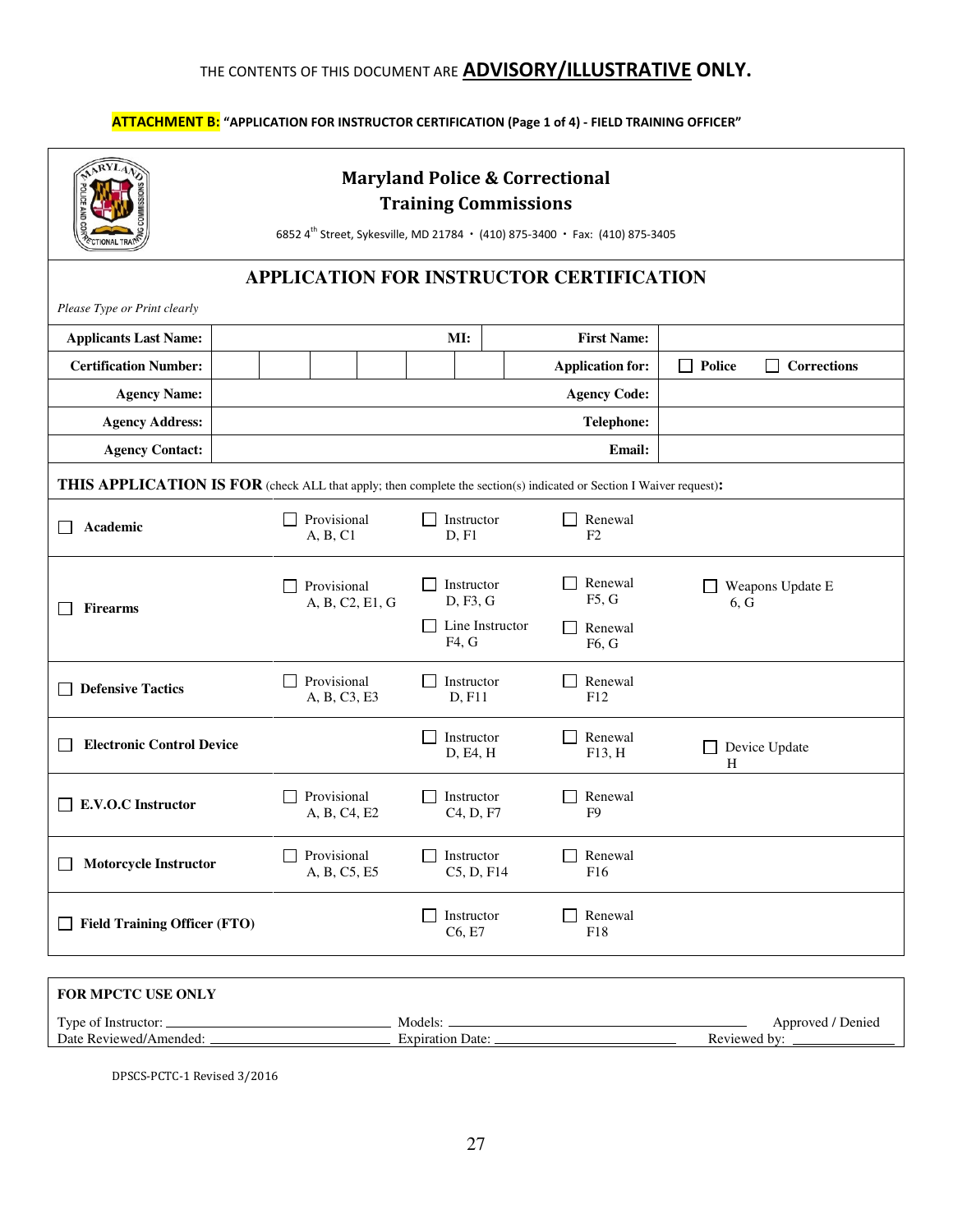## ATTACHMENT B: "APPLICATION FOR INSTRUCTOR CERTIFICATION (Page 1 of 4) - FIELD TRAINING OFFICER"

|                                                                                                                     | <b>Maryland Police &amp; Correctional</b><br><b>Training Commissions</b><br>6852 4th Street, Sykesville, MD 21784 · (410) 875-3400 · Fax: (410) 875-3405 |                                                    |                             |                                   |
|---------------------------------------------------------------------------------------------------------------------|----------------------------------------------------------------------------------------------------------------------------------------------------------|----------------------------------------------------|-----------------------------|-----------------------------------|
|                                                                                                                     | APPLICATION FOR INSTRUCTOR CERTIFICATION                                                                                                                 |                                                    |                             |                                   |
| Please Type or Print clearly                                                                                        |                                                                                                                                                          |                                                    |                             |                                   |
| <b>Applicants Last Name:</b>                                                                                        |                                                                                                                                                          | MI:                                                | <b>First Name:</b>          |                                   |
| <b>Certification Number:</b>                                                                                        |                                                                                                                                                          |                                                    | <b>Application for:</b>     | Police<br>Corrections             |
| <b>Agency Name:</b>                                                                                                 |                                                                                                                                                          |                                                    | <b>Agency Code:</b>         |                                   |
| <b>Agency Address:</b>                                                                                              |                                                                                                                                                          |                                                    | <b>Telephone:</b>           |                                   |
| <b>Agency Contact:</b>                                                                                              |                                                                                                                                                          |                                                    | <b>Email:</b>               |                                   |
| THIS APPLICATION IS FOR (check ALL that apply; then complete the section(s) indicated or Section I Waiver request): |                                                                                                                                                          |                                                    |                             |                                   |
| Academic                                                                                                            | Provisional<br>П<br>A, B, C1                                                                                                                             | Instructor<br>D, F1                                | Renewal<br>F2               |                                   |
| <b>Firearms</b>                                                                                                     | Provisional<br>A, B, C2, E1, G                                                                                                                           | Instructor<br>D, F3, G<br>Line Instructor<br>F4, G | Renewal<br>F5, G<br>Renewal | Weapons Update E<br>6, G          |
| <b>Defensive Tactics</b>                                                                                            | Provisional<br>A, B, C3, E3                                                                                                                              | Instructor<br>D, F11                               | F6, G<br>Renewal<br>F12     |                                   |
| <b>Electronic Control Device</b>                                                                                    |                                                                                                                                                          | Instructor<br>D, E4, H                             | Renewal<br>F13, H           | Device Update<br>Н                |
| <b>E.V.O.C Instructor</b>                                                                                           | Provisional<br>$\mathbf{I}$<br>A, B, C4, E2                                                                                                              | Instructor<br>C <sub>4</sub> , D <sub>, F7</sub>   | Renewal<br>F <sub>9</sub>   |                                   |
| <b>Motorcycle Instructor</b>                                                                                        | Provisional<br>A, B, C5, E5                                                                                                                              | Instructor<br>C5, D, F14                           | Renewal<br>F <sub>16</sub>  |                                   |
| <b>Field Training Officer (FTO)</b>                                                                                 |                                                                                                                                                          | Instructor<br>C6, E7                               | Renewal<br>F <sub>18</sub>  |                                   |
|                                                                                                                     |                                                                                                                                                          |                                                    |                             |                                   |
| FOR MPCTC USE ONLY                                                                                                  |                                                                                                                                                          |                                                    |                             |                                   |
| Date Reviewed/Amended: _                                                                                            |                                                                                                                                                          | Expiration Date:                                   |                             | Approved / Denied<br>Reviewed by: |

DPSCS-PCTC-1 Revised 3/2016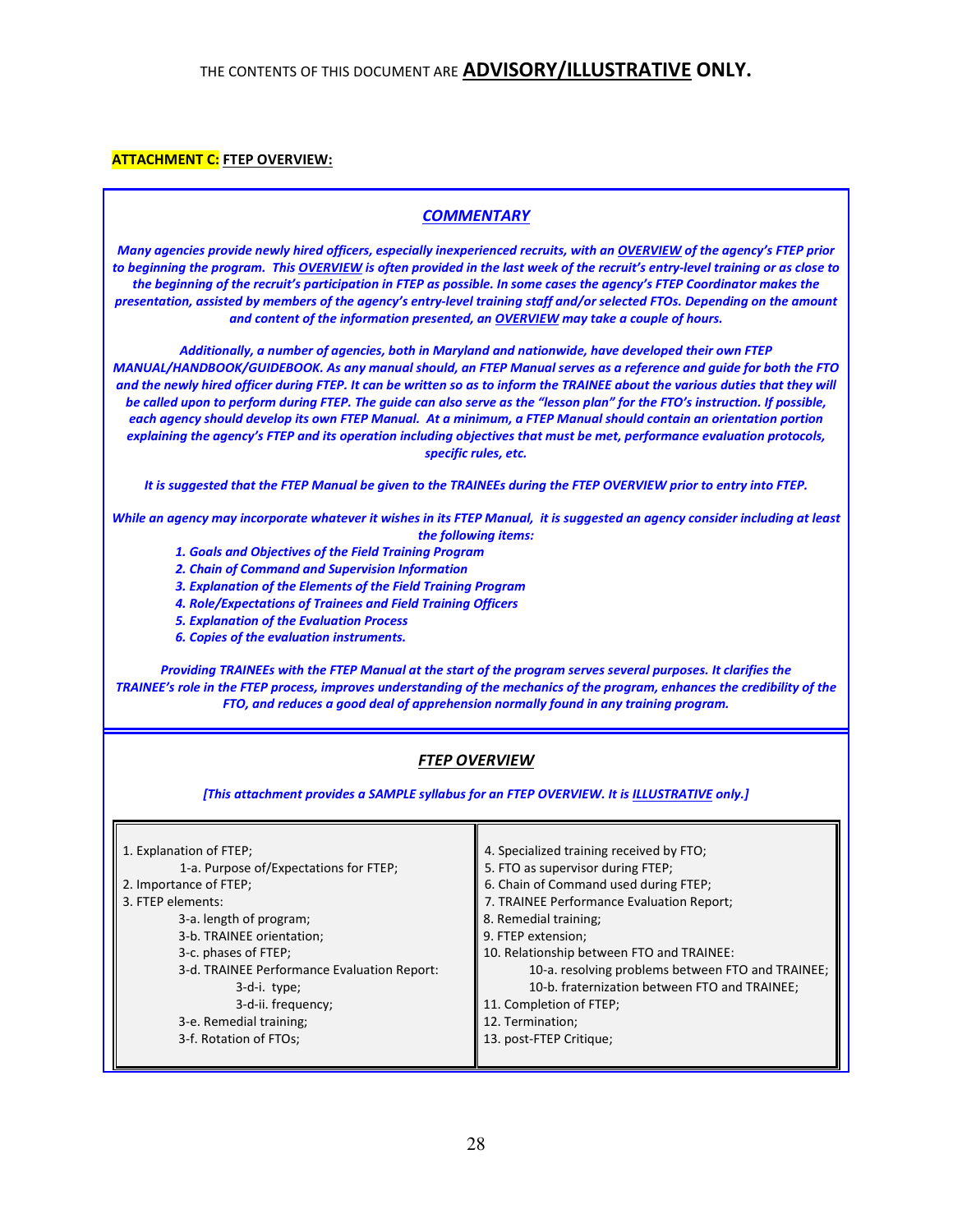### **ATTACHMENT C: FTEP OVERVIEW:**

### **COMMENTARY**

Many agencies provide newly hired officers, especially inexperienced recruits, with an OVERVIEW of the agency's FTEP prior to beginning the program. This OVERVIEW is often provided in the last week of the recruit's entry-level training or as close to the beginning of the recruit's participation in FTEP as possible. In some cases the agency's FTEP Coordinator makes the presentation, assisted by members of the agency's entry-level training staff and/or selected FTOs. Depending on the amount and content of the information presented, an OVERVIEW may take a couple of hours.

Additionally, a number of agencies, both in Maryland and nationwide, have developed their own FTEP MANUAL/HANDBOOK/GUIDEBOOK. As any manual should, an FTEP Manual serves as a reference and guide for both the FTO and the newly hired officer during FTEP. It can be written so as to inform the TRAINEE about the various duties that they will be called upon to perform during FTEP. The guide can also serve as the "lesson plan" for the FTO's instruction. If possible, each agency should develop its own FTEP Manual. At a minimum, a FTEP Manual should contain an orientation portion explaining the agency's FTEP and its operation including objectives that must be met, performance evaluation protocols, specific rules, etc.

It is suggested that the FTEP Manual be given to the TRAINEEs during the FTEP OVERVIEW prior to entry into FTEP.

While an agency may incorporate whatever it wishes in its FTEP Manual, it is suggested an agency consider including at least the following items:

- 1. Goals and Objectives of the Field Training Program
- 2. Chain of Command and Supervision Information
- 3. Explanation of the Elements of the Field Training Program
- 4. Role/Expectations of Trainees and Field Training Officers
- 5. Explanation of the Evaluation Process
- 6. Copies of the evaluation instruments.

Providing TRAINEEs with the FTEP Manual at the start of the program serves several purposes. It clarifies the TRAINEE's role in the FTEP process, improves understanding of the mechanics of the program, enhances the credibility of the FTO, and reduces a good deal of apprehension normally found in any training program.

## FTEP OVERVIEW

[This attachment provides a SAMPLE syllabus for an FTEP OVERVIEW. It is ILLUSTRATIVE only.]

| 1. Explanation of FTEP;<br>1-a. Purpose of/Expectations for FTEP;<br>2. Importance of FTEP; | 4. Specialized training received by FTO;<br>5. FTO as supervisor during FTEP;<br>6. Chain of Command used during FTEP; |  |
|---------------------------------------------------------------------------------------------|------------------------------------------------------------------------------------------------------------------------|--|
| 3. FTEP elements:                                                                           | 7. TRAINEE Performance Evaluation Report;                                                                              |  |
| 3-a. length of program;                                                                     | 8. Remedial training;                                                                                                  |  |
| 3-b. TRAINEE orientation;                                                                   | 9. FTEP extension;                                                                                                     |  |
| 3-c. phases of FTEP;                                                                        | 10. Relationship between FTO and TRAINEE:                                                                              |  |
| 3-d. TRAINEE Performance Evaluation Report:                                                 | 10-a. resolving problems between FTO and TRAINEE;                                                                      |  |
| 3-d-i. type;                                                                                | 10-b. fraternization between FTO and TRAINEE;                                                                          |  |
| 3-d-ii. frequency;                                                                          | 11. Completion of FTEP;                                                                                                |  |
| 3-e. Remedial training;                                                                     | 12. Termination;                                                                                                       |  |
| 3-f. Rotation of FTOs;                                                                      | 13. post-FTEP Critique;                                                                                                |  |
|                                                                                             |                                                                                                                        |  |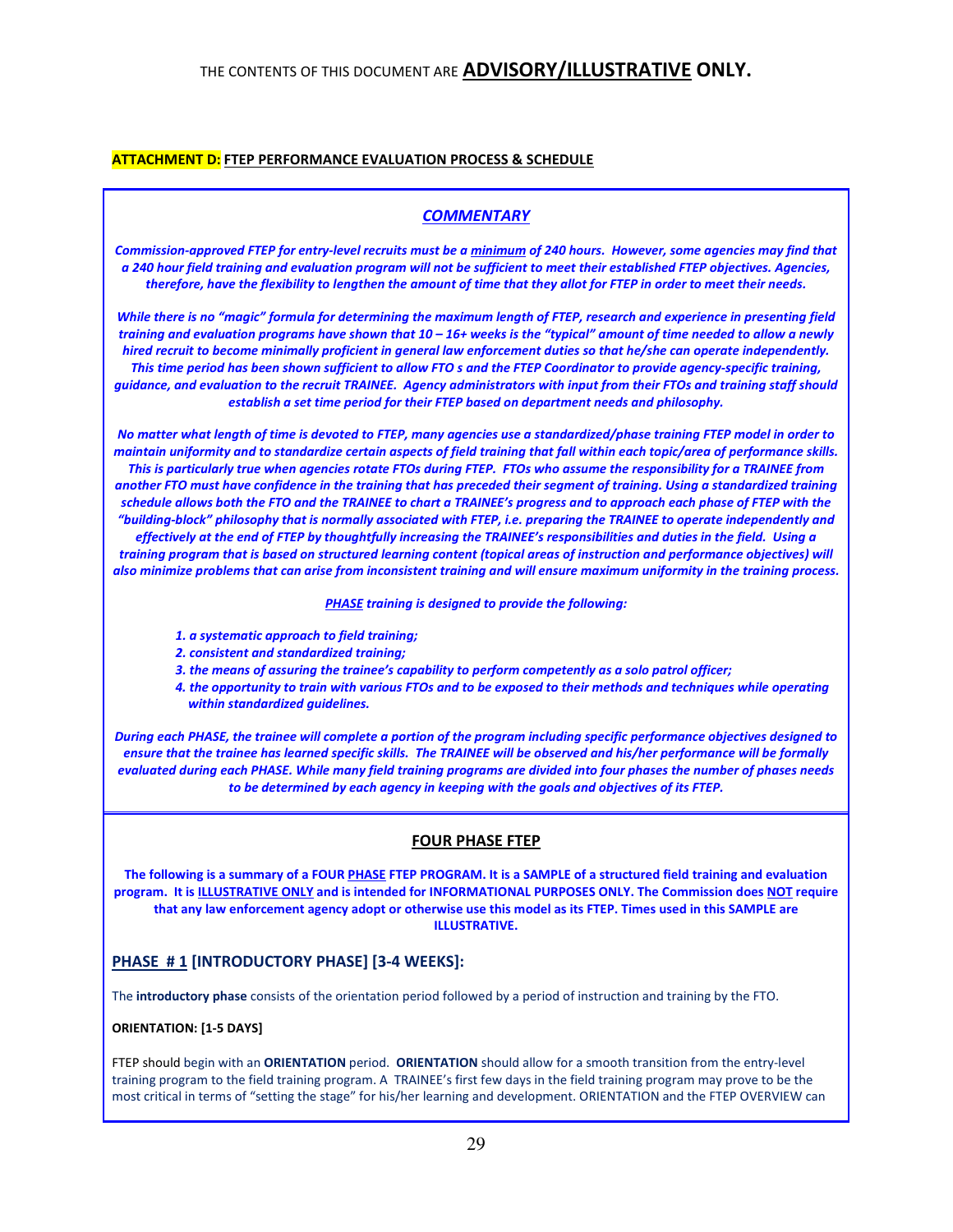### ATTACHMENT D: FTEP PERFORMANCE EVALUATION PROCESS & SCHEDULE

### **COMMENTARY**

Commission-approved FTEP for entry-level recruits must be a minimum of 240 hours. However, some agencies may find that a 240 hour field training and evaluation program will not be sufficient to meet their established FTEP objectives. Agencies, therefore, have the flexibility to lengthen the amount of time that they allot for FTEP in order to meet their needs.

While there is no "magic" formula for determining the maximum length of FTEP, research and experience in presenting field training and evaluation programs have shown that 10 – 16+ weeks is the "typical" amount of time needed to allow a newly hired recruit to become minimally proficient in general law enforcement duties so that he/she can operate independently. This time period has been shown sufficient to allow FTO s and the FTEP Coordinator to provide agency-specific training, guidance, and evaluation to the recruit TRAINEE. Agency administrators with input from their FTOs and training staff should establish a set time period for their FTEP based on department needs and philosophy.

No matter what length of time is devoted to FTEP, many agencies use a standardized/phase training FTEP model in order to maintain uniformity and to standardize certain aspects of field training that fall within each topic/area of performance skills. This is particularly true when agencies rotate FTOs during FTEP. FTOs who assume the responsibility for a TRAINEE from another FTO must have confidence in the training that has preceded their segment of training. Using a standardized training schedule allows both the FTO and the TRAINEE to chart a TRAINEE's progress and to approach each phase of FTEP with the "building-block" philosophy that is normally associated with FTEP, i.e. preparing the TRAINEE to operate independently and effectively at the end of FTEP by thoughtfully increasing the TRAINEE's responsibilities and duties in the field. Using a training program that is based on structured learning content (topical areas of instruction and performance objectives) will

also minimize problems that can arise from inconsistent training and will ensure maximum uniformity in the training process.

PHASE training is designed to provide the following:

- 1. a systematic approach to field training;
- 2. consistent and standardized training;
- 3. the means of assuring the trainee's capability to perform competently as a solo patrol officer;
- 4. the opportunity to train with various FTOs and to be exposed to their methods and techniques while operating within standardized quidelines.

During each PHASE, the trainee will complete a portion of the program including specific performance objectives designed to ensure that the trainee has learned specific skills. The TRAINEE will be observed and his/her performance will be formally evaluated during each PHASE. While many field training programs are divided into four phases the number of phases needs to be determined by each agency in keeping with the goals and objectives of its FTEP.

#### FOUR PHASE FTEP

The following is a summary of a FOUR PHASE FTEP PROGRAM. It is a SAMPLE of a structured field training and evaluation program. It is ILLUSTRATIVE ONLY and is intended for INFORMATIONAL PURPOSES ONLY. The Commission does NOT require that any law enforcement agency adopt or otherwise use this model as its FTEP. Times used in this SAMPLE are ILLUSTRATIVE.

## PHASE #1 [INTRODUCTORY PHASE] [3-4 WEEKS]:

The introductory phase consists of the orientation period followed by a period of instruction and training by the FTO.

#### ORIENTATION: [1-5 DAYS]

FTEP should begin with an ORIENTATION period. ORIENTATION should allow for a smooth transition from the entry-level training program to the field training program. A TRAINEE's first few days in the field training program may prove to be the most critical in terms of "setting the stage" for his/her learning and development. ORIENTATION and the FTEP OVERVIEW can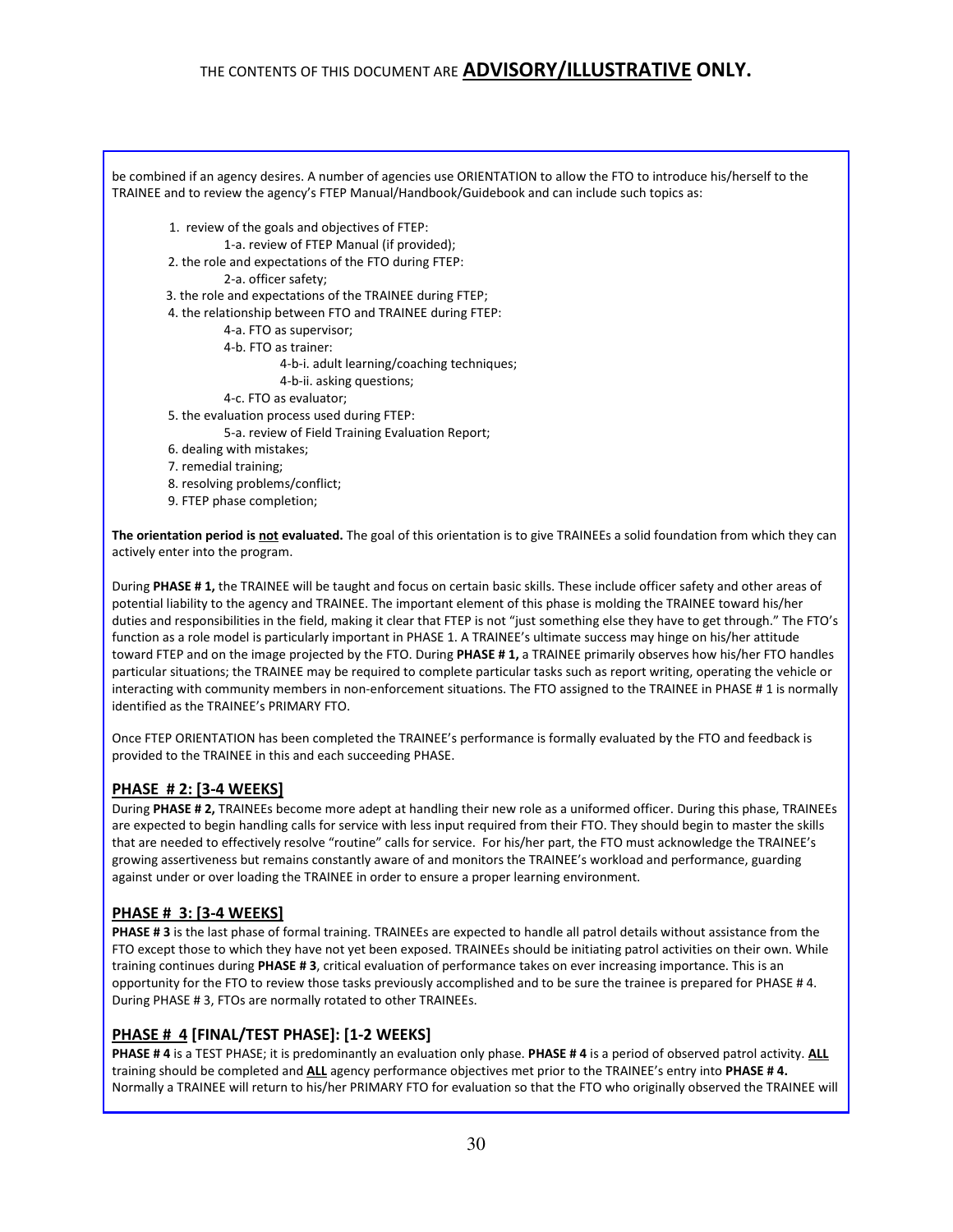| be combined if an agency desires. A number of agencies use ORIENTATION to allow the FTO to introduce his/herself to the<br>TRAINEE and to review the agency's FTEP Manual/Handbook/Guidebook and can include such topics as: |
|------------------------------------------------------------------------------------------------------------------------------------------------------------------------------------------------------------------------------|
| 1. review of the goals and objectives of FTEP:                                                                                                                                                                               |
| 1-a. review of FTEP Manual (if provided);                                                                                                                                                                                    |
| 2. the role and expectations of the FTO during FTEP:                                                                                                                                                                         |
| 2-a. officer safety;                                                                                                                                                                                                         |
| 3. the role and expectations of the TRAINEE during FTEP;                                                                                                                                                                     |
| 4. the relationship between FTO and TRAINEE during FTEP:                                                                                                                                                                     |
| 4-a. FTO as supervisor;                                                                                                                                                                                                      |
| 4-b. FTO as trainer:                                                                                                                                                                                                         |
| 4-b-i. adult learning/coaching techniques;                                                                                                                                                                                   |
| 4-b-ii. asking questions;                                                                                                                                                                                                    |
| 4-c. FTO as evaluator;                                                                                                                                                                                                       |
| 5. the evaluation process used during FTEP:                                                                                                                                                                                  |
| 5-a. review of Field Training Evaluation Report;                                                                                                                                                                             |
| 6. dealing with mistakes;                                                                                                                                                                                                    |
| 7. remedial training;                                                                                                                                                                                                        |
| 8. resolving problems/conflict;                                                                                                                                                                                              |
| 9. FTEP phase completion;                                                                                                                                                                                                    |
| The orientation period is not evaluated. The goal of this orientation is to give TRAINEEs a solid foundation from which they can<br>actively enter into the program.                                                         |
| During PHASE #1, the TRAINEE will be taught and focus on certain basic skills. These include officer safety and other areas of                                                                                               |

potential liability to the agency and TRAINEE. The important element of this phase is molding the TRAINEE toward his/her duties and responsibilities in the field, making it clear that FTEP is not "just something else they have to get through." The FTO's function as a role model is particularly important in PHASE 1. A TRAINEE's ultimate success may hinge on his/her attitude toward FTEP and on the image projected by the FTO. During PHASE # 1, a TRAINEE primarily observes how his/her FTO handles particular situations; the TRAINEE may be required to complete particular tasks such as report writing, operating the vehicle or interacting with community members in non-enforcement situations. The FTO assigned to the TRAINEE in PHASE # 1 is normally identified as the TRAINEE's PRIMARY FTO.

Once FTEP ORIENTATION has been completed the TRAINEE's performance is formally evaluated by the FTO and feedback is provided to the TRAINEE in this and each succeeding PHASE.

## PHASE # 2: [3-4 WEEKS]

During PHASE # 2, TRAINEEs become more adept at handling their new role as a uniformed officer. During this phase, TRAINEEs are expected to begin handling calls for service with less input required from their FTO. They should begin to master the skills that are needed to effectively resolve "routine" calls for service. For his/her part, the FTO must acknowledge the TRAINEE's growing assertiveness but remains constantly aware of and monitors the TRAINEE's workload and performance, guarding against under or over loading the TRAINEE in order to ensure a proper learning environment.

## PHASE # 3: [3-4 WEEKS]

PHASE # 3 is the last phase of formal training. TRAINEEs are expected to handle all patrol details without assistance from the FTO except those to which they have not yet been exposed. TRAINEEs should be initiating patrol activities on their own. While training continues during PHASE # 3, critical evaluation of performance takes on ever increasing importance. This is an opportunity for the FTO to review those tasks previously accomplished and to be sure the trainee is prepared for PHASE # 4. During PHASE # 3, FTOs are normally rotated to other TRAINEEs.

## PHASE # 4 [FINAL/TEST PHASE]: [1-2 WEEKS]

PHASE # 4 is a TEST PHASE; it is predominantly an evaluation only phase. PHASE # 4 is a period of observed patrol activity. ALL training should be completed and ALL agency performance objectives met prior to the TRAINEE's entry into PHASE #4. Normally a TRAINEE will return to his/her PRIMARY FTO for evaluation so that the FTO who originally observed the TRAINEE will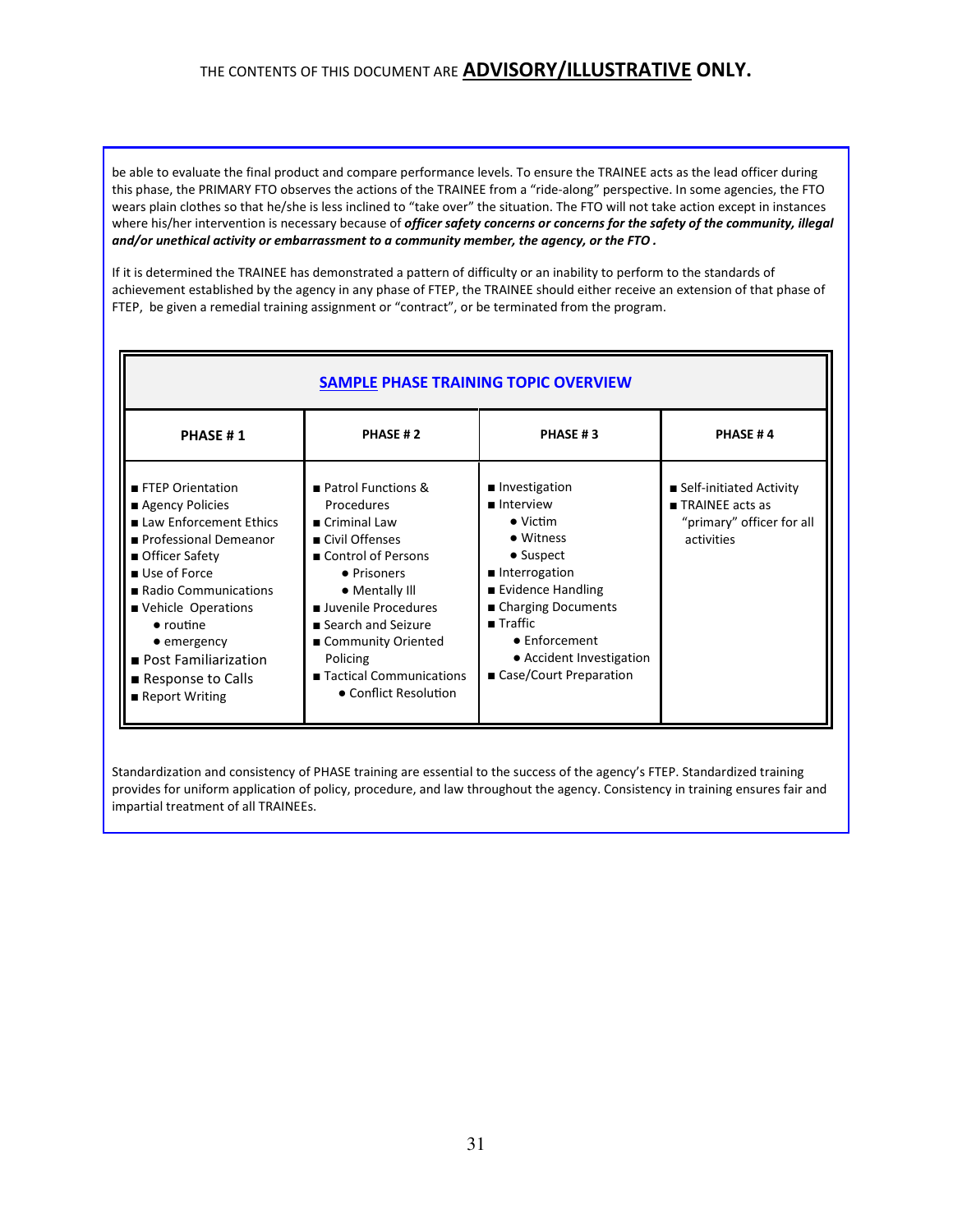be able to evaluate the final product and compare performance levels. To ensure the TRAINEE acts as the lead officer during this phase, the PRIMARY FTO observes the actions of the TRAINEE from a "ride-along" perspective. In some agencies, the FTO wears plain clothes so that he/she is less inclined to "take over" the situation. The FTO will not take action except in instances where his/her intervention is necessary because of officer safety concerns or concerns for the safety of the community, illegal and/or unethical activity or embarrassment to a community member, the agency, or the FTO .

If it is determined the TRAINEE has demonstrated a pattern of difficulty or an inability to perform to the standards of achievement established by the agency in any phase of FTEP, the TRAINEE should either receive an extension of that phase of FTEP, be given a remedial training assignment or "contract", or be terminated from the program.

l.

| <b>SAMPLE PHASE TRAINING TOPIC OVERVIEW</b>                                                                                                                                                                                                                                               |                                                                                                                                                                                                                                                                          |                                                                                                                                                                                                                                               |                                                                                                        |
|-------------------------------------------------------------------------------------------------------------------------------------------------------------------------------------------------------------------------------------------------------------------------------------------|--------------------------------------------------------------------------------------------------------------------------------------------------------------------------------------------------------------------------------------------------------------------------|-----------------------------------------------------------------------------------------------------------------------------------------------------------------------------------------------------------------------------------------------|--------------------------------------------------------------------------------------------------------|
| PHASE #1                                                                                                                                                                                                                                                                                  | PHASE #2                                                                                                                                                                                                                                                                 | PHASE #3                                                                                                                                                                                                                                      | <b>PHASE #4</b>                                                                                        |
| FTEP Orientation<br>Agency Policies<br>■ Law Enforcement Ethics<br>Professional Demeanor<br>■ Officer Safety<br>■ Use of Force<br>Radio Communications<br>Vehicle Operations<br>$\bullet$ routine<br>$\bullet$ emergency<br>Post Familiarization<br>Response to Calls<br>■ Report Writing | Patrol Functions &<br>Procedures<br>■ Criminal Law<br>■ Civil Offenses<br>■ Control of Persons<br>• Prisoners<br>• Mentally Ill<br>Juvenile Procedures<br>■ Search and Seizure<br>■ Community Oriented<br>Policing<br>■ Tactical Communications<br>• Conflict Resolution | ■ Investigation<br>lnterview<br>$\bullet$ Victim<br>• Witness<br>• Suspect<br>Interrogation<br>■ Evidence Handling<br>■ Charging Documents<br>$\blacksquare$ Traffic<br>• Enforcement<br>• Accident Investigation<br>■ Case/Court Preparation | ■ Self-initiated Activity<br>$\blacksquare$ TRAINEE acts as<br>"primary" officer for all<br>activities |

Standardization and consistency of PHASE training are essential to the success of the agency's FTEP. Standardized training provides for uniform application of policy, procedure, and law throughout the agency. Consistency in training ensures fair and impartial treatment of all TRAINEEs.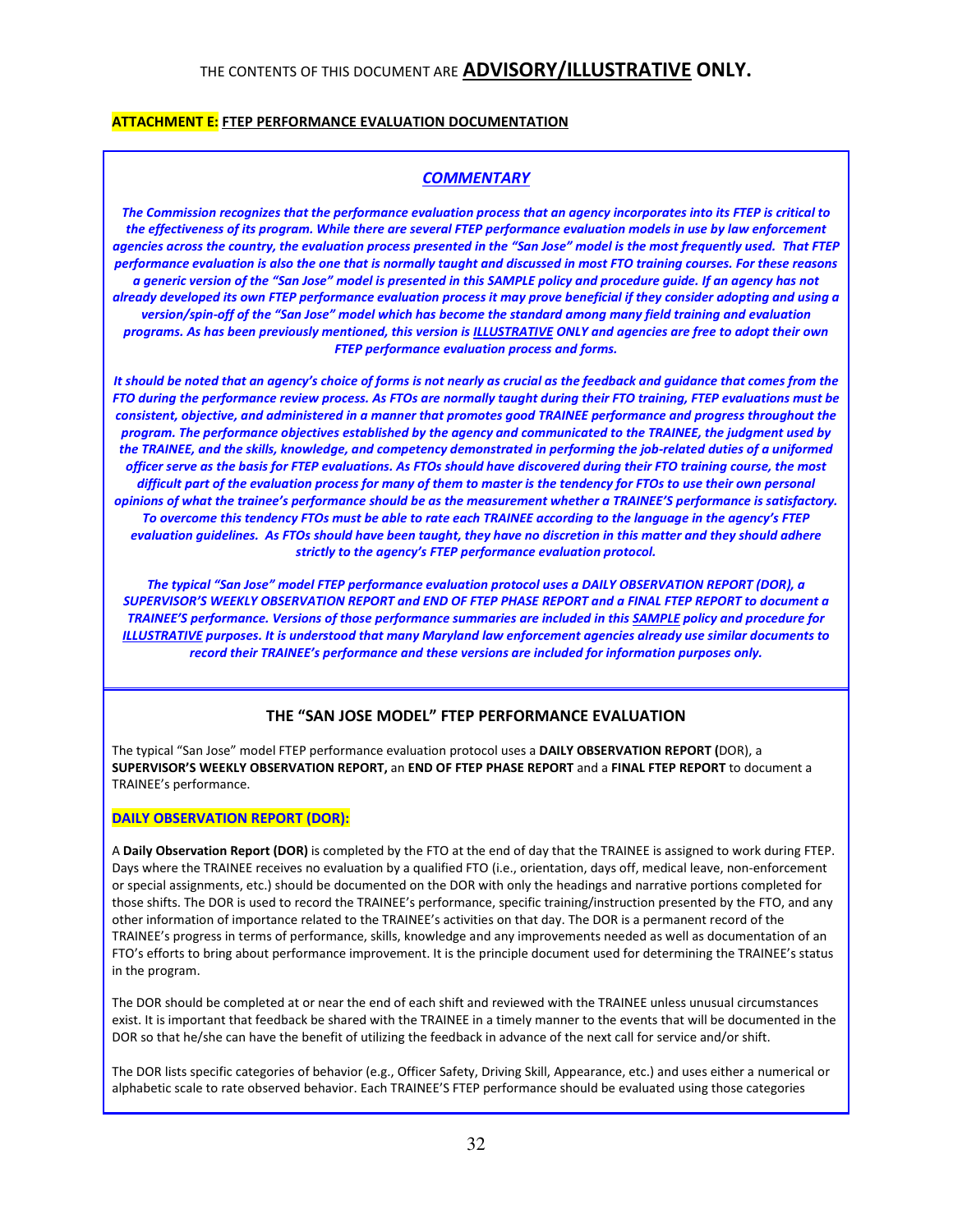### **ATTACHMENT E:** FTEP PERFORMANCE EVALUATION DOCUMENTATION

### **COMMENTARY**

The Commission recognizes that the performance evaluation process that an agency incorporates into its FTEP is critical to the effectiveness of its program. While there are several FTEP performance evaluation models in use by law enforcement agencies across the country, the evaluation process presented in the "San Jose" model is the most frequently used. That FTEP performance evaluation is also the one that is normally taught and discussed in most FTO training courses. For these reasons a generic version of the "San Jose" model is presented in this SAMPLE policy and procedure guide. If an agency has not already developed its own FTEP performance evaluation process it may prove beneficial if they consider adopting and using a version/spin-off of the "San Jose" model which has become the standard among many field training and evaluation programs. As has been previously mentioned, this version is ILLUSTRATIVE ONLY and agencies are free to adopt their own FTEP performance evaluation process and forms.

It should be noted that an agency's choice of forms is not nearly as crucial as the feedback and guidance that comes from the FTO during the performance review process. As FTOs are normally taught during their FTO training, FTEP evaluations must be consistent, objective, and administered in a manner that promotes good TRAINEE performance and progress throughout the program. The performance objectives established by the agency and communicated to the TRAINEE, the judgment used by the TRAINEE, and the skills, knowledge, and competency demonstrated in performing the job-related duties of a uniformed officer serve as the basis for FTEP evaluations. As FTOs should have discovered during their FTO training course, the most difficult part of the evaluation process for many of them to master is the tendency for FTOs to use their own personal opinions of what the trainee's performance should be as the measurement whether a TRAINEE'S performance is satisfactory. To overcome this tendency FTOs must be able to rate each TRAINEE according to the language in the agency's FTEP evaluation guidelines. As FTOs should have been taught, they have no discretion in this matter and they should adhere strictly to the agency's FTEP performance evaluation protocol.

The typical "San Jose" model FTEP performance evaluation protocol uses a DAILY OBSERVATION REPORT (DOR), a SUPERVISOR'S WEEKLY OBSERVATION REPORT and END OF FTEP PHASE REPORT and a FINAL FTEP REPORT to document a TRAINEE'S performance. Versions of those performance summaries are included in this SAMPLE policy and procedure for ILLUSTRATIVE purposes. It is understood that many Maryland law enforcement agencies already use similar documents to record their TRAINEE's performance and these versions are included for information purposes only.

## THE "SAN JOSE MODEL" FTEP PERFORMANCE EVALUATION

The typical "San Jose" model FTEP performance evaluation protocol uses a DAILY OBSERVATION REPORT (DOR), a SUPERVISOR'S WEEKLY OBSERVATION REPORT, an END OF FTEP PHASE REPORT and a FINAL FTEP REPORT to document a TRAINEE's performance.

#### DAILY OBSERVATION REPORT (DOR):

A Daily Observation Report (DOR) is completed by the FTO at the end of day that the TRAINEE is assigned to work during FTEP. Days where the TRAINEE receives no evaluation by a qualified FTO (i.e., orientation, days off, medical leave, non-enforcement or special assignments, etc.) should be documented on the DOR with only the headings and narrative portions completed for those shifts. The DOR is used to record the TRAINEE's performance, specific training/instruction presented by the FTO, and any other information of importance related to the TRAINEE's activities on that day. The DOR is a permanent record of the TRAINEE's progress in terms of performance, skills, knowledge and any improvements needed as well as documentation of an FTO's efforts to bring about performance improvement. It is the principle document used for determining the TRAINEE's status in the program.

The DOR should be completed at or near the end of each shift and reviewed with the TRAINEE unless unusual circumstances exist. It is important that feedback be shared with the TRAINEE in a timely manner to the events that will be documented in the DOR so that he/she can have the benefit of utilizing the feedback in advance of the next call for service and/or shift.

The DOR lists specific categories of behavior (e.g., Officer Safety, Driving Skill, Appearance, etc.) and uses either a numerical or alphabetic scale to rate observed behavior. Each TRAINEE'S FTEP performance should be evaluated using those categories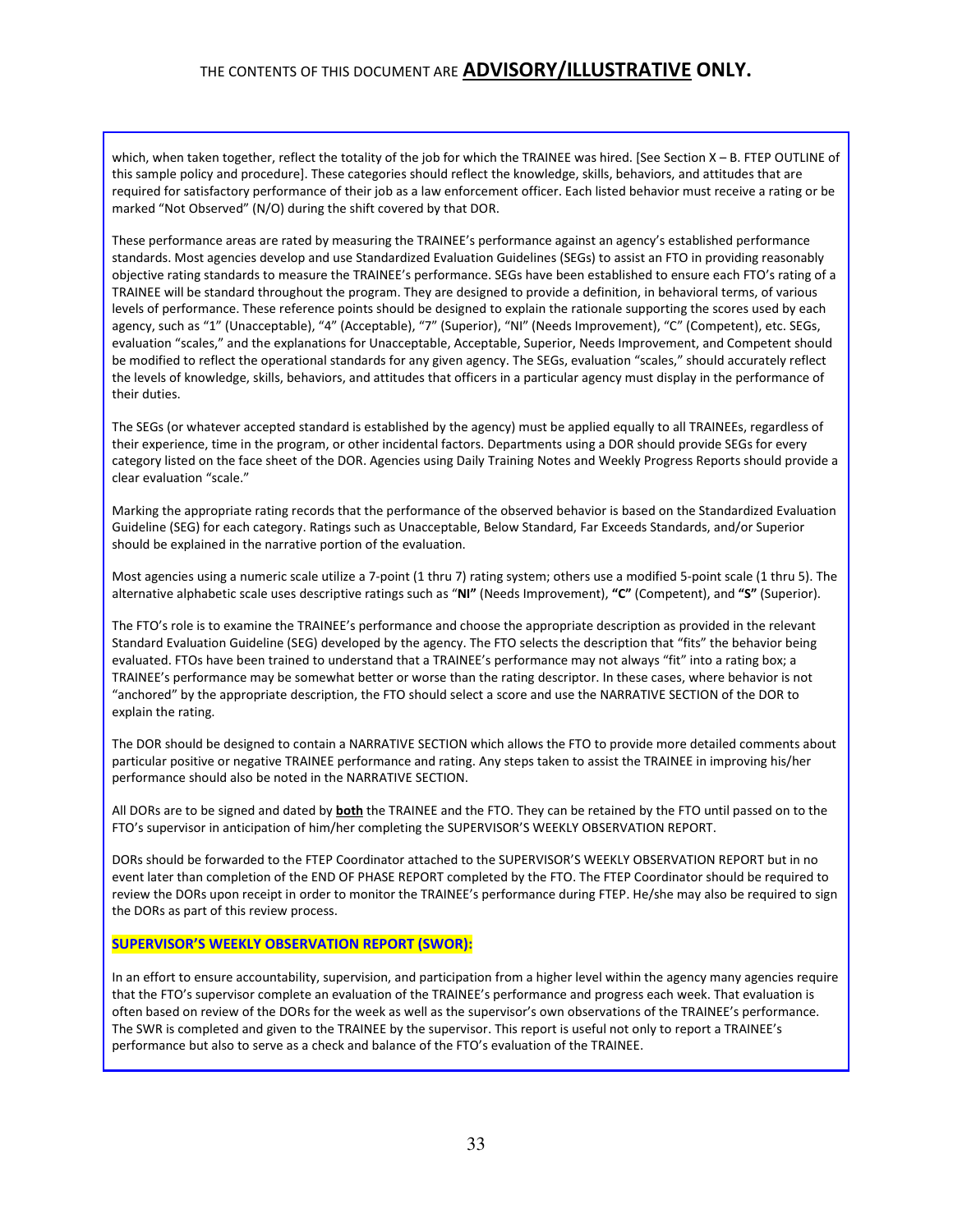which, when taken together, reflect the totality of the job for which the TRAINEE was hired. [See Section X – B. FTEP OUTLINE of this sample policy and procedure]. These categories should reflect the knowledge, skills, behaviors, and attitudes that are required for satisfactory performance of their job as a law enforcement officer. Each listed behavior must receive a rating or be marked "Not Observed" (N/O) during the shift covered by that DOR.

These performance areas are rated by measuring the TRAINEE's performance against an agency's established performance standards. Most agencies develop and use Standardized Evaluation Guidelines (SEGs) to assist an FTO in providing reasonably objective rating standards to measure the TRAINEE's performance. SEGs have been established to ensure each FTO's rating of a TRAINEE will be standard throughout the program. They are designed to provide a definition, in behavioral terms, of various levels of performance. These reference points should be designed to explain the rationale supporting the scores used by each agency, such as "1" (Unacceptable), "4" (Acceptable), "7" (Superior), "NI" (Needs Improvement), "C" (Competent), etc. SEGs, evaluation "scales," and the explanations for Unacceptable, Acceptable, Superior, Needs Improvement, and Competent should be modified to reflect the operational standards for any given agency. The SEGs, evaluation "scales," should accurately reflect the levels of knowledge, skills, behaviors, and attitudes that officers in a particular agency must display in the performance of their duties.

The SEGs (or whatever accepted standard is established by the agency) must be applied equally to all TRAINEEs, regardless of their experience, time in the program, or other incidental factors. Departments using a DOR should provide SEGs for every category listed on the face sheet of the DOR. Agencies using Daily Training Notes and Weekly Progress Reports should provide a clear evaluation "scale."

Marking the appropriate rating records that the performance of the observed behavior is based on the Standardized Evaluation Guideline (SEG) for each category. Ratings such as Unacceptable, Below Standard, Far Exceeds Standards, and/or Superior should be explained in the narrative portion of the evaluation.

Most agencies using a numeric scale utilize a 7-point (1 thru 7) rating system; others use a modified 5-point scale (1 thru 5). The alternative alphabetic scale uses descriptive ratings such as "NI" (Needs Improvement), "C" (Competent), and "S" (Superior).

The FTO's role is to examine the TRAINEE's performance and choose the appropriate description as provided in the relevant Standard Evaluation Guideline (SEG) developed by the agency. The FTO selects the description that "fits" the behavior being evaluated. FTOs have been trained to understand that a TRAINEE's performance may not always "fit" into a rating box; a TRAINEE's performance may be somewhat better or worse than the rating descriptor. In these cases, where behavior is not "anchored" by the appropriate description, the FTO should select a score and use the NARRATIVE SECTION of the DOR to explain the rating.

The DOR should be designed to contain a NARRATIVE SECTION which allows the FTO to provide more detailed comments about particular positive or negative TRAINEE performance and rating. Any steps taken to assist the TRAINEE in improving his/her performance should also be noted in the NARRATIVE SECTION.

All DORs are to be signed and dated by **both** the TRAINEE and the FTO. They can be retained by the FTO until passed on to the FTO's supervisor in anticipation of him/her completing the SUPERVISOR'S WEEKLY OBSERVATION REPORT.

DORs should be forwarded to the FTEP Coordinator attached to the SUPERVISOR'S WEEKLY OBSERVATION REPORT but in no event later than completion of the END OF PHASE REPORT completed by the FTO. The FTEP Coordinator should be required to review the DORs upon receipt in order to monitor the TRAINEE's performance during FTEP. He/she may also be required to sign the DORs as part of this review process.

#### SUPERVISOR'S WEEKLY OBSERVATION REPORT (SWOR):

In an effort to ensure accountability, supervision, and participation from a higher level within the agency many agencies require that the FTO's supervisor complete an evaluation of the TRAINEE's performance and progress each week. That evaluation is often based on review of the DORs for the week as well as the supervisor's own observations of the TRAINEE's performance. The SWR is completed and given to the TRAINEE by the supervisor. This report is useful not only to report a TRAINEE's performance but also to serve as a check and balance of the FTO's evaluation of the TRAINEE.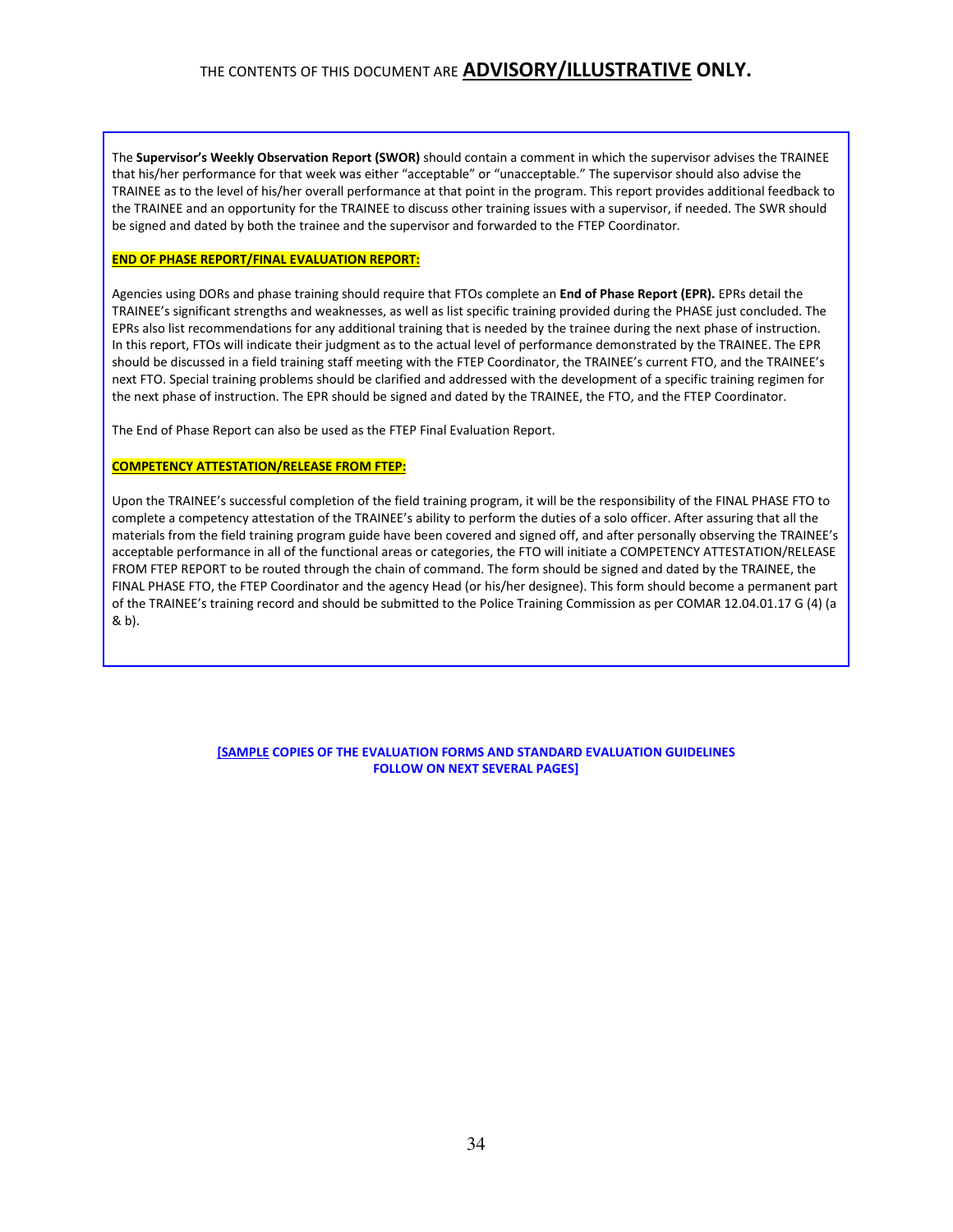The Supervisor's Weekly Observation Report (SWOR) should contain a comment in which the supervisor advises the TRAINEE that his/her performance for that week was either "acceptable" or "unacceptable." The supervisor should also advise the TRAINEE as to the level of his/her overall performance at that point in the program. This report provides additional feedback to the TRAINEE and an opportunity for the TRAINEE to discuss other training issues with a supervisor, if needed. The SWR should be signed and dated by both the trainee and the supervisor and forwarded to the FTEP Coordinator.

#### END OF PHASE REPORT/FINAL EVALUATION REPORT:

Agencies using DORs and phase training should require that FTOs complete an **End of Phase Report (EPR).** EPRs detail the TRAINEE's significant strengths and weaknesses, as well as list specific training provided during the PHASE just concluded. The EPRs also list recommendations for any additional training that is needed by the trainee during the next phase of instruction. In this report, FTOs will indicate their judgment as to the actual level of performance demonstrated by the TRAINEE. The EPR should be discussed in a field training staff meeting with the FTEP Coordinator, the TRAINEE's current FTO, and the TRAINEE's next FTO. Special training problems should be clarified and addressed with the development of a specific training regimen for the next phase of instruction. The EPR should be signed and dated by the TRAINEE, the FTO, and the FTEP Coordinator.

The End of Phase Report can also be used as the FTEP Final Evaluation Report.

#### COMPETENCY ATTESTATION/RELEASE FROM FTEP:

Upon the TRAINEE's successful completion of the field training program, it will be the responsibility of the FINAL PHASE FTO to complete a competency attestation of the TRAINEE's ability to perform the duties of a solo officer. After assuring that all the materials from the field training program guide have been covered and signed off, and after personally observing the TRAINEE's acceptable performance in all of the functional areas or categories, the FTO will initiate a COMPETENCY ATTESTATION/RELEASE FROM FTEP REPORT to be routed through the chain of command. The form should be signed and dated by the TRAINEE, the FINAL PHASE FTO, the FTEP Coordinator and the agency Head (or his/her designee). This form should become a permanent part of the TRAINEE's training record and should be submitted to the Police Training Commission as per COMAR 12.04.01.17 G (4) (a & b).

> [SAMPLE COPIES OF THE EVALUATION FORMS AND STANDARD EVALUATION GUIDELINES FOLLOW ON NEXT SEVERAL PAGES]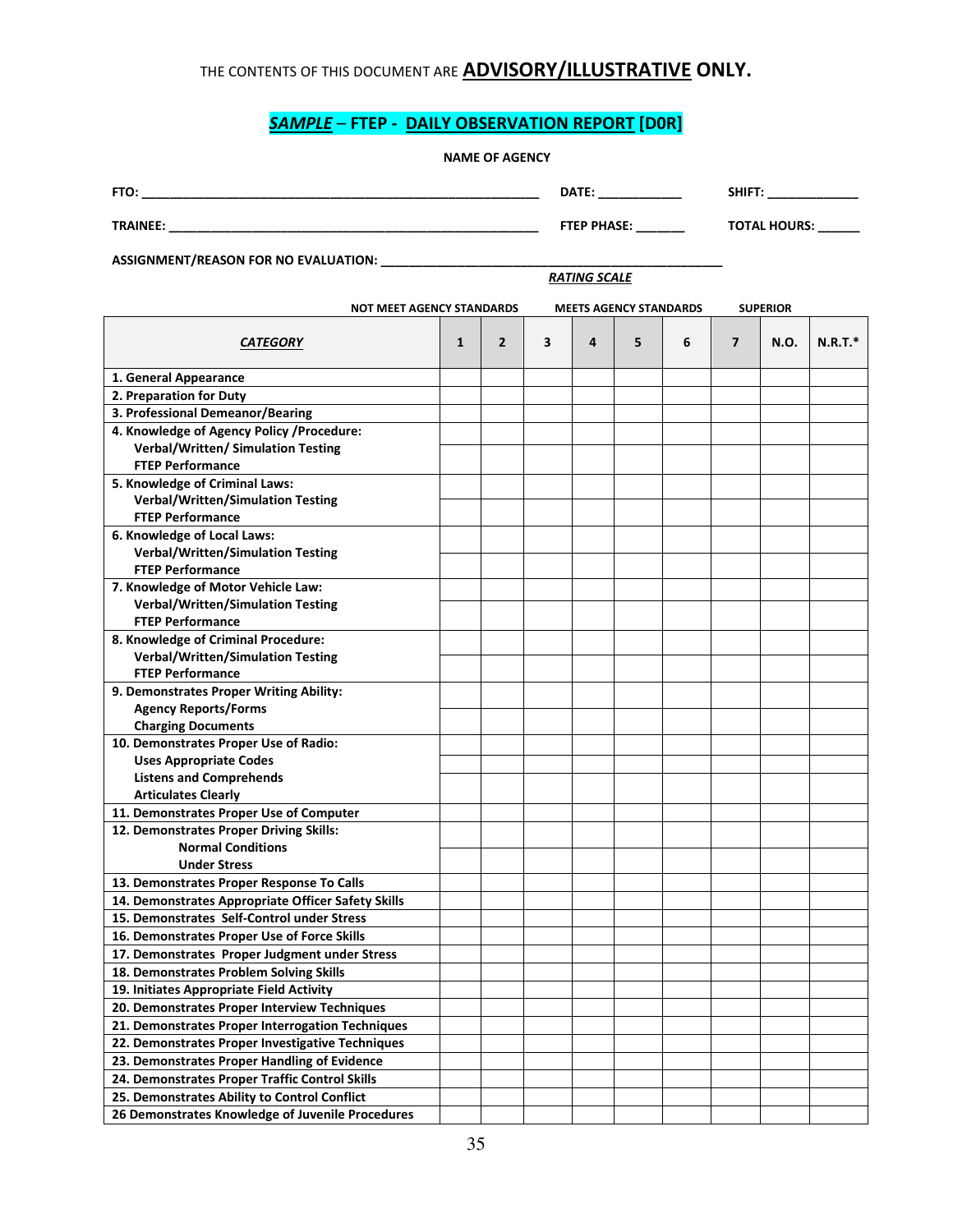## SAMPLE - FTEP - DAILY OBSERVATION REPORT [D0R]

| FTO:            | DATE:              | <b>SHIFT</b>                 |
|-----------------|--------------------|------------------------------|
| <b>TRAINEE:</b> | <b>FTEP PHASE:</b> | <b>TOTAL HOURS:</b><br>_____ |

ASSIGNMENT/REASON FOR NO EVALUATION: \_\_\_\_\_\_\_\_\_\_\_\_\_\_\_\_\_\_\_\_\_\_\_\_\_\_\_\_\_\_\_\_\_\_\_\_\_\_\_\_\_\_\_\_\_\_\_\_\_

RATING SCALE

| <b>NOT MEET AGENCY STANDARDS</b>                   |              |                |   |   | <b>MEETS AGENCY STANDARDS</b> |   |   | <b>SUPERIOR</b> |           |
|----------------------------------------------------|--------------|----------------|---|---|-------------------------------|---|---|-----------------|-----------|
| <b>CATEGORY</b>                                    | $\mathbf{1}$ | $\overline{2}$ | 3 | 4 | 5                             | 6 | 7 | N.O.            | $N.R.T.*$ |
| 1. General Appearance                              |              |                |   |   |                               |   |   |                 |           |
| 2. Preparation for Duty                            |              |                |   |   |                               |   |   |                 |           |
| 3. Professional Demeanor/Bearing                   |              |                |   |   |                               |   |   |                 |           |
| 4. Knowledge of Agency Policy /Procedure:          |              |                |   |   |                               |   |   |                 |           |
| Verbal/Written/ Simulation Testing                 |              |                |   |   |                               |   |   |                 |           |
| <b>FTEP Performance</b>                            |              |                |   |   |                               |   |   |                 |           |
| 5. Knowledge of Criminal Laws:                     |              |                |   |   |                               |   |   |                 |           |
| <b>Verbal/Written/Simulation Testing</b>           |              |                |   |   |                               |   |   |                 |           |
| <b>FTEP Performance</b>                            |              |                |   |   |                               |   |   |                 |           |
| 6. Knowledge of Local Laws:                        |              |                |   |   |                               |   |   |                 |           |
| <b>Verbal/Written/Simulation Testing</b>           |              |                |   |   |                               |   |   |                 |           |
| <b>FTEP Performance</b>                            |              |                |   |   |                               |   |   |                 |           |
| 7. Knowledge of Motor Vehicle Law:                 |              |                |   |   |                               |   |   |                 |           |
| <b>Verbal/Written/Simulation Testing</b>           |              |                |   |   |                               |   |   |                 |           |
| <b>FTEP Performance</b>                            |              |                |   |   |                               |   |   |                 |           |
| 8. Knowledge of Criminal Procedure:                |              |                |   |   |                               |   |   |                 |           |
| <b>Verbal/Written/Simulation Testing</b>           |              |                |   |   |                               |   |   |                 |           |
| <b>FTEP Performance</b>                            |              |                |   |   |                               |   |   |                 |           |
| 9. Demonstrates Proper Writing Ability:            |              |                |   |   |                               |   |   |                 |           |
| <b>Agency Reports/Forms</b>                        |              |                |   |   |                               |   |   |                 |           |
| <b>Charging Documents</b>                          |              |                |   |   |                               |   |   |                 |           |
| 10. Demonstrates Proper Use of Radio:              |              |                |   |   |                               |   |   |                 |           |
| <b>Uses Appropriate Codes</b>                      |              |                |   |   |                               |   |   |                 |           |
| <b>Listens and Comprehends</b>                     |              |                |   |   |                               |   |   |                 |           |
| <b>Articulates Clearly</b>                         |              |                |   |   |                               |   |   |                 |           |
| 11. Demonstrates Proper Use of Computer            |              |                |   |   |                               |   |   |                 |           |
| 12. Demonstrates Proper Driving Skills:            |              |                |   |   |                               |   |   |                 |           |
| <b>Normal Conditions</b>                           |              |                |   |   |                               |   |   |                 |           |
| <b>Under Stress</b>                                |              |                |   |   |                               |   |   |                 |           |
| 13. Demonstrates Proper Response To Calls          |              |                |   |   |                               |   |   |                 |           |
| 14. Demonstrates Appropriate Officer Safety Skills |              |                |   |   |                               |   |   |                 |           |
| 15. Demonstrates Self-Control under Stress         |              |                |   |   |                               |   |   |                 |           |
| 16. Demonstrates Proper Use of Force Skills        |              |                |   |   |                               |   |   |                 |           |
| 17. Demonstrates Proper Judgment under Stress      |              |                |   |   |                               |   |   |                 |           |
| 18. Demonstrates Problem Solving Skills            |              |                |   |   |                               |   |   |                 |           |
| 19. Initiates Appropriate Field Activity           |              |                |   |   |                               |   |   |                 |           |
| 20. Demonstrates Proper Interview Techniques       |              |                |   |   |                               |   |   |                 |           |
| 21. Demonstrates Proper Interrogation Techniques   |              |                |   |   |                               |   |   |                 |           |
| 22. Demonstrates Proper Investigative Techniques   |              |                |   |   |                               |   |   |                 |           |
| 23. Demonstrates Proper Handling of Evidence       |              |                |   |   |                               |   |   |                 |           |
| 24. Demonstrates Proper Traffic Control Skills     |              |                |   |   |                               |   |   |                 |           |
| 25. Demonstrates Ability to Control Conflict       |              |                |   |   |                               |   |   |                 |           |
| 26 Demonstrates Knowledge of Juvenile Procedures   |              |                |   |   |                               |   |   |                 |           |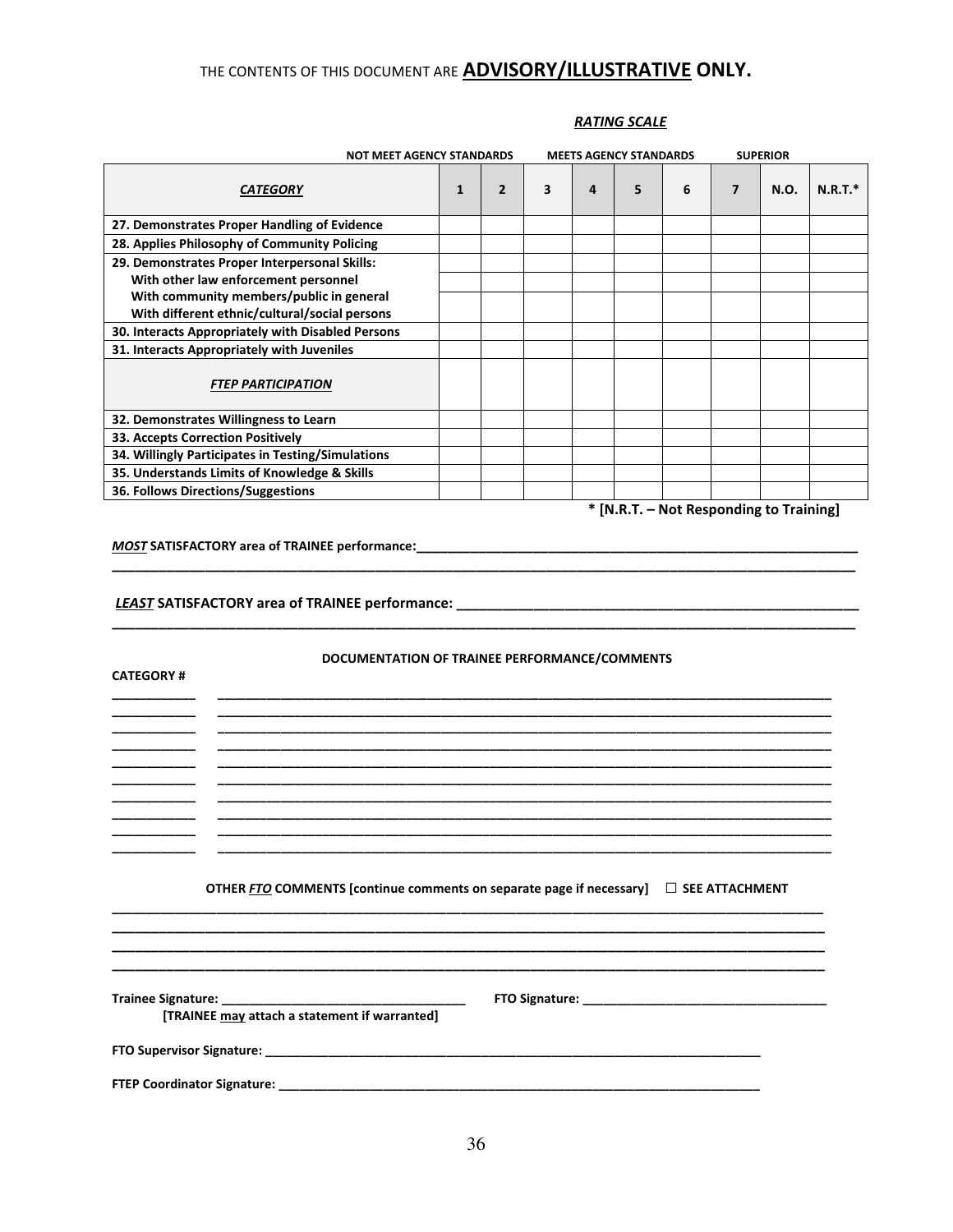| <b>NOT MEET AGENCY STANDARDS</b>                                                                                                                                |              |                |   |   | <b>MEETS AGENCY STANDARDS</b> |                                         |                | <b>SUPERIOR</b> |           |
|-----------------------------------------------------------------------------------------------------------------------------------------------------------------|--------------|----------------|---|---|-------------------------------|-----------------------------------------|----------------|-----------------|-----------|
| <b>CATEGORY</b>                                                                                                                                                 | $\mathbf{1}$ | $\overline{2}$ | 3 | 4 | 5                             | 6                                       | $\overline{7}$ | N.O.            | $N.R.T.*$ |
| 27. Demonstrates Proper Handling of Evidence                                                                                                                    |              |                |   |   |                               |                                         |                |                 |           |
| 28. Applies Philosophy of Community Policing                                                                                                                    |              |                |   |   |                               |                                         |                |                 |           |
| 29. Demonstrates Proper Interpersonal Skills:                                                                                                                   |              |                |   |   |                               |                                         |                |                 |           |
| With other law enforcement personnel                                                                                                                            |              |                |   |   |                               |                                         |                |                 |           |
| With community members/public in general                                                                                                                        |              |                |   |   |                               |                                         |                |                 |           |
| With different ethnic/cultural/social persons                                                                                                                   |              |                |   |   |                               |                                         |                |                 |           |
| 30. Interacts Appropriately with Disabled Persons                                                                                                               |              |                |   |   |                               |                                         |                |                 |           |
| 31. Interacts Appropriately with Juveniles                                                                                                                      |              |                |   |   |                               |                                         |                |                 |           |
| <b>FTEP PARTICIPATION</b>                                                                                                                                       |              |                |   |   |                               |                                         |                |                 |           |
| 32. Demonstrates Willingness to Learn                                                                                                                           |              |                |   |   |                               |                                         |                |                 |           |
| 33. Accepts Correction Positively                                                                                                                               |              |                |   |   |                               |                                         |                |                 |           |
| 34. Willingly Participates in Testing/Simulations                                                                                                               |              |                |   |   |                               |                                         |                |                 |           |
| 35. Understands Limits of Knowledge & Skills                                                                                                                    |              |                |   |   |                               |                                         |                |                 |           |
| 36. Follows Directions/Suggestions                                                                                                                              |              |                |   |   |                               |                                         |                |                 |           |
| <b>MOST SATISFACTORY area of TRAINEE performance:</b><br>LEAST SATISFACTORY area of TRAINEE performance: _________________________________                      |              |                |   |   |                               | * [N.R.T. - Not Responding to Training] |                |                 |           |
| DOCUMENTATION OF TRAINEE PERFORMANCE/COMMENTS<br><b>CATEGORY#</b><br>OTHER FTO COMMENTS [continue comments on separate page if necessary] $\Box$ SEE ATTACHMENT |              |                |   |   |                               |                                         |                |                 |           |
| [TRAINEE may attach a statement if warranted]                                                                                                                   |              |                |   |   |                               |                                         |                |                 |           |
|                                                                                                                                                                 |              |                |   |   |                               |                                         |                |                 |           |

## RATING SCALE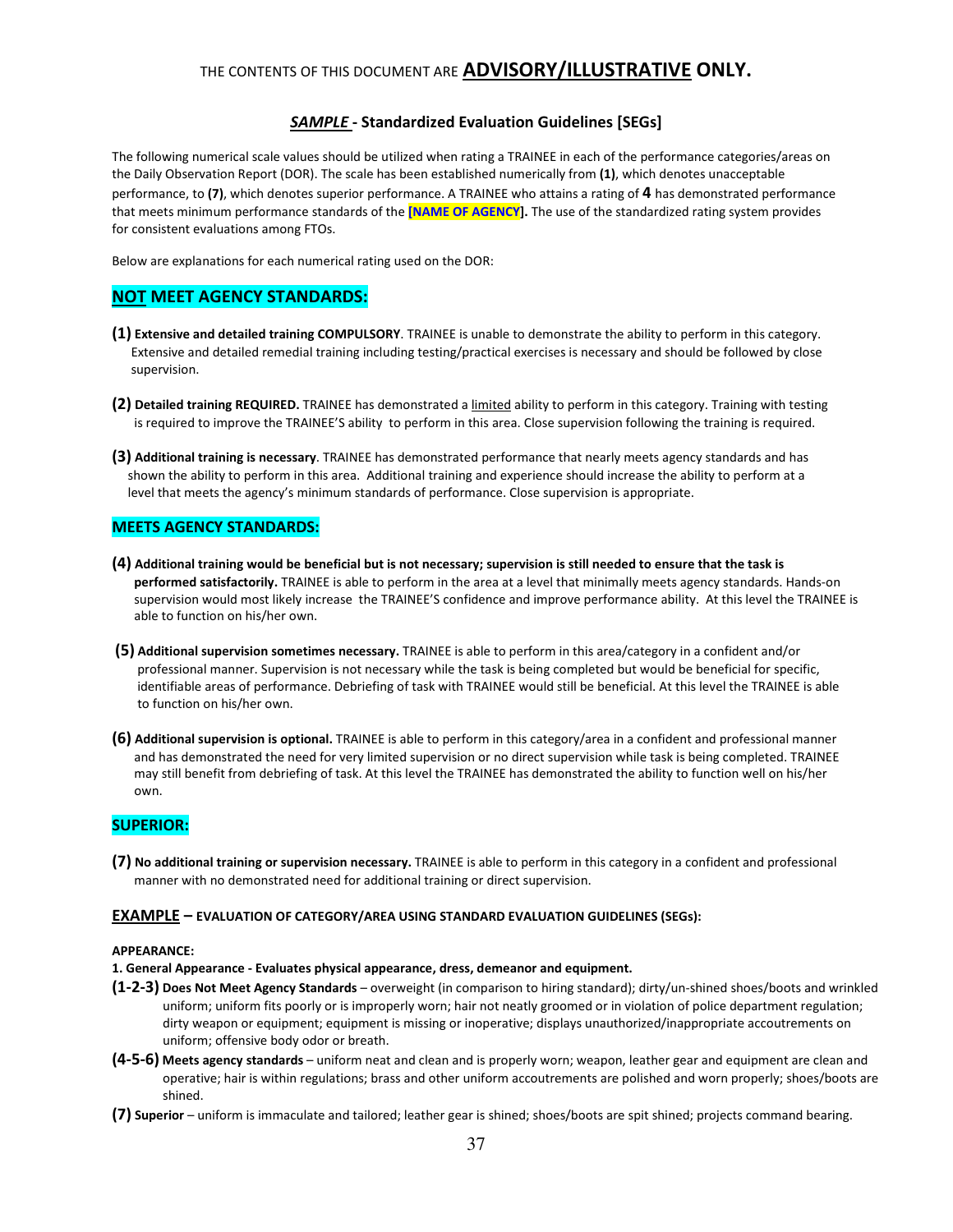#### SAMPLE - Standardized Evaluation Guidelines [SEGs]

The following numerical scale values should be utilized when rating a TRAINEE in each of the performance categories/areas on the Daily Observation Report (DOR). The scale has been established numerically from (1), which denotes unacceptable performance, to (7), which denotes superior performance. A TRAINEE who attains a rating of 4 has demonstrated performance that meets minimum performance standards of the [NAME OF AGENCY]. The use of the standardized rating system provides for consistent evaluations among FTOs.

Below are explanations for each numerical rating used on the DOR:

#### NOT MEET AGENCY STANDARDS:

- (1) Extensive and detailed training COMPULSORY. TRAINEE is unable to demonstrate the ability to perform in this category. Extensive and detailed remedial training including testing/practical exercises is necessary and should be followed by close supervision.
- (2) Detailed training REQUIRED. TRAINEE has demonstrated a limited ability to perform in this category. Training with testing is required to improve the TRAINEE'S ability to perform in this area. Close supervision following the training is required.
- (3) Additional training is necessary. TRAINEE has demonstrated performance that nearly meets agency standards and has shown the ability to perform in this area. Additional training and experience should increase the ability to perform at a level that meets the agency's minimum standards of performance. Close supervision is appropriate.

#### MEETS AGENCY STANDARDS:

- (4) Additional training would be beneficial but is not necessary; supervision is still needed to ensure that the task is performed satisfactorily. TRAINEE is able to perform in the area at a level that minimally meets agency standards. Hands-on supervision would most likely increase the TRAINEE'S confidence and improve performance ability. At this level the TRAINEE is able to function on his/her own.
- (5) Additional supervision sometimes necessary. TRAINEE is able to perform in this area/category in a confident and/or professional manner. Supervision is not necessary while the task is being completed but would be beneficial for specific, identifiable areas of performance. Debriefing of task with TRAINEE would still be beneficial. At this level the TRAINEE is able to function on his/her own.
- (6) Additional supervision is optional. TRAINEE is able to perform in this category/area in a confident and professional manner and has demonstrated the need for very limited supervision or no direct supervision while task is being completed. TRAINEE may still benefit from debriefing of task. At this level the TRAINEE has demonstrated the ability to function well on his/her own.

#### SUPERIOR:

(7) No additional training or supervision necessary. TRAINEE is able to perform in this category in a confident and professional manner with no demonstrated need for additional training or direct supervision.

#### EXAMPLE – EVALUATION OF CATEGORY/AREA USING STANDARD EVALUATION GUIDELINES (SEGs):

#### APPEARANCE:

- 1. General Appearance Evaluates physical appearance, dress, demeanor and equipment.
- (1-2-3) Does Not Meet Agency Standards overweight (in comparison to hiring standard); dirty/un-shined shoes/boots and wrinkled uniform; uniform fits poorly or is improperly worn; hair not neatly groomed or in violation of police department regulation; dirty weapon or equipment; equipment is missing or inoperative; displays unauthorized/inappropriate accoutrements on uniform; offensive body odor or breath.
- (4-5-6) Meets agency standards uniform neat and clean and is properly worn; weapon, leather gear and equipment are clean and operative; hair is within regulations; brass and other uniform accoutrements are polished and worn properly; shoes/boots are shined.
- (7) Superior uniform is immaculate and tailored; leather gear is shined; shoes/boots are spit shined; projects command bearing.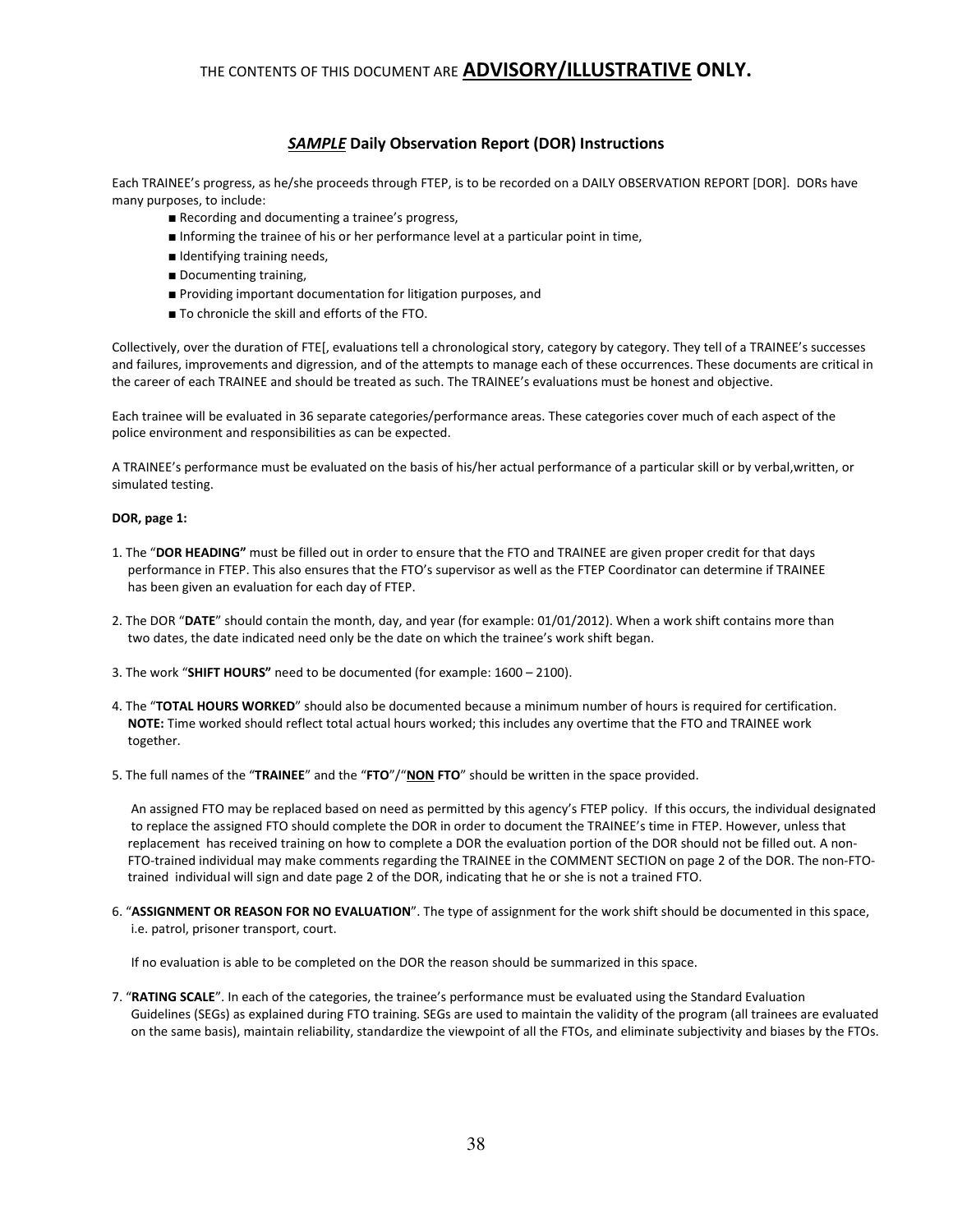### SAMPLE Daily Observation Report (DOR) Instructions

Each TRAINEE's progress, as he/she proceeds through FTEP, is to be recorded on a DAILY OBSERVATION REPORT [DOR]. DORs have many purposes, to include:

- Recording and documenting a trainee's progress,
- Informing the trainee of his or her performance level at a particular point in time,
- Identifying training needs,
- Documenting training,
- Providing important documentation for litigation purposes, and
- To chronicle the skill and efforts of the FTO.

Collectively, over the duration of FTE[, evaluations tell a chronological story, category by category. They tell of a TRAINEE's successes and failures, improvements and digression, and of the attempts to manage each of these occurrences. These documents are critical in the career of each TRAINEE and should be treated as such. The TRAINEE's evaluations must be honest and objective.

Each trainee will be evaluated in 36 separate categories/performance areas. These categories cover much of each aspect of the police environment and responsibilities as can be expected.

A TRAINEE's performance must be evaluated on the basis of his/her actual performance of a particular skill or by verbal,written, or simulated testing.

#### DOR, page 1:

- 1. The "DOR HEADING" must be filled out in order to ensure that the FTO and TRAINEE are given proper credit for that days performance in FTEP. This also ensures that the FTO's supervisor as well as the FTEP Coordinator can determine if TRAINEE has been given an evaluation for each day of FTEP.
- 2. The DOR "DATE" should contain the month, day, and year (for example: 01/01/2012). When a work shift contains more than two dates, the date indicated need only be the date on which the trainee's work shift began.
- 3. The work "SHIFT HOURS" need to be documented (for example: 1600 2100).
- 4. The "TOTAL HOURS WORKED" should also be documented because a minimum number of hours is required for certification. NOTE: Time worked should reflect total actual hours worked; this includes any overtime that the FTO and TRAINEE work together.
- 5. The full names of the "TRAINEE" and the "FTO"/"NON FTO" should be written in the space provided.

 An assigned FTO may be replaced based on need as permitted by this agency's FTEP policy. If this occurs, the individual designated to replace the assigned FTO should complete the DOR in order to document the TRAINEE's time in FTEP. However, unless that replacement has received training on how to complete a DOR the evaluation portion of the DOR should not be filled out. A non- FTO-trained individual may make comments regarding the TRAINEE in the COMMENT SECTION on page 2 of the DOR. The non-FTO trained individual will sign and date page 2 of the DOR, indicating that he or she is not a trained FTO.

6. "ASSIGNMENT OR REASON FOR NO EVALUATION". The type of assignment for the work shift should be documented in this space, i.e. patrol, prisoner transport, court.

If no evaluation is able to be completed on the DOR the reason should be summarized in this space.

7. "RATING SCALE". In each of the categories, the trainee's performance must be evaluated using the Standard Evaluation Guidelines (SEGs) as explained during FTO training. SEGs are used to maintain the validity of the program (all trainees are evaluated on the same basis), maintain reliability, standardize the viewpoint of all the FTOs, and eliminate subjectivity and biases by the FTOs.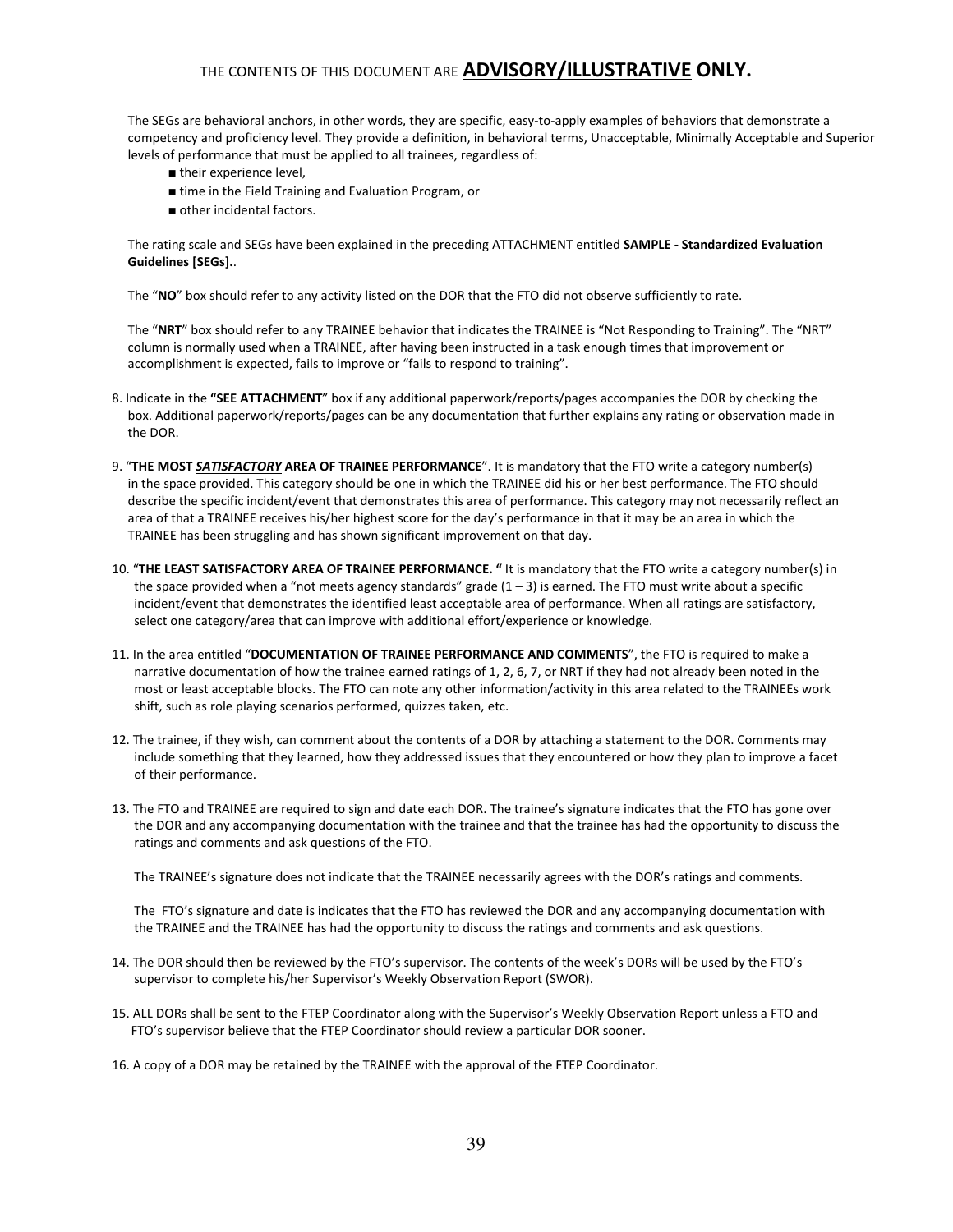The SEGs are behavioral anchors, in other words, they are specific, easy-to-apply examples of behaviors that demonstrate a competency and proficiency level. They provide a definition, in behavioral terms, Unacceptable, Minimally Acceptable and Superior levels of performance that must be applied to all trainees, regardless of:

- their experience level,
- time in the Field Training and Evaluation Program, or
- other incidental factors.

The rating scale and SEGs have been explained in the preceding ATTACHMENT entitled **SAMPLE** - Standardized Evaluation Guidelines [SEGs]..

The "NO" box should refer to any activity listed on the DOR that the FTO did not observe sufficiently to rate.

 The "NRT" box should refer to any TRAINEE behavior that indicates the TRAINEE is "Not Responding to Training". The "NRT" column is normally used when a TRAINEE, after having been instructed in a task enough times that improvement or accomplishment is expected, fails to improve or "fails to respond to training".

- 8. Indicate in the "SEE ATTACHMENT" box if any additional paperwork/reports/pages accompanies the DOR by checking the box. Additional paperwork/reports/pages can be any documentation that further explains any rating or observation made in the DOR.
- 9. "THE MOST SATISFACTORY AREA OF TRAINEE PERFORMANCE". It is mandatory that the FTO write a category number(s) in the space provided. This category should be one in which the TRAINEE did his or her best performance. The FTO should describe the specific incident/event that demonstrates this area of performance. This category may not necessarily reflect an area of that a TRAINEE receives his/her highest score for the day's performance in that it may be an area in which the TRAINEE has been struggling and has shown significant improvement on that day.
- 10. "THE LEAST SATISFACTORY AREA OF TRAINEE PERFORMANCE. " It is mandatory that the FTO write a category number(s) in the space provided when a "not meets agency standards" grade  $(1 - 3)$  is earned. The FTO must write about a specific incident/event that demonstrates the identified least acceptable area of performance. When all ratings are satisfactory, select one category/area that can improve with additional effort/experience or knowledge.
- 11. In the area entitled "DOCUMENTATION OF TRAINEE PERFORMANCE AND COMMENTS", the FTO is required to make a narrative documentation of how the trainee earned ratings of 1, 2, 6, 7, or NRT if they had not already been noted in the most or least acceptable blocks. The FTO can note any other information/activity in this area related to the TRAINEEs work shift, such as role playing scenarios performed, quizzes taken, etc.
- 12. The trainee, if they wish, can comment about the contents of a DOR by attaching a statement to the DOR. Comments may include something that they learned, how they addressed issues that they encountered or how they plan to improve a facet of their performance.
- 13. The FTO and TRAINEE are required to sign and date each DOR. The trainee's signature indicates that the FTO has gone over the DOR and any accompanying documentation with the trainee and that the trainee has had the opportunity to discuss the ratings and comments and ask questions of the FTO.

The TRAINEE's signature does not indicate that the TRAINEE necessarily agrees with the DOR's ratings and comments.

 The FTO's signature and date is indicates that the FTO has reviewed the DOR and any accompanying documentation with the TRAINEE and the TRAINEE has had the opportunity to discuss the ratings and comments and ask questions.

- 14. The DOR should then be reviewed by the FTO's supervisor. The contents of the week's DORs will be used by the FTO's supervisor to complete his/her Supervisor's Weekly Observation Report (SWOR).
- 15. ALL DORs shall be sent to the FTEP Coordinator along with the Supervisor's Weekly Observation Report unless a FTO and FTO's supervisor believe that the FTEP Coordinator should review a particular DOR sooner.
- 16. A copy of a DOR may be retained by the TRAINEE with the approval of the FTEP Coordinator.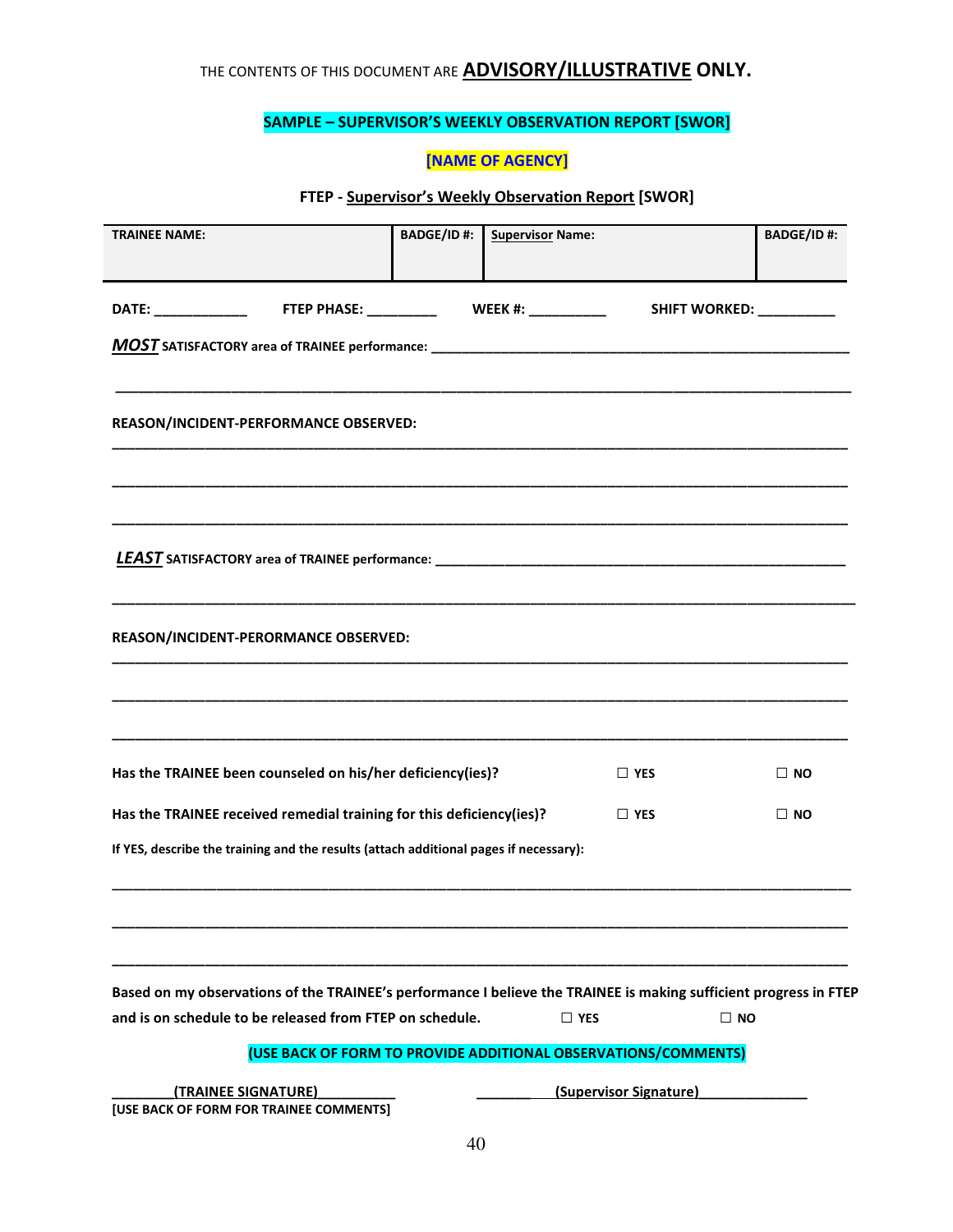## SAMPLE – SUPERVISOR'S WEEKLY OBSERVATION REPORT [SWOR]

## [NAME OF AGENCY]

## FTEP - Supervisor's Weekly Observation Report [SWOR]

| <b>TRAINEE NAME:</b>                                                                                                                                                          | <b>BADGE/ID#:</b> | <b>Supervisor Name:</b> |                                                                | <b>BADGE/ID#:</b> |
|-------------------------------------------------------------------------------------------------------------------------------------------------------------------------------|-------------------|-------------------------|----------------------------------------------------------------|-------------------|
|                                                                                                                                                                               |                   |                         |                                                                |                   |
| DATE: _______________  FTEP PHASE: ___________  WEEK #: ____________                                                                                                          |                   |                         | SHIFT WORKED: _________                                        |                   |
|                                                                                                                                                                               |                   |                         |                                                                |                   |
|                                                                                                                                                                               |                   |                         |                                                                |                   |
| REASON/INCIDENT-PERFORMANCE OBSERVED:                                                                                                                                         |                   |                         |                                                                |                   |
|                                                                                                                                                                               |                   |                         |                                                                |                   |
|                                                                                                                                                                               |                   |                         |                                                                |                   |
|                                                                                                                                                                               |                   |                         |                                                                |                   |
|                                                                                                                                                                               |                   |                         |                                                                |                   |
|                                                                                                                                                                               |                   |                         |                                                                |                   |
| REASON/INCIDENT-PERORMANCE OBSERVED:                                                                                                                                          |                   |                         |                                                                |                   |
|                                                                                                                                                                               |                   |                         |                                                                |                   |
|                                                                                                                                                                               |                   |                         |                                                                |                   |
|                                                                                                                                                                               |                   |                         |                                                                |                   |
| Has the TRAINEE been counseled on his/her deficiency(ies)?                                                                                                                    |                   |                         | $\Box$ YES                                                     | $\Box$ No         |
| Has the TRAINEE received remedial training for this deficiency(ies)?                                                                                                          |                   |                         | $\Box$ YES                                                     | $\Box$ NO         |
| If YES, describe the training and the results (attach additional pages if necessary):                                                                                         |                   |                         |                                                                |                   |
|                                                                                                                                                                               |                   |                         |                                                                |                   |
|                                                                                                                                                                               |                   |                         |                                                                |                   |
|                                                                                                                                                                               |                   |                         |                                                                |                   |
| Based on my observations of the TRAINEE's performance I believe the TRAINEE is making sufficient progress in FTEP<br>and is on schedule to be released from FTEP on schedule. |                   | $\Box$ YES              | $\square$ NO                                                   |                   |
|                                                                                                                                                                               |                   |                         | (USE BACK OF FORM TO PROVIDE ADDITIONAL OBSERVATIONS/COMMENTS) |                   |
| (TRAINEE SIGNATURE)                                                                                                                                                           |                   |                         | (Supervisor Signature)                                         |                   |
| [USE BACK OF FORM FOR TRAINEE COMMENTS]                                                                                                                                       |                   |                         |                                                                |                   |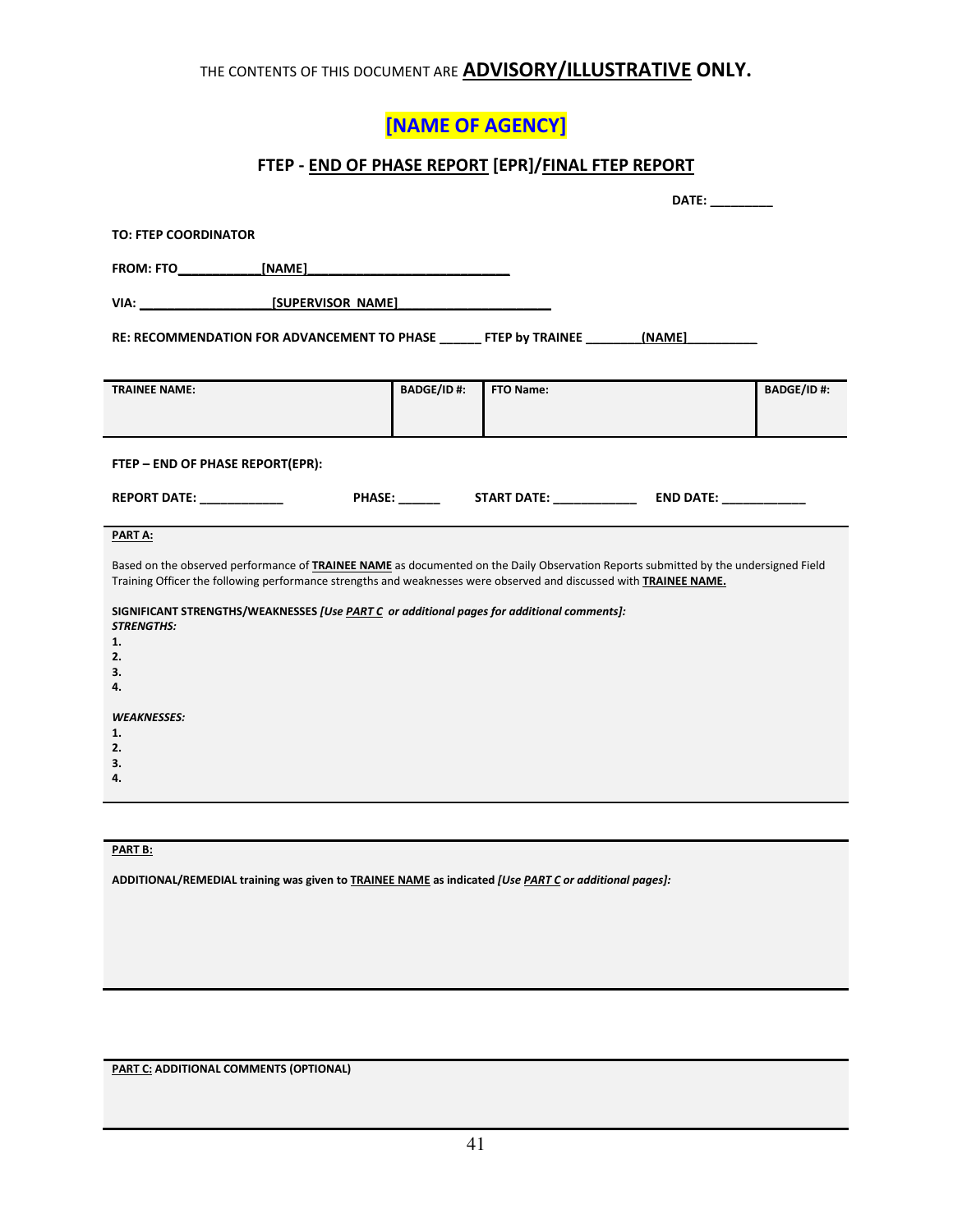# [NAME OF AGENCY]

## FTEP - END OF PHASE REPORT [EPR]/FINAL FTEP REPORT

|                                                                                                                                                                                                                                                                  |                   |           | DATE: __________ |                   |
|------------------------------------------------------------------------------------------------------------------------------------------------------------------------------------------------------------------------------------------------------------------|-------------------|-----------|------------------|-------------------|
| <b>TO: FTEP COORDINATOR</b>                                                                                                                                                                                                                                      |                   |           |                  |                   |
|                                                                                                                                                                                                                                                                  |                   |           |                  |                   |
|                                                                                                                                                                                                                                                                  |                   |           |                  |                   |
| RE: RECOMMENDATION FOR ADVANCEMENT TO PHASE ______ FTEP by TRAINEE _______ (NAME)                                                                                                                                                                                |                   |           |                  |                   |
| <b>TRAINEE NAME:</b>                                                                                                                                                                                                                                             | <b>BADGE/ID#:</b> | FTO Name: |                  | <b>BADGE/ID#:</b> |
| FTEP - END OF PHASE REPORT(EPR):                                                                                                                                                                                                                                 |                   |           |                  |                   |
| <b>REPORT DATE:</b>                                                                                                                                                                                                                                              |                   |           |                  |                   |
| PART A:                                                                                                                                                                                                                                                          |                   |           |                  |                   |
| Based on the observed performance of <b>TRAINEE NAME</b> as documented on the Daily Observation Reports submitted by the undersigned Field<br>Training Officer the following performance strengths and weaknesses were observed and discussed with TRAINEE NAME. |                   |           |                  |                   |
| SIGNIFICANT STRENGTHS/WEAKNESSES [Use PART C or additional pages for additional comments]:<br><b>STRENGTHS:</b>                                                                                                                                                  |                   |           |                  |                   |
| 1.                                                                                                                                                                                                                                                               |                   |           |                  |                   |
| 2.<br>3.                                                                                                                                                                                                                                                         |                   |           |                  |                   |
| 4.                                                                                                                                                                                                                                                               |                   |           |                  |                   |
| <b>WEAKNESSES:</b>                                                                                                                                                                                                                                               |                   |           |                  |                   |
| 1.                                                                                                                                                                                                                                                               |                   |           |                  |                   |
| 2.<br>3.                                                                                                                                                                                                                                                         |                   |           |                  |                   |
| 4.                                                                                                                                                                                                                                                               |                   |           |                  |                   |
|                                                                                                                                                                                                                                                                  |                   |           |                  |                   |

## PART B:

ADDITIONAL/REMEDIAL training was given to **TRAINEE NAME** as indicated [Use PART C or additional pages]:

PART C: ADDITIONAL COMMENTS (OPTIONAL)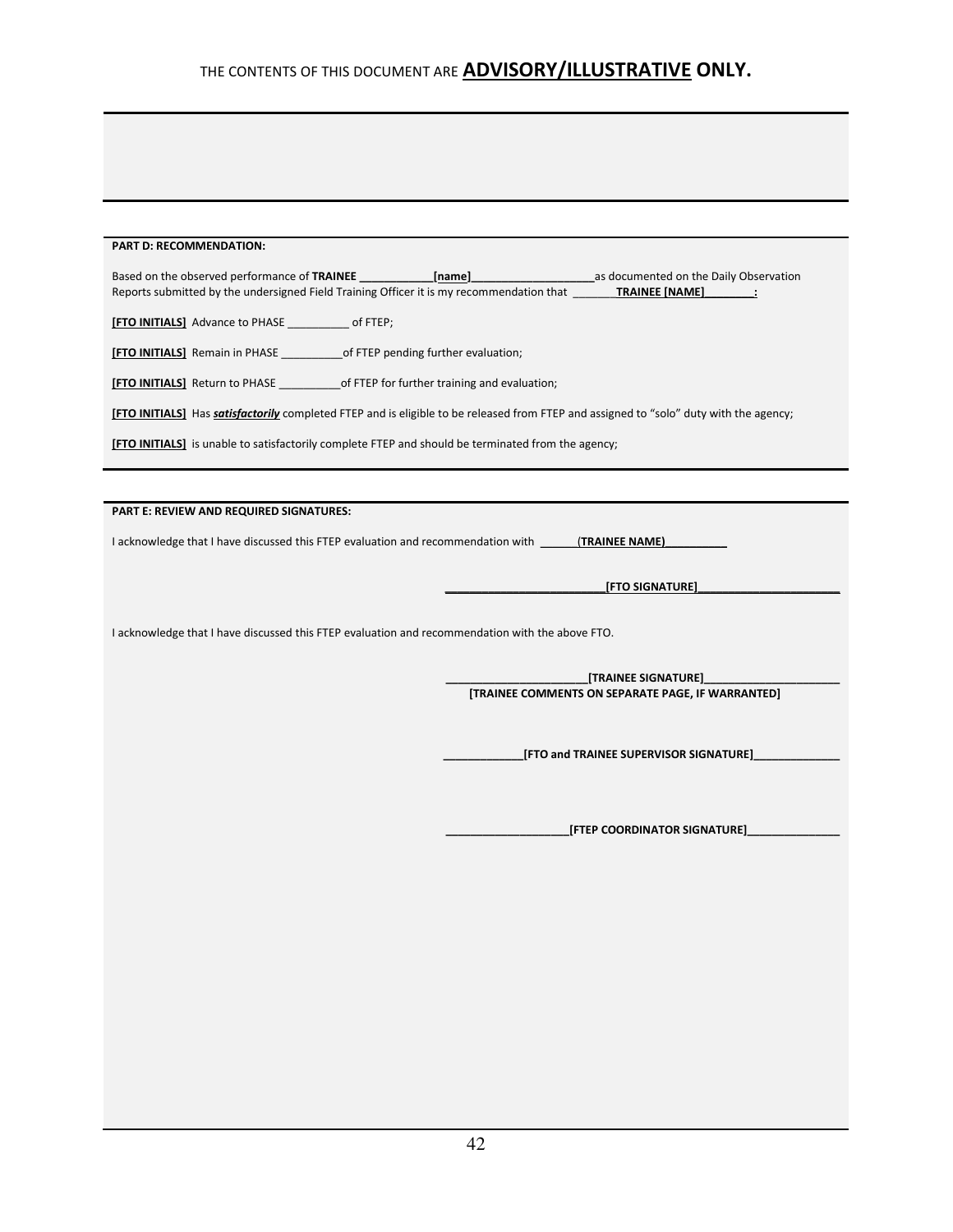#### PART D: RECOMMENDATION:

| Based on the observed performance of TRAINEE ______________                                                                                   | [name] | as documented on the Daily Observation                                   |
|-----------------------------------------------------------------------------------------------------------------------------------------------|--------|--------------------------------------------------------------------------|
| Reports submitted by the undersigned Field Training Officer it is my recommendation that <b>TRAINEE [NAME]</b> :                              |        |                                                                          |
|                                                                                                                                               |        |                                                                          |
|                                                                                                                                               |        |                                                                          |
| [FTO INITIALS] Return to PHASE ________________of FTEP for further training and evaluation;                                                   |        |                                                                          |
| [FTO INITIALS] Has <i>satisfactorily</i> completed FTEP and is eligible to be released from FTEP and assigned to "solo" duty with the agency; |        |                                                                          |
| [FTO INITIALS] is unable to satisfactorily complete FTEP and should be terminated from the agency;                                            |        |                                                                          |
|                                                                                                                                               |        |                                                                          |
|                                                                                                                                               |        |                                                                          |
| PART E: REVIEW AND REQUIRED SIGNATURES:                                                                                                       |        |                                                                          |
| I acknowledge that I have discussed this FTEP evaluation and recommendation with (TRAINEE NAME)                                               |        |                                                                          |
|                                                                                                                                               |        | [FTO SIGNATURE]                                                          |
| I acknowledge that I have discussed this FTEP evaluation and recommendation with the above FTO.                                               |        |                                                                          |
|                                                                                                                                               |        |                                                                          |
|                                                                                                                                               |        | [TRAINEE SIGNATURE]<br>[TRAINEE COMMENTS ON SEPARATE PAGE, IF WARRANTED] |
|                                                                                                                                               |        | [FTO and TRAINEE SUPERVISOR SIGNATURE]                                   |
|                                                                                                                                               |        |                                                                          |

 $\Box$ [FTEP COORDINATOR SIGNATURE] $\Box$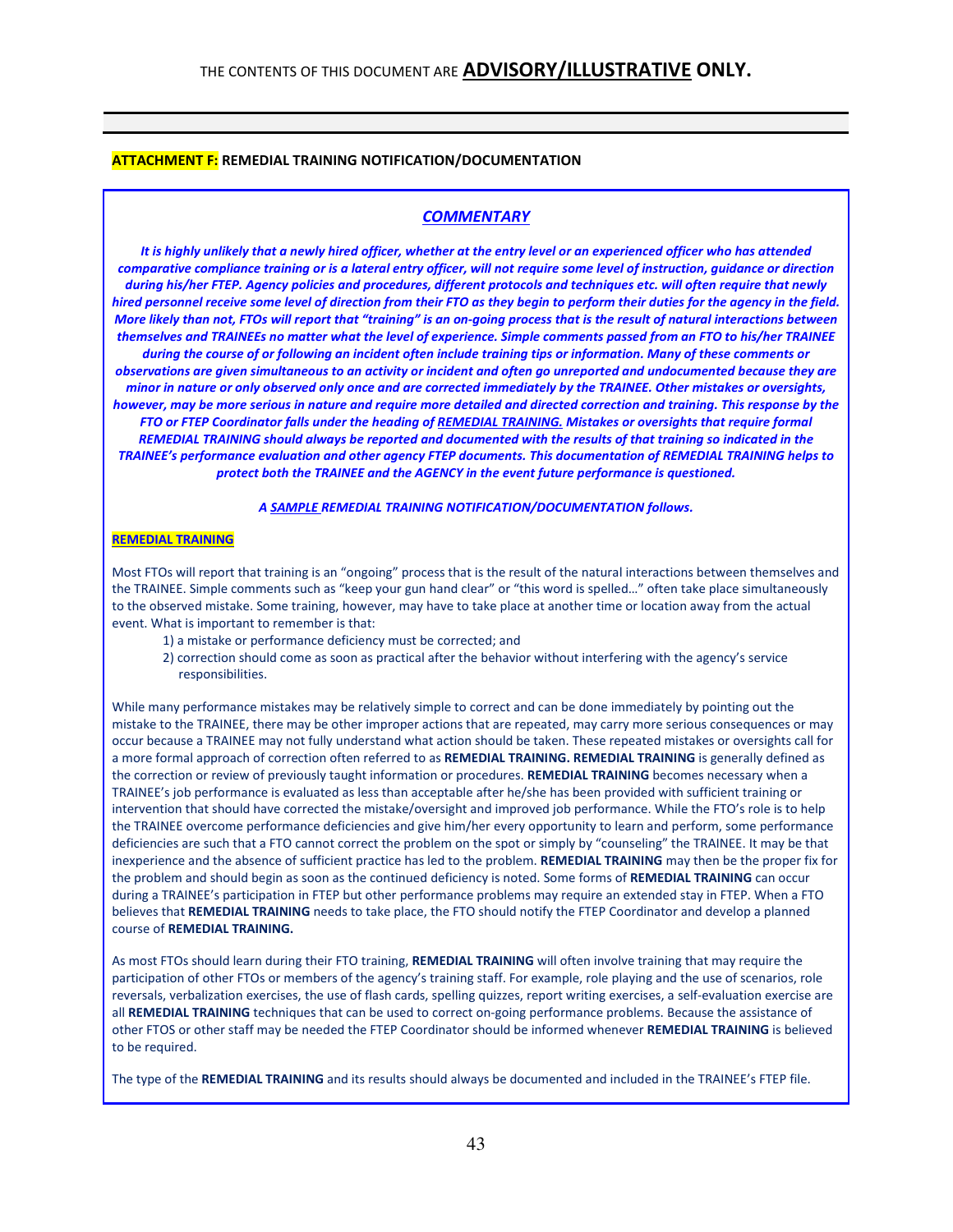#### ATTACHMENT F: REMEDIAL TRAINING NOTIFICATION/DOCUMENTATION

#### **COMMENTARY**

It is highly unlikely that a newly hired officer, whether at the entry level or an experienced officer who has attended comparative compliance training or is a lateral entry officer, will not require some level of instruction, guidance or direction during his/her FTEP. Agency policies and procedures, different protocols and techniques etc. will often require that newly hired personnel receive some level of direction from their FTO as they begin to perform their duties for the agency in the field. More likely than not, FTOs will report that "training" is an on-going process that is the result of natural interactions between themselves and TRAINEEs no matter what the level of experience. Simple comments passed from an FTO to his/her TRAINEE

during the course of or following an incident often include training tips or information. Many of these comments or observations are given simultaneous to an activity or incident and often go unreported and undocumented because they are minor in nature or only observed only once and are corrected immediately by the TRAINEE. Other mistakes or oversights, however, may be more serious in nature and require more detailed and directed correction and training. This response by the FTO or FTEP Coordinator falls under the heading of REMEDIAL TRAINING. Mistakes or oversights that require formal REMEDIAL TRAINING should always be reported and documented with the results of that training so indicated in the TRAINEE's performance evaluation and other agency FTEP documents. This documentation of REMEDIAL TRAINING helps to protect both the TRAINEE and the AGENCY in the event future performance is questioned.

#### A SAMPLE REMEDIAL TRAINING NOTIFICATION/DOCUMENTATION follows.

#### REMEDIAL TRAINING

Most FTOs will report that training is an "ongoing" process that is the result of the natural interactions between themselves and the TRAINEE. Simple comments such as "keep your gun hand clear" or "this word is spelled…" often take place simultaneously to the observed mistake. Some training, however, may have to take place at another time or location away from the actual event. What is important to remember is that:

- 1) a mistake or performance deficiency must be corrected; and
- 2) correction should come as soon as practical after the behavior without interfering with the agency's service responsibilities.

While many performance mistakes may be relatively simple to correct and can be done immediately by pointing out the mistake to the TRAINEE, there may be other improper actions that are repeated, may carry more serious consequences or may occur because a TRAINEE may not fully understand what action should be taken. These repeated mistakes or oversights call for a more formal approach of correction often referred to as REMEDIAL TRAINING. REMEDIAL TRAINING is generally defined as the correction or review of previously taught information or procedures. REMEDIAL TRAINING becomes necessary when a TRAINEE's job performance is evaluated as less than acceptable after he/she has been provided with sufficient training or intervention that should have corrected the mistake/oversight and improved job performance. While the FTO's role is to help the TRAINEE overcome performance deficiencies and give him/her every opportunity to learn and perform, some performance deficiencies are such that a FTO cannot correct the problem on the spot or simply by "counseling" the TRAINEE. It may be that inexperience and the absence of sufficient practice has led to the problem. REMEDIAL TRAINING may then be the proper fix for the problem and should begin as soon as the continued deficiency is noted. Some forms of REMEDIAL TRAINING can occur during a TRAINEE's participation in FTEP but other performance problems may require an extended stay in FTEP. When a FTO believes that REMEDIAL TRAINING needs to take place, the FTO should notify the FTEP Coordinator and develop a planned course of REMEDIAL TRAINING.

As most FTOs should learn during their FTO training, REMEDIAL TRAINING will often involve training that may require the participation of other FTOs or members of the agency's training staff. For example, role playing and the use of scenarios, role reversals, verbalization exercises, the use of flash cards, spelling quizzes, report writing exercises, a self-evaluation exercise are all REMEDIAL TRAINING techniques that can be used to correct on-going performance problems. Because the assistance of other FTOS or other staff may be needed the FTEP Coordinator should be informed whenever REMEDIAL TRAINING is believed to be required.

The type of the REMEDIAL TRAINING and its results should always be documented and included in the TRAINEE's FTEP file.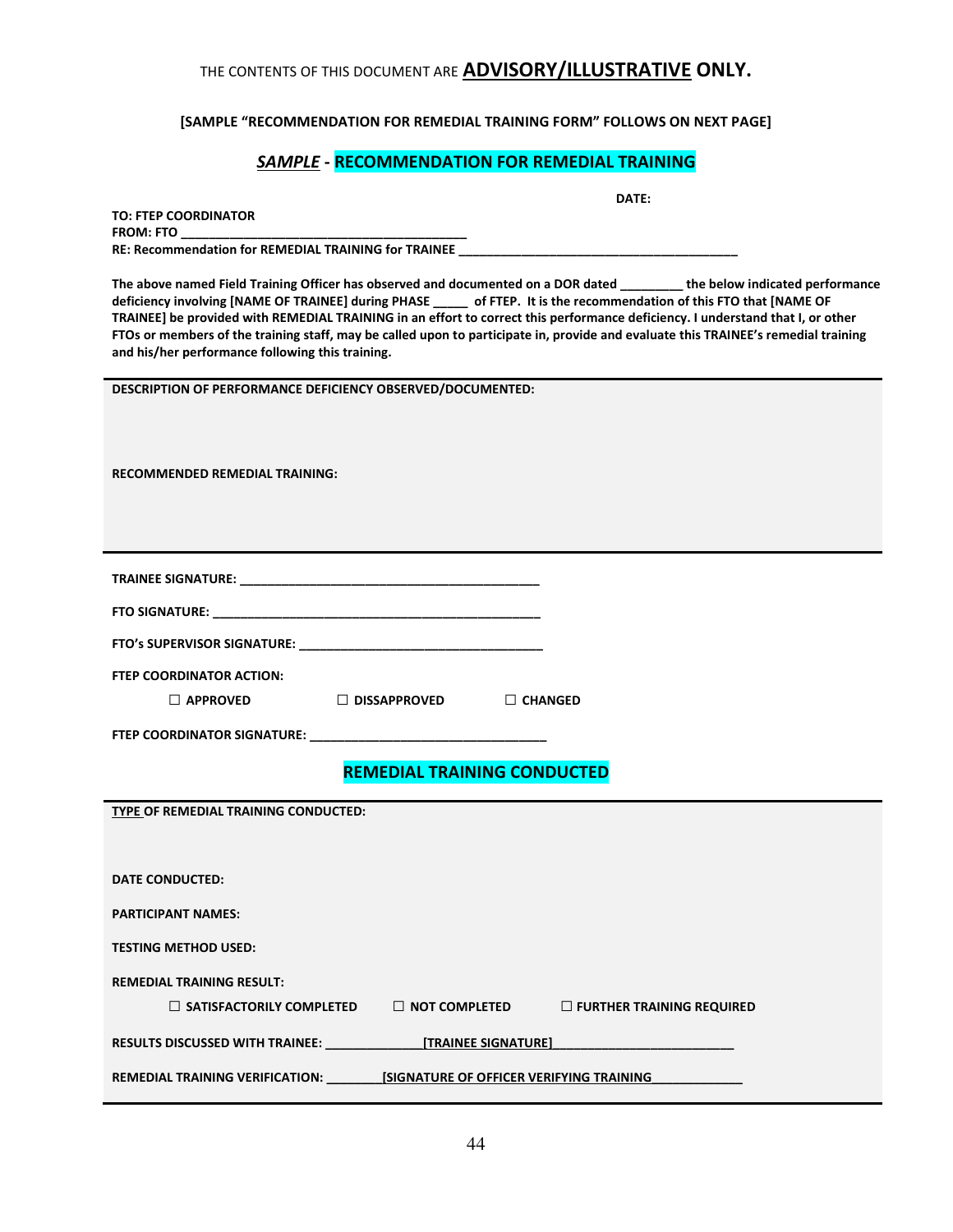#### [SAMPLE "RECOMMENDATION FOR REMEDIAL TRAINING FORM" FOLLOWS ON NEXT PAGE]

## SAMPLE - RECOMMENDATION FOR REMEDIAL TRAINING

DATE:

| <b>TO: FTEP COORDINATOR</b>                                 |  |
|-------------------------------------------------------------|--|
| <b>FROM: FTO</b>                                            |  |
| <b>RE: Recommendation for REMEDIAL TRAINING for TRAINEE</b> |  |

The above named Field Training Officer has observed and documented on a DOR dated \_\_\_\_\_\_\_\_\_ the below indicated performance deficiency involving [NAME OF TRAINEE] during PHASE \_\_\_\_\_ of FTEP. It is the recommendation of this FTO that [NAME OF TRAINEE] be provided with REMEDIAL TRAINING in an effort to correct this performance deficiency. I understand that I, or other FTOs or members of the training staff, may be called upon to participate in, provide and evaluate this TRAINEE's remedial training and his/her performance following this training.

DESCRIPTION OF PERFORMANCE DEFICIENCY OBSERVED/DOCUMENTED: RECOMMENDED REMEDIAL TRAINING: TRAINEE SIGNATURE: \_\_\_\_\_\_\_\_\_\_\_\_\_\_\_\_\_\_\_\_\_\_\_\_\_\_\_\_\_\_\_\_\_\_\_\_\_\_\_\_\_\_\_ FTO SIGNATURE:  $\blacksquare$ FTO's SUPERVISOR SIGNATURE: \_\_\_\_\_\_\_\_\_\_\_\_\_\_\_\_\_\_\_\_\_\_\_\_\_\_\_\_\_\_\_\_\_\_\_ FTEP COORDINATOR ACTION:  $\Box$  APPROVED  $\Box$  DISSAPPROVED  $\Box$  CHANGED FTEP COORDINATOR SIGNATURE: \_\_\_ REMEDIAL TRAINING CONDUCTED TYPE OF REMEDIAL TRAINING CONDUCTED: DATE CONDUCTED: PARTICIPANT NAMES: TESTING METHOD USED: REMEDIAL TRAINING RESULT:  $\Box$  SATISFACTORILY COMPLETED  $\Box$  NOT COMPLETED  $\Box$  FURTHER TRAINING REQUIRED RESULTS DISCUSSED WITH TRAINEE: \_\_\_\_\_\_\_\_\_\_\_\_\_\_[TRAINEE SIGNATURE]\_\_\_\_\_\_\_\_\_\_\_\_\_\_\_\_\_\_\_\_\_\_\_\_\_\_ REMEDIAL TRAINING VERIFICATION: \_\_\_\_\_\_\_\_\_\_\_ [SIGNATURE OF OFFICER VERIFYING TRAINING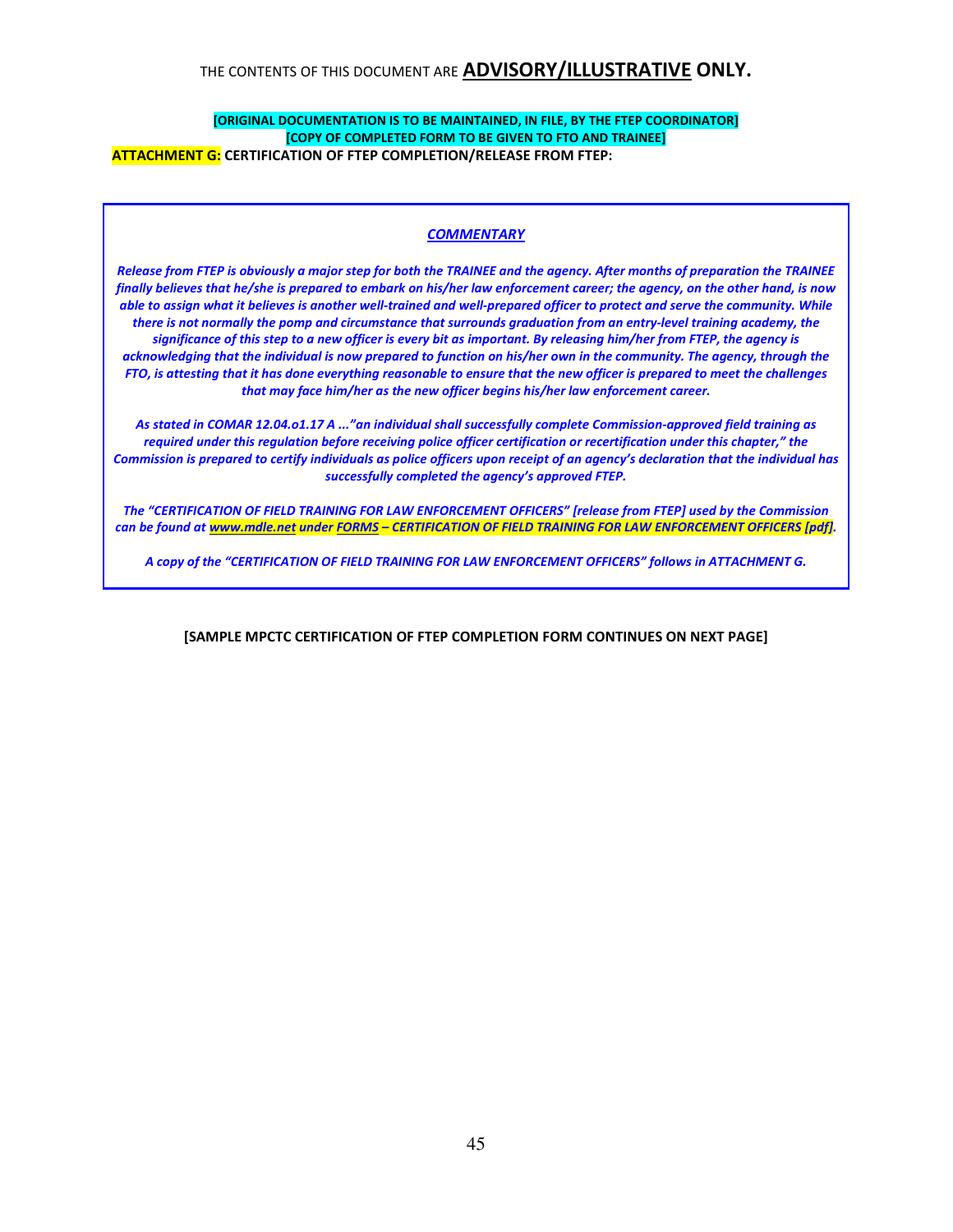#### [ORIGINAL DOCUMENTATION IS TO BE MAINTAINED, IN FILE, BY THE FTEP COORDINATOR] [COPY OF COMPLETED FORM TO BE GIVEN TO FTO AND TRAINEE] ATTACHMENT G: CERTIFICATION OF FTEP COMPLETION/RELEASE FROM FTEP:

#### **COMMENTARY**

Release from FTEP is obviously a major step for both the TRAINEE and the agency. After months of preparation the TRAINEE finally believes that he/she is prepared to embark on his/her law enforcement career; the agency, on the other hand, is now able to assign what it believes is another well-trained and well-prepared officer to protect and serve the community. While there is not normally the pomp and circumstance that surrounds graduation from an entry-level training academy, the significance of this step to a new officer is every bit as important. By releasing him/her from FTEP, the agency is acknowledging that the individual is now prepared to function on his/her own in the community. The agency, through the FTO, is attesting that it has done everything reasonable to ensure that the new officer is prepared to meet the challenges that may face him/her as the new officer begins his/her law enforcement career.

As stated in COMAR 12.04.o1.17 A ..."an individual shall successfully complete Commission-approved field training as required under this regulation before receiving police officer certification or recertification under this chapter," the Commission is prepared to certify individuals as police officers upon receipt of an agency's declaration that the individual has successfully completed the agency's approved FTEP.

The "CERTIFICATION OF FIELD TRAINING FOR LAW ENFORCEMENT OFFICERS" [release from FTEP] used by the Commission can be found at www.mdle.net under FORMS - CERTIFICATION OF FIELD TRAINING FOR LAW ENFORCEMENT OFFICERS [pdf].

A copy of the "CERTIFICATION OF FIELD TRAINING FOR LAW ENFORCEMENT OFFICERS" follows in ATTACHMENT G.

[SAMPLE MPCTC CERTIFICATION OF FTEP COMPLETION FORM CONTINUES ON NEXT PAGE]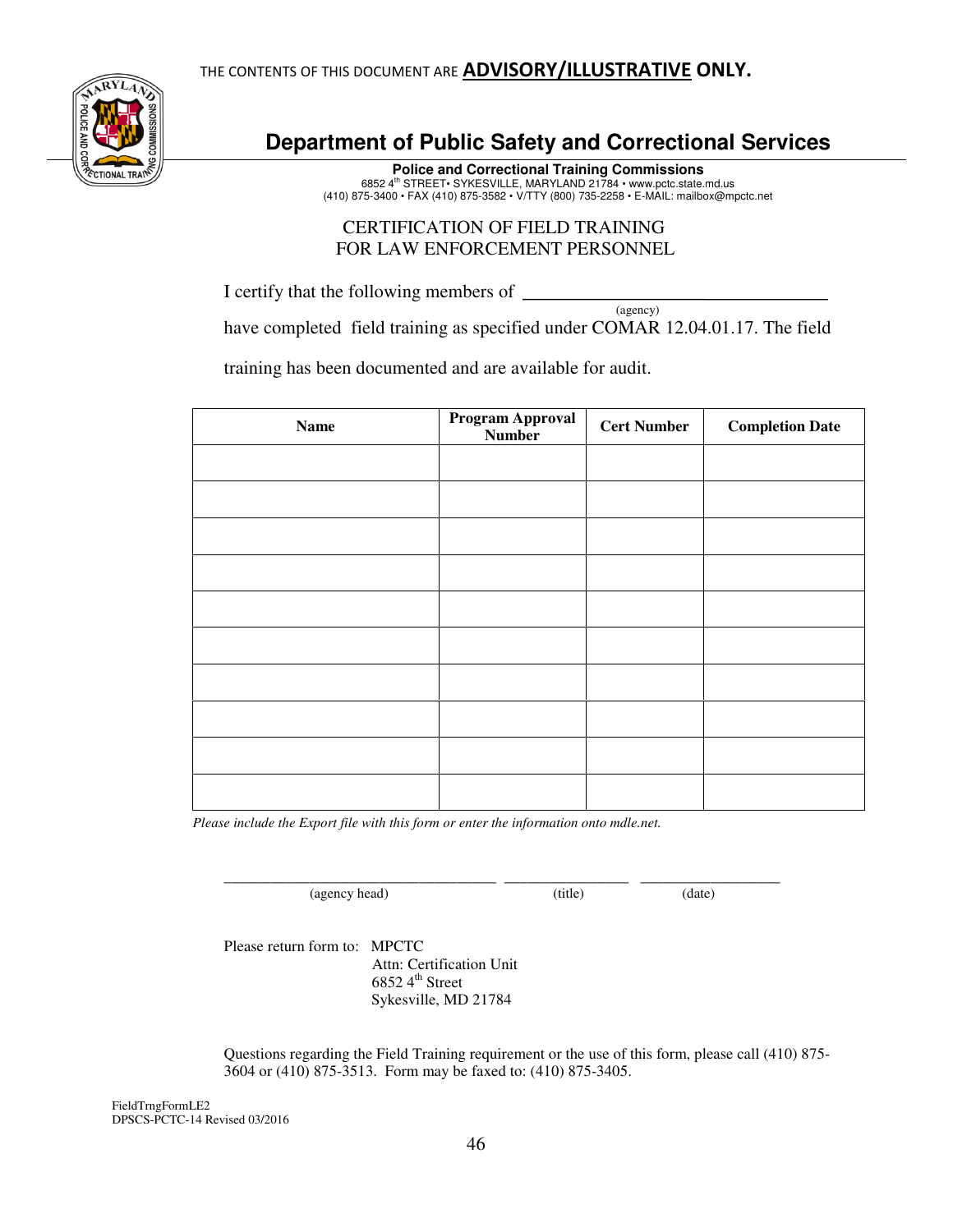

# **Department of Public Safety and Correctional Services**

**Police and Correctional Training Commissions**  6852 4th STREET• SYKESVILLE, MARYLAND 21784 • www.pctc.state.md.us (410) 875-3400 • FAX (410) 875-3582 • V/TTY (800) 735-2258 • E-MAIL: mailbox@mpctc.net

## CERTIFICATION OF FIELD TRAINING FOR LAW ENFORCEMENT PERSONNEL

I certify that the following members of

 (agency) have completed field training as specified under COMAR 12.04.01.17. The field

training has been documented and are available for audit.

| <b>Name</b> | Program Approval<br><b>Number</b> | <b>Cert Number</b> | <b>Completion Date</b> |
|-------------|-----------------------------------|--------------------|------------------------|
|             |                                   |                    |                        |
|             |                                   |                    |                        |
|             |                                   |                    |                        |
|             |                                   |                    |                        |
|             |                                   |                    |                        |
|             |                                   |                    |                        |
|             |                                   |                    |                        |
|             |                                   |                    |                        |
|             |                                   |                    |                        |
|             |                                   |                    |                        |

 *Please include the Export file with this form or enter the information onto mdle.net.* 

\_\_\_\_\_\_\_\_\_\_\_\_\_\_\_\_\_\_\_\_\_\_\_\_\_\_\_\_\_\_\_\_\_\_\_ \_\_\_\_\_\_\_\_\_\_\_\_\_\_\_\_ \_\_\_\_\_\_\_\_\_\_\_\_\_\_\_\_\_\_ (agency head) (title) (date)

Please return form to: MPCTC Attn: Certification Unit 6852  $4^{\text{th}}$  Street Sykesville, MD 21784

Questions regarding the Field Training requirement or the use of this form, please call (410) 875- 3604 or (410) 875-3513. Form may be faxed to: (410) 875-3405.

FieldTrngFormLE2 DPSCS-PCTC-14 Revised 03/2016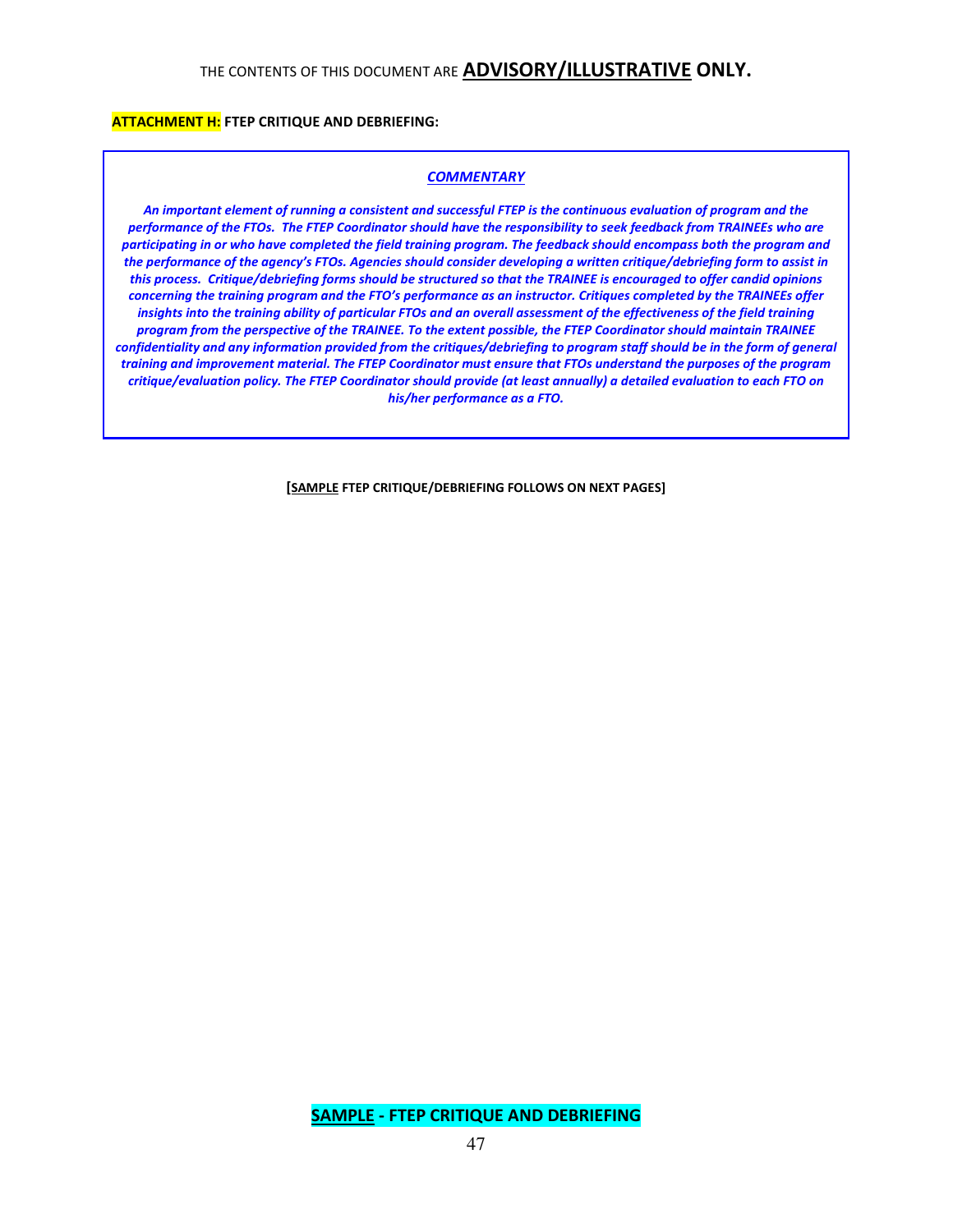### **ATTACHMENT H:** FTEP CRITIQUE AND DEBRIEFING:

#### **COMMENTARY**

An important element of running a consistent and successful FTEP is the continuous evaluation of program and the performance of the FTOs. The FTEP Coordinator should have the responsibility to seek feedback from TRAINEEs who are participating in or who have completed the field training program. The feedback should encompass both the program and the performance of the agency's FTOs. Agencies should consider developing a written critique/debriefing form to assist in this process. Critique/debriefing forms should be structured so that the TRAINEE is encouraged to offer candid opinions concerning the training program and the FTO's performance as an instructor. Critiques completed by the TRAINEEs offer insights into the training ability of particular FTOs and an overall assessment of the effectiveness of the field training program from the perspective of the TRAINEE. To the extent possible, the FTEP Coordinator should maintain TRAINEE confidentiality and any information provided from the critiques/debriefing to program staff should be in the form of general training and improvement material. The FTEP Coordinator must ensure that FTOs understand the purposes of the program critique/evaluation policy. The FTEP Coordinator should provide (at least annually) a detailed evaluation to each FTO on his/her performance as a FTO.

[SAMPLE FTEP CRITIQUE/DEBRIEFING FOLLOWS ON NEXT PAGES]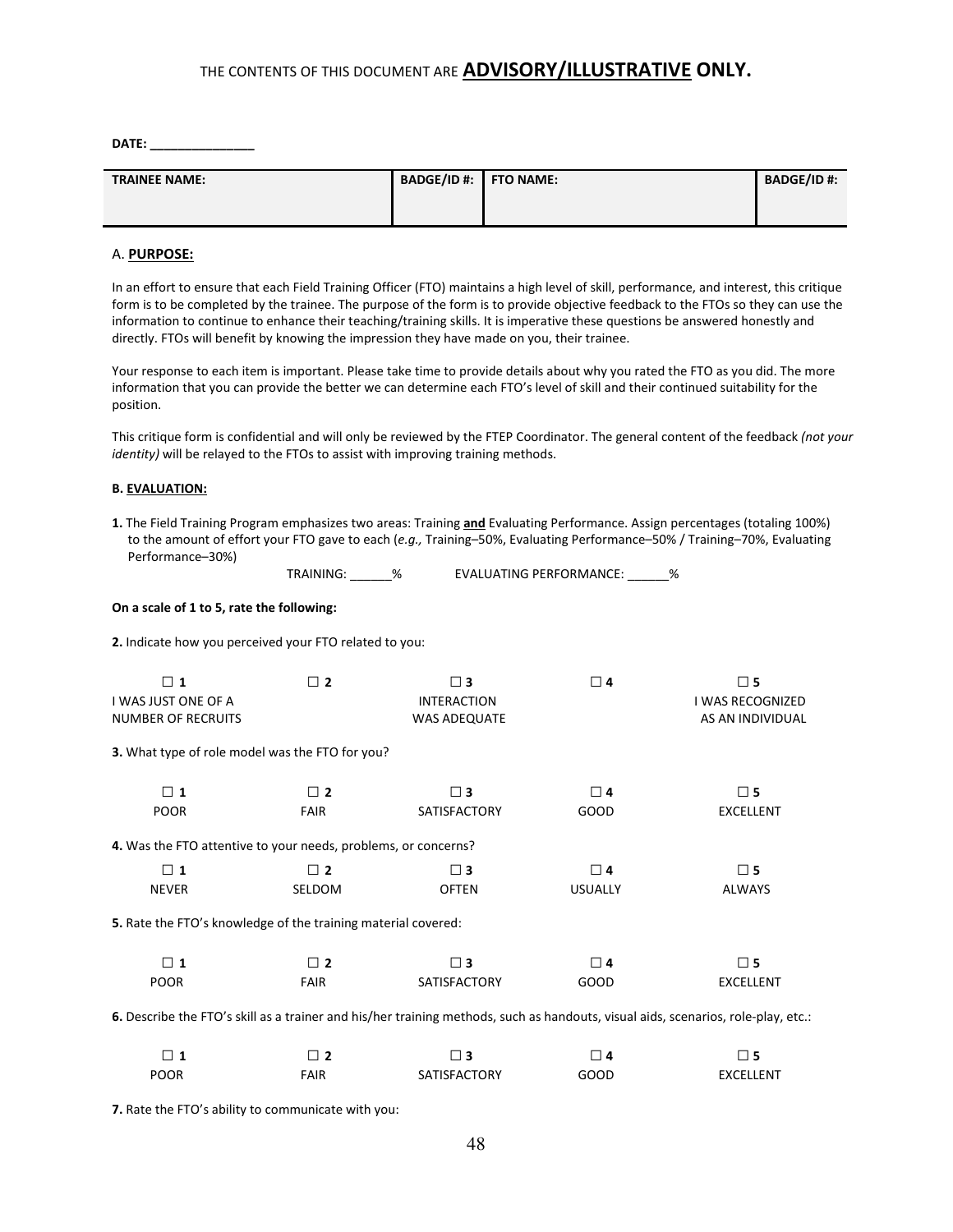DATE:

| <b>TRAINEE NAME:</b> | BADGE/ID #: FTO NAME: | <b>BADGE/ID #:</b> |
|----------------------|-----------------------|--------------------|
|                      |                       |                    |
|                      |                       |                    |
|                      |                       |                    |

#### A. PURPOSE:

In an effort to ensure that each Field Training Officer (FTO) maintains a high level of skill, performance, and interest, this critique form is to be completed by the trainee. The purpose of the form is to provide objective feedback to the FTOs so they can use the information to continue to enhance their teaching/training skills. It is imperative these questions be answered honestly and directly. FTOs will benefit by knowing the impression they have made on you, their trainee.

Your response to each item is important. Please take time to provide details about why you rated the FTO as you did. The more information that you can provide the better we can determine each FTO's level of skill and their continued suitability for the position.

This critique form is confidential and will only be reviewed by the FTEP Coordinator. The general content of the feedback (not your identity) will be relayed to the FTOs to assist with improving training methods.

#### B. EVALUATION:

1. The Field Training Program emphasizes two areas: Training and Evaluating Performance. Assign percentages (totaling 100%) to the amount of effort your FTO gave to each (e.g., Training–50%, Evaluating Performance–50% / Training–70%, Evaluating Performance–30%)

TRAINING: \_\_\_\_\_\_% EVALUATING PERFORMANCE: \_\_\_\_\_\_%

#### On a scale of 1 to 5, rate the following:

2. Indicate how you perceived your FTO related to you:

| $\Box$ 1<br>I WAS JUST ONE OF A<br><b>NUMBER OF RECRUITS</b>         | $\Box$ 2      | $\square$ 3<br><b>INTERACTION</b><br><b>WAS ADEQUATE</b> | $\Box$ 4       | $\square$ 5<br>I WAS RECOGNIZED<br>AS AN INDIVIDUAL |
|----------------------------------------------------------------------|---------------|----------------------------------------------------------|----------------|-----------------------------------------------------|
| 3. What type of role model was the FTO for you?                      |               |                                                          |                |                                                     |
| $\Box$ 1                                                             | $\Box$ 2      | $\square$ 3                                              | $\Box$ 4       | $\square$ 5                                         |
| <b>POOR</b>                                                          | <b>FAIR</b>   | SATISFACTORY                                             | GOOD           | <b>EXCELLENT</b>                                    |
| 4. Was the FTO attentive to your needs, problems, or concerns?       |               |                                                          |                |                                                     |
| $\Box$ 1                                                             | $\Box$ 2      | $\square$ 3                                              | $\Box$ 4       | $\square$ 5                                         |
| <b>NEVER</b>                                                         | <b>SELDOM</b> | <b>OFTEN</b>                                             | <b>USUALLY</b> | <b>ALWAYS</b>                                       |
| <b>5.</b> Rate the FTO's knowledge of the training material covered: |               |                                                          |                |                                                     |
| $\Box$ 1                                                             | $\Box$ 2      | $\square$ 3                                              | $\Box$ 4       | $\square$ 5                                         |
| <b>POOR</b>                                                          | <b>FAIR</b>   | <b>SATISFACTORY</b>                                      | GOOD           | <b>EXCELLENT</b>                                    |
|                                                                      |               |                                                          |                |                                                     |

6. Describe the FTO's skill as a trainer and his/her training methods, such as handouts, visual aids, scenarios, role-play, etc.:

| <b>POOR</b> | FAIR | <b>SATISFACTORY</b> | GOOD | EXCELLENT |
|-------------|------|---------------------|------|-----------|

7. Rate the FTO's ability to communicate with you: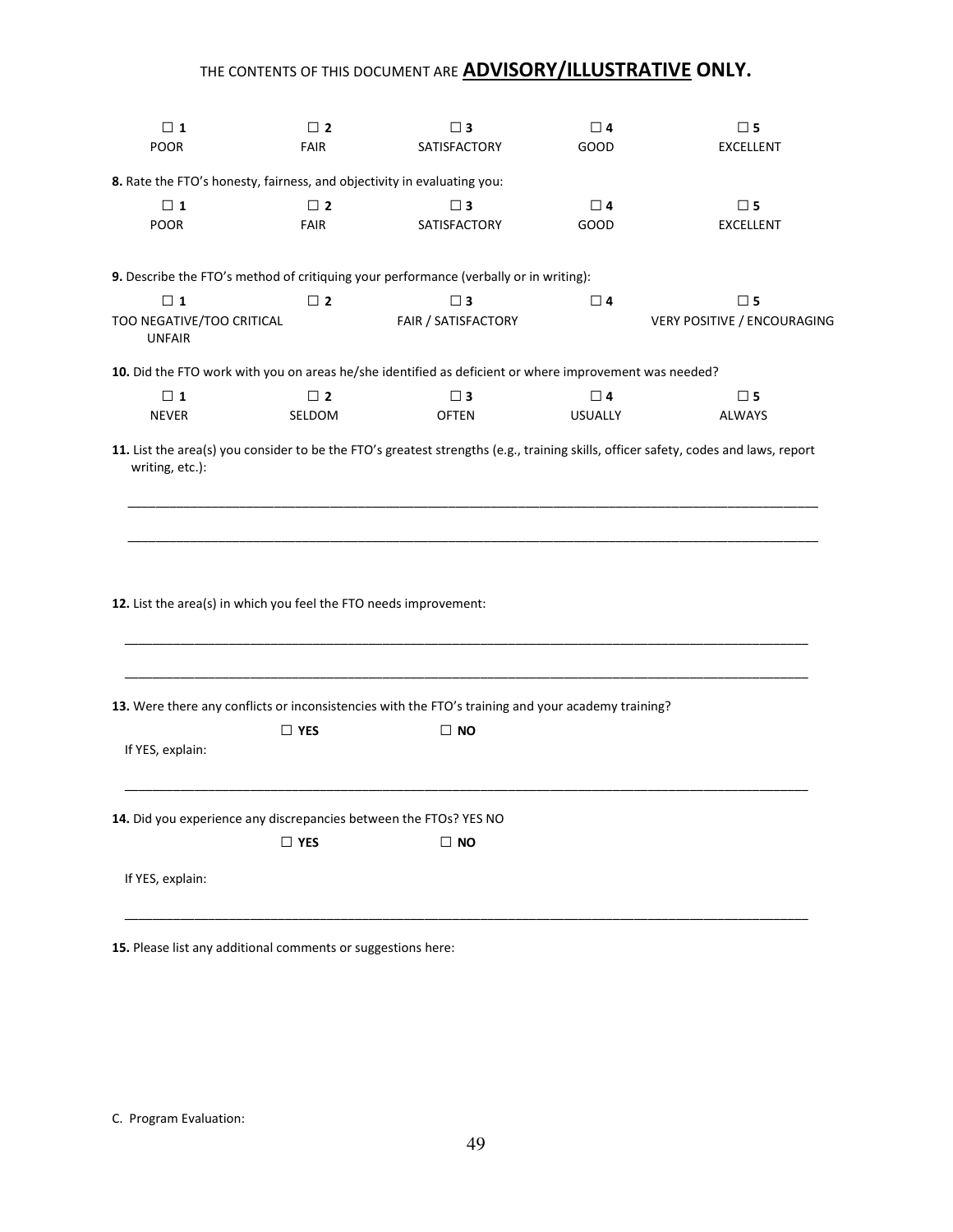| $\Box$ 1<br><b>POOR</b>                                           | $\Box$ 2<br><b>FAIR</b> | $\square$ 3<br>SATISFACTORY                                                                            | $\Box$ 4<br>GOOD | $\square$ 5<br><b>EXCELLENT</b>    |
|-------------------------------------------------------------------|-------------------------|--------------------------------------------------------------------------------------------------------|------------------|------------------------------------|
|                                                                   |                         | 8. Rate the FTO's honesty, fairness, and objectivity in evaluating you:                                |                  |                                    |
| $\Box$ 1                                                          | $\Box$ 2                | $\square$ 3                                                                                            | $\Box$ 4         | $\square$ 5                        |
| POOR                                                              | <b>FAIR</b>             | <b>SATISFACTORY</b>                                                                                    | GOOD             | <b>EXCELLENT</b>                   |
|                                                                   |                         | 9. Describe the FTO's method of critiquing your performance (verbally or in writing):                  |                  |                                    |
| $\Box$ 1                                                          | $\square$ 2             | $\square$ 3                                                                                            | $\Box$ 4         | $\square$ 5                        |
| TOO NEGATIVE/TOO CRITICAL<br><b>UNFAIR</b>                        |                         | FAIR / SATISFACTORY                                                                                    |                  | <b>VERY POSITIVE / ENCOURAGING</b> |
|                                                                   |                         | 10. Did the FTO work with you on areas he/she identified as deficient or where improvement was needed? |                  |                                    |
| $\Box$ 1                                                          | $\Box$ 2                | $\square$ 3                                                                                            | $\Box$ 4         | $\square$ 5                        |
| <b>NEVER</b>                                                      | SELDOM                  | <b>OFTEN</b>                                                                                           | <b>USUALLY</b>   | <b>ALWAYS</b>                      |
| 12. List the area(s) in which you feel the FTO needs improvement: |                         |                                                                                                        |                  |                                    |
|                                                                   |                         | 13. Were there any conflicts or inconsistencies with the FTO's training and your academy training?     |                  |                                    |
| If YES, explain:                                                  | $\Box$ YES              | $\Box$ NO                                                                                              |                  |                                    |
|                                                                   |                         | 14. Did you experience any discrepancies between the FTOs? YES NO                                      |                  |                                    |
|                                                                   | $\Box$ YES              | $\Box$ NO                                                                                              |                  |                                    |
| If YES, explain:                                                  |                         |                                                                                                        |                  |                                    |

15. Please list any additional comments or suggestions here:

C. Program Evaluation: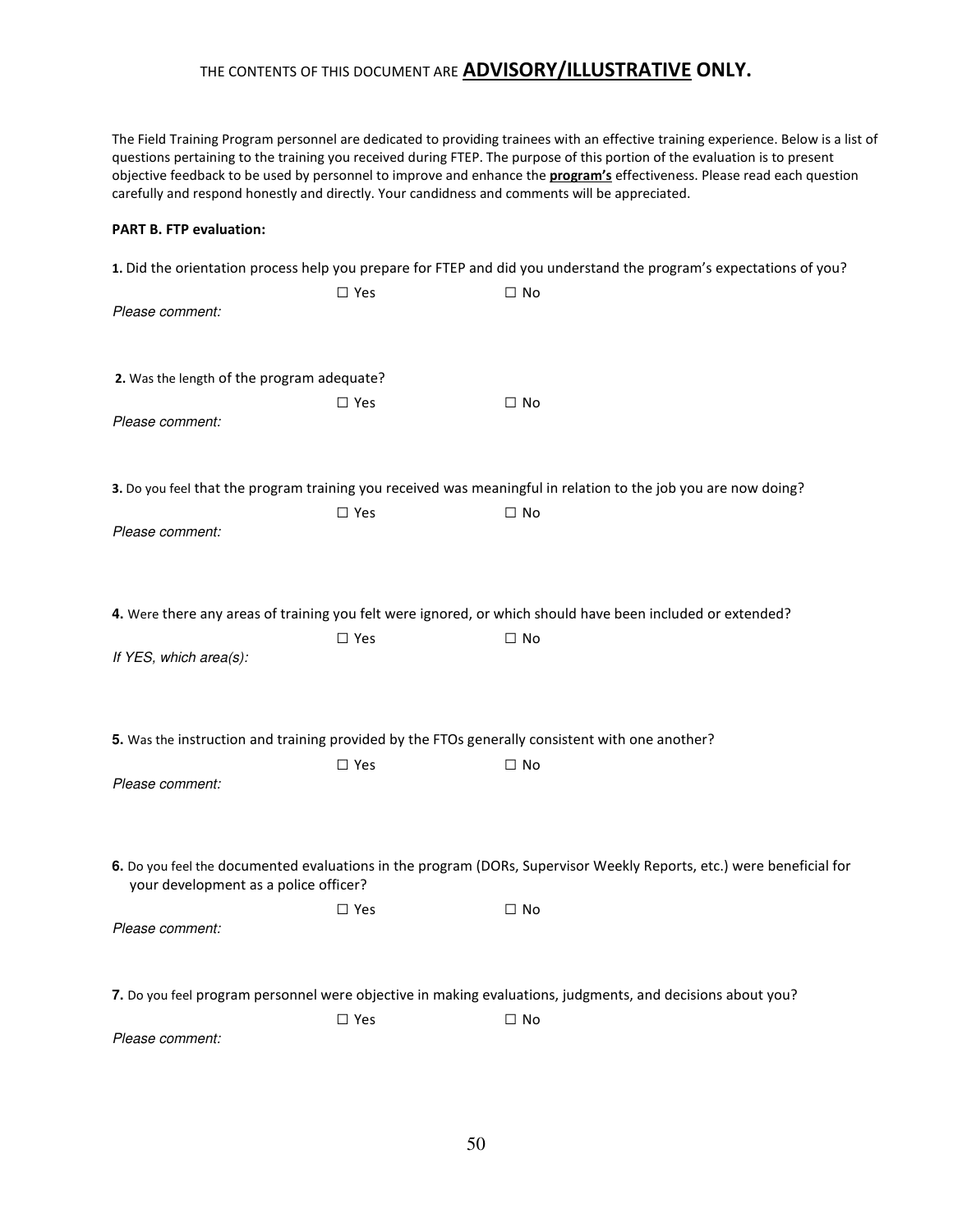The Field Training Program personnel are dedicated to providing trainees with an effective training experience. Below is a list of questions pertaining to the training you received during FTEP. The purpose of this portion of the evaluation is to present objective feedback to be used by personnel to improve and enhance the **program's** effectiveness. Please read each question carefully and respond honestly and directly. Your candidness and comments will be appreciated.

#### PART B. FTP evaluation:

|                                                                                                 |               | 1. Did the orientation process help you prepare for FTEP and did you understand the program's expectations of you?   |
|-------------------------------------------------------------------------------------------------|---------------|----------------------------------------------------------------------------------------------------------------------|
| Please comment:                                                                                 | $\Box$ Yes    | $\Box$ No                                                                                                            |
| 2. Was the length of the program adequate?                                                      | $\Box$ Yes    | $\Box$ No                                                                                                            |
| Please comment:                                                                                 |               |                                                                                                                      |
|                                                                                                 |               | 3. Do you feel that the program training you received was meaningful in relation to the job you are now doing?       |
| Please comment:                                                                                 | $\square$ Yes | $\square$ No                                                                                                         |
|                                                                                                 |               | 4. Were there any areas of training you felt were ignored, or which should have been included or extended?           |
| If YES, which area(s):                                                                          | $\Box$ Yes    | $\Box$ No                                                                                                            |
| 5. Was the instruction and training provided by the FTOs generally consistent with one another? |               |                                                                                                                      |
| Please comment:                                                                                 | $\Box$ Yes    | $\Box$ No                                                                                                            |
| your development as a police officer?                                                           |               | 6. Do you feel the documented evaluations in the program (DORs, Supervisor Weekly Reports, etc.) were beneficial for |
| Please comment:                                                                                 | $\square$ Yes | $\Box$ No                                                                                                            |
|                                                                                                 |               | 7. Do you feel program personnel were objective in making evaluations, judgments, and decisions about you?           |
| Please comment:                                                                                 | $\Box$ Yes    | $\Box$ No                                                                                                            |